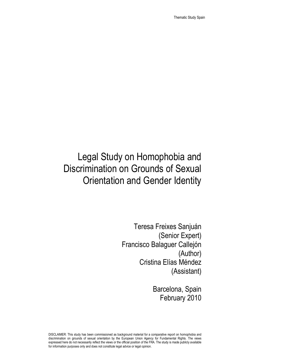Thematic Study Spain

# Legal Study on Homophobia and Discrimination on Grounds of Sexual Orientation and Gender Identity

Teresa Freixes Sanjuán (Senior Expert) Francisco Balaguer Callejón (Author) Cristina Elías Méndez (Assistant)

> Barcelona, Spain February 2010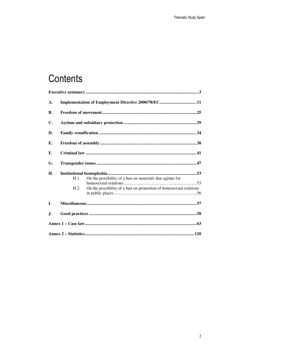# Contents

| A. | Implementation of Employment Directive 2000/78/EC11 |                                                                                                                               |
|----|-----------------------------------------------------|-------------------------------------------------------------------------------------------------------------------------------|
| В. |                                                     |                                                                                                                               |
| C. |                                                     |                                                                                                                               |
| D. |                                                     |                                                                                                                               |
| Е. |                                                     |                                                                                                                               |
| F. |                                                     |                                                                                                                               |
| G. |                                                     |                                                                                                                               |
| Н. | H.1.<br>H.2.                                        | On the possibility of a ban on materials that agitate for<br>On the possibility of a ban on promotion of homosexual relations |
| I. |                                                     |                                                                                                                               |
| J. |                                                     |                                                                                                                               |
|    |                                                     |                                                                                                                               |
|    |                                                     |                                                                                                                               |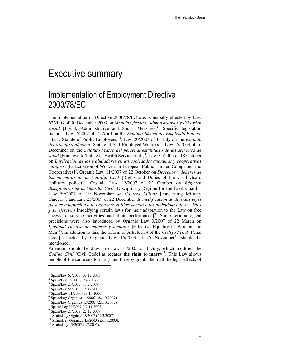## Executive summary

### Implementation of Employment Directive 2000/78/EC

The implementation of Directive 2000/78/EC was principally effected by Law 62/2003 of 30 December 2003 on *Medidas fiscales, administrativas y del orden*  social [Fiscal, Administrative and Social Measures]<sup>1</sup>. Specific legislation includes Law 7/2007 of 12 April on the *Estatuto Básico del Empleado Público* [Basic Statute of Public Employees]]2, Law 20/2007 of 11 July on the *Estatuto*  del trabajo autónomo [Statute of Self-Employed Workers]<sup>3</sup>, Law 55/2003 of 16 December on the *Estatuto Marco del personal estatutario de los servicios de*  salud [Framework Statute of Health Service Staff]<sup>4</sup>, Law 31/2006 of 18 October on *Implicación de los trabajadores en las sociedades anónimas y cooperativas europeas* [Participation of Workers in European Public Limited Companies and Cooperatives]<sup>5</sup>, Organic Law 11/2007 of 22 October on *Derechos y deberes de los miembros de la Guardia Civil* [Rights and Duties of the Civil Guard (military police)]*<sup>6</sup>* , Organic Law 12/2007 of 22 October on *Régimen disciplinario de la Guardia Civil* [Disciplinary Regime for the Civil Guard]*<sup>7</sup>* , Law 39/2007 of 19 November *de Carrera Militar* [concerning Military Careers]<sup>8</sup>, and Law 25/2009 of 22 December *de modificación de diversas leyes para su adaptación a la Ley sobre el libre acceso a las actividades de servicios y su ejercicio* [modifying certain laws for their adaptation to the Law on free access to service activities and their performance]<sup>9</sup>. Some terminological precisions were also introduced by Organic Law 3/2007 of 22 March on *Igualdad efectiva de mujeres y hombres* [Effective Equality of Women and Men]<sup>10</sup>. In addition to this, the reform of Article 314 of the *Código Penal* [Penal Code] effected by Organic Law  $15/2003$  of 25 November<sup>11</sup> should be mentioned.

Attention should be drawn to Law 13/2005 of 1 July, which modifies the *Código Civil* [Civil Code] as regards the right to marry<sup>12</sup>. This Law allows people of the same sex to marry and thereby grants them all the legal effects of

 $\overline{a}$ 

<sup>1</sup> Spain/Ley 62/2003 (30.12.2003).

<sup>2</sup> Spain/Ley 7/2007 (12.4.2007).

<sup>3</sup> Spain/Ley 20/2007 (11.7.2007).

<sup>4</sup> Spain/Ley 55/2003 (16.12.2003).

<sup>5</sup> Spain/Law 31/2006 (18.10.2006).

<sup>6</sup> Spain/Ley Orgánica 11/2007 (22.10.2007).

<sup>7</sup> Spain/Ley Orgánica 12/2007 (22.10.2007).

<sup>8</sup> Spain/ Ley 39/2007 (19.11.2007).

<sup>9</sup> Spain/Ley 25/2009 (22.12.2009).

<sup>10</sup> Spain/Ley Orgánica 3/2007 (22.3.2007).

<sup>11</sup> Spain/Ley Orgánica 15/2003 (25.11.2003).

<sup>12</sup> Spain/Ley 13/2005 (1.7.2005).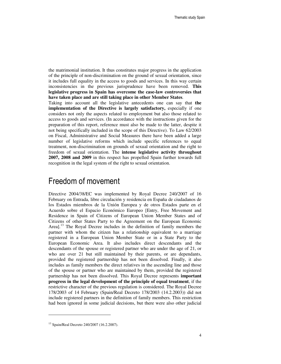the matrimonial institution. It thus constitutes major progress in the application of the principle of non-discrimination on the ground of sexual orientation, since it includes full equality in the access to goods and services. In this way certain inconsistencies in the previous jurisprudence have been removed. **This legislative progress in Spain has overcome the case-law controversies that have taken place and are still taking place in other Member States**.

Taking into account all the legislative antecedents one can say that **the implementation of the Directive is largely satisfactory,** especially if one considers not only the aspects related to employment but also those related to access to goods and services. (In accordance with the instructions given for the preparation of this report, reference must also be made to the latter, despite it not being specifically included in the scope of this Directive). To Law 62/2003 on Fiscal, Administrative and Social Measures there have been added a large number of legislative reforms which include specific references to equal treatment, non-discrimination on grounds of sexual orientation and the right to freedom of sexual orientation. The **intense legislative activity throughout 2007, 2008 and 2009** in this respect has propelled Spain further towards full recognition in the legal system of the right to sexual orientation.

#### Freedom of movement

Directive 2004/38/EC was implemented by Royal Decree 240/2007 of 16 February on Entrada, libre circulación y residencia en España de ciudadanos de los Estados miembros de la Unión Europea y de otros Estados parte en el Acuerdo sobre el Espacio Económico Europeo [Entry, Free Movement and Residence in Spain of Citizens of European Union Member States and of Citizens of other States Party to the Agreement on the European Economic Areal.<sup>13</sup> The Royal Decree includes in the definition of family members the partner with whom the citizen has a relationship equivalent to a marriage registered in a European Union Member State or in a State Party to the European Economic Area. It also includes direct descendants and the descendants of the spouse or registered partner who are under the age of 21, or who are over 21 but still maintained by their parents, or are dependants, provided the registered partnership has not been dissolved. Finally, it also includes as family members the direct relatives in the ascending line and those of the spouse or partner who are maintained by them, provided the registered partnership has not been dissolved. This Royal Decree represents **important progress in the legal development of the principle of equal treatment**, if the restrictive character of the previous regulation is considered. The Royal Decree 178/2003 of 14 February (Spain/Real Decreto 178/2003 (14.2.2003)) did not include registered partners in the definition of family members. This restriction had been ignored in some judicial decisions, but there were also other judicial

<sup>13</sup> Spain/Real Decreto 240/2007 (16.2.2007).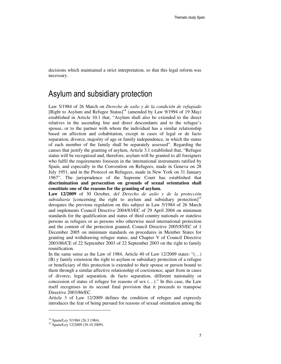decisions which maintained a strict interpretation, so that this legal reform was necessary.

#### Asylum and subsidiary protection

Law 5/1984 of 26 March on *Derecho de asilo y de la condición de refugiado* [Right to Asylum and Refugee Status]<sup>14</sup> (amended by Law 9/1994 of 19 May) established in Article 10.1 that, "Asylum shall also be extended to the direct relatives in the ascending line and direct descendants and to the refugee's spouse, or to the partner with whom the individual has a similar relationship based on affection and cohabitation, except in cases of legal or de facto separation, divorce, majority of age or family independence, in which the status of each member of the family shall be separately assessed". Regarding the causes that justify the granting of asylum, Article 3.1 established that, "Refugee status will be recognised and, therefore, asylum will be granted to all foreigners who fulfil the requirements foreseen in the international instruments ratified by Spain, and especially in the Convention on Refugees, made in Geneva on 28 July 1951, and in the Protocol on Refugees, made in New York on 31 January 1967". The jurisprudence of the Supreme Court has established that **discrimination and persecution on grounds of sexual orientation shall constitute one of the reasons for the granting of asylum.** 

**Law 12/2009** of 30 October, *del Derecho de asilo y de la protección subsidiaria* [concerning the right to asylum and subsidiary protection]<sup>15</sup> derogates the previous regulation on this subject in Law 5/1984 of 26 March and implements Council Directive 2004/83/EC of 29 April 2004 on minimum standards for the qualification and status of third country nationals or stateless persons as refugees or as persons who otherwise need international protection and the content of the protection granted; Council Directive 2005/85/EC of 1 December 2005 on minimum standards on procedures in Member States for granting and withdrawing refugee status; and Chapter V of Council Directive 2003/86/CE of 22 September 2003 of 22 September 2003 on the right to family reunification.

In the same sense as the Law of 1984, Article 40 of Law  $12/2009$  states: "(...) (B) y family extension the right to asylum or subsidiary protection of a refugee or beneficiary of this protection is extended to their spouse or person bound to them through a similar affective relationship of coexistence, apart from in cases of divorce, legal separation, de facto separation, different nationality or concession of status of refugee for reasons of sex (…)." In this case, the Law itself recognises in its second final provision that it proceeds to transpose Directive 2003/86/EC.

Article 3 of Law 12/2009 defines the condition of refugee and expressly introduces the fear of being pursued for reasons of sexual orientation among the

<sup>&</sup>lt;sup>14</sup> Spain/Ley 5/1984 (26.3.1984).

<sup>15</sup> Spain/Ley 12/2009 (30.10.2009).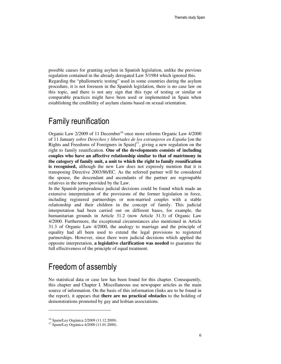possible causes for granting asylum in Spanish legislation, unlike the previous regulation contained in the already derogated Law 5/1984 which ignored this. Regarding the "phallometric testing" used in some countries during the asylum procedure, it is not foreseen in the Spanish legislation, there is no case law on this topic, and there is not any sign that this type of testing or similar or comparable practices might have been used or implemented in Spain when establishing the credibility of asylum claims based on sexual orientation.

#### Family reunification

Organic Law 2/2009 of 11 December<sup>16</sup> once more reforms Organic Law 4/2000 of 11 January *sobre Derechos y libertades de los extranjeros en España* [on the Rights and Freedoms of Foreigners in Spain]<sup>17</sup>, giving a new regulation on the right to family reunification. **One of the developments consists of including couples who have an affective relationship similar to that of matrimony in the category of family unit, a unit to which the right to family reunification is recognised,** although the new Law does not expressly mention that it is transposing Directive 2003/86/EC. As the referred partner will be considered the spouse, the descendant and ascendants of the partner are regroupable relatives in the terms provided by the Law.

In the Spanish jurisprudence judicial decisions could be found which made an extensive interpretation of the provisions of the former legislation in force, including registered partnerships or non-married couples with a stable relationship and their children in the concept of family. This judicial interpretation had been carried out on different bases, for example, the humanitarian grounds in Article 31.2 (now Article 31.3) of Organic Law 4/2000. Furthermore, the exceptional circumstances also mentioned in Article 31.3 of Organic Law 4/2000, the analogy to marriage and the principle of equality had all been used to extend the legal provisions to registered partnerships. However, since there were judicial decisions which applied the opposite interpretation, **a legislative clarification was needed** to guarantee the full effectiveness of the principle of equal treatment.

### Freedom of assembly

No statistical data or case law has been found for this chapter. Consequently, this chapter and Chapter I. Miscellaneous use newspaper articles as the main source of information. On the basis of this information (links are to be found in the report), it appears that **there are no practical obstacles** to the holding of demonstrations promoted by gay and lesbian associations.

<sup>16</sup> Spain/Ley Orgánica 2/2009 (11.12.2009).

<sup>17</sup> Spain/Ley Orgánica 4/2000 (11.01.2000).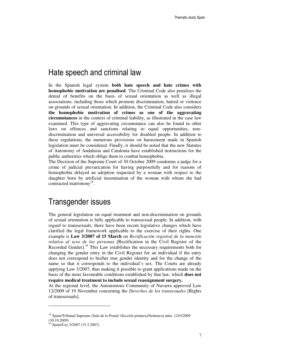#### Hate speech and criminal law

In the Spanish legal system **both hate speech and hate crimes with homophobic motivation are penalised**. The Criminal Code also penalises the denial of benefits on the basis of sexual orientation as well as illegal associations, including those which promote discrimination, hatred or violence on grounds of sexual orientation. In addition, the Criminal Code also considers **the homophobic motivation of crimes as one of the aggravating circumstances** in the context of criminal liability, as illustrated in the case law examined. This type of aggravating circumstance can also be found in other laws on offences and sanctions relating to equal opportunities, nondiscrimination and universal accessibility for disabled people. In addition to these regulations, the numerous provisions on harassment made in Spanish legislation must be considered. Finally, it should be noted that the new Statutes of Autonomy of Andalusia and Catalonia have established instructions for the public authorities which oblige them to combat homophobia.

The Decision of the Supreme Court of 30 October 2009 condemns a judge for a crime of judicial prevarication for having purposefully and for reasons of homophobia delayed an adoption requested by a woman with respect to the daughter born by artificial insemination of the woman with whom she had contracted matrimony<sup>18</sup>.

#### Transgender issues

The general legislation on equal treatment and non-discrimination on grounds of sexual orientation is fully applicable to transsexual people. In addition, with regard to transsexuals, there have been recent legislative changes which have clarified the legal framework applicable to the exercise of their rights. One example is **Law 3/2007 of 15 March** on *Rectificación registral de la mención relativa al sexo de las personas* [Rectification in the Civil Register of the Recorded Gender].<sup>19</sup> This Law establishes the necessary requirements both for changing the gender entry in the Civil Register for an individual if the entry does not correspond to his/her true gender identity and for the change of the name so that it corresponds to the individual's sex. The Courts are already applying Law 3/2007, thus making it possible to grant applications made on the basis of the more favourable conditions established by that law, which **does not require medical treatment to include sexual reassignment surgery.**

At the regional level, the Autonomous Community of Navarra approved Law 12/2009 of 19 November concerning the *Derechos de los transexuales* [Rights of transsexuals].

 $\overline{a}$ 

<sup>18</sup> Spain/Tribunal Supremo (Sala de lo Penal) (Sección primera)/Sentencia núm. 1243/2009 (30.10.2009).

<sup>&</sup>lt;sup>19</sup> Spain/Ley 3/2007 (15.3.2007).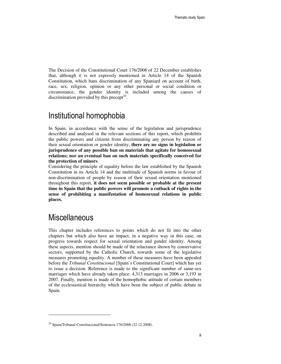The Decision of the Constitutional Court 176/2008 of 22 December establishes that, although it is not expressly mentioned in Article 14 of the Spanish Constitution, which bans discrimination of any Spaniard on account of birth, race, sex, religion, opinion or any other personal or social condition or circumstance, the gender identity is included among the causes of discrimination provided by this precept<sup>20</sup>.

#### Institutional homophobia

In Spain, in accordance with the sense of the legislation and jurisprudence described and analysed in the relevant sections of this report, which prohibits the public powers and citizens from discriminating any person by reason of their sexual orientation or gender identity, **there are no signs in legislation or jurisprudence of any possible ban on materials that agitate for homosexual relations; nor an eventual ban on such materials specifically conceived for the protection of minors**.

Considering the principle of equality before the law established by the Spanish Constitution in its Article 14 and the multitude of Spanish norms in favour of non-discrimination of people by reason of their sexual orientation mentioned throughout this report, **it does not seem possible or probable at the present time in Spain that the public powers will promote a cutback of rights in the sense of prohibiting a manifestation of homosexual relations in public places.**

### **Miscellaneous**

 $\ddot{ }$ 

This chapter includes references to points which do not fit into the other chapters but which also have an impact, in a negative way in this case, on progress towards respect for sexual orientation and gender identity. Among these aspects, mention should be made of the reluctance shown by conservative sectors, supported by the Catholic Church, towards some of the legislative measures promoting equality. A number of these measures have been appealed before the *Tribunal Constitucional* [Spain's Constitutional Court] which has yet to issue a decision. Reference is made to the significant number of same-sex marriages which have already taken place: 4,313 marriages in 2006 or 3,193 in 2007. Finally, mention is made of the homophobic attitude of certain members of the ecclesiastical hierarchy which have been the subject of public debate in Spain.

 $^{20}$  Spain/Tribunal Constitucional/Sentencia 176/2008 (22.12.2008).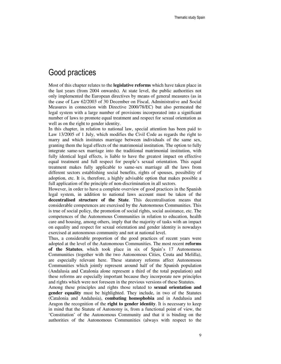#### Good practices

Most of this chapter relates to the **legislative reforms** which have taken place in the last years (from 2004 onwards). At state level, the public authorities not only implemented the European directives by means of general measures (as in the case of Law 62/2003 of 30 December on Fiscal, Administrative and Social Measures in connection with Directive 2000/78/EC) but also permeated the legal system with a large number of provisions incorporated into a significant number of laws to promote equal treatment and respect for sexual orientation as well as on the right to gender identity.

In this chapter, in relation to national law, special attention has been paid to Law 13/2005 of 1 July, which modifies the Civil Code as regards the right to marry and which institutes marriage between individuals of the same sex, granting them the legal effects of the matrimonial institution. The option to fully integrate same-sex marriage into the traditional matrimonial institution, with fully identical legal effects, is liable to have the greatest impact on effective equal treatment and full respect for people's sexual orientation. This equal treatment makes fully applicable to same-sex marriage all the laws from different sectors establishing social benefits, rights of spouses, possibility of adoption, etc. It is, therefore, a highly advisable option that makes possible a full application of the principle of non-discrimination in all sectors.

However, in order to have a complete overview of good practices in the Spanish legal system, in addition to national laws account must be taken of the **decentralised structure of the State**. This decentralisation means that considerable competences are exercised by the Autonomous Communities. This is true of social policy, the promotion of social rights, social assistance, etc. The competences of the Autonomous Communities in relation to education, health care and housing, among others, imply that the majority of tasks with an impact on equality and respect for sexual orientation and gender identity is nowadays exercised at autonomous community and not at national level.

Thus, a considerable proportion of the good practices of recent years were adopted at the level of the Autonomous Communities. The most recent **reforms of the Statutes**, which took place in six of Spain's 17 Autonomous Communities (together with the two Autonomous Cities, Ceuta and Melilla), are especially relevant here. These statutory reforms affect Autonomous Communities which jointly represent around half of the Spanish population (Andalusia and Catalonia alone represent a third of the total population) and these reforms are especially important because they incorporate new principles and rights which were not foreseen in the previous versions of these Statutes.

Among these principles and rights those related to **sexual orientation and gender equality** must be highlighted. They include, in two of the Statutes (Catalonia and Andalusia), **combating homophobia** and in Andalusia and Aragon the recognition of the **right to gender identity**. It is necessary to keep in mind that the Statute of Autonomy is, from a functional point of view, the 'Constitution' of the Autonomous Community and that it is binding on the authorities of the Autonomous Communities (always with respect to the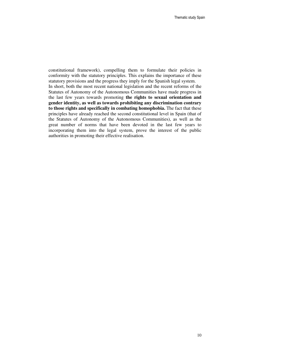constitutional framework), compelling them to formulate their policies in conformity with the statutory principles. This explains the importance of these statutory provisions and the progress they imply for the Spanish legal system. In short, both the most recent national legislation and the recent reforms of the Statutes of Autonomy of the Autonomous Communities have made progress in the last few years towards promoting **the rights to sexual orientation and gender identity, as well as towards prohibiting any discrimination contrary to those rights and specifically in combating homophobia.** The fact that these principles have already reached the second constitutional level in Spain (that of the Statutes of Autonomy of the Autonomous Communities), as well as the great number of norms that have been devoted in the last few years to incorporating them into the legal system, prove the interest of the public authorities in promoting their effective realisation.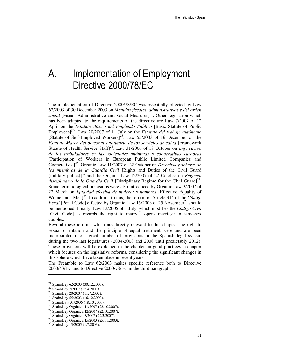## A. Implementation of Employment Directive 2000/78/EC

The implementation of Directive 2000/78/EC was essentially effected by Law 62/2003 of 30 December 2003 on *Medidas fiscales, administrativas y del orden social* [Fiscal, Administrative and Social Measures] $^{21}$ . Other legislation which has been adapted to the requirements of the directive are Law 7/2007 of 12 April on the *Estatuto Básico del Empleado Público* [Basic Statute of Public Employees]]22, Law 20/2007 of 11 July on the *Estatuto del trabajo autónomo* [Statute of Self-Employed Workers]<sup>23</sup>, Law 55/2003 of 16 December on the *Estatuto Marco del personal estatutario de los servicios de salud* [Framework Statute of Health Service Staff]<sup>24</sup>, Law 31/2006 of 18 October on *Implicación de los trabajadores en las sociedades anónimas y cooperativas europeas*  [Participation of Workers in European Public Limited Companies and Cooperatives]<sup>25</sup>, Organic Law 11/2007 of 22 October on *Derechos y deberes de los miembros de la Guardia Civil* [Rights and Duties of the Civil Guard (military police)]*<sup>26</sup>* and the Organic Law 12/2007 of 22 October on *Régimen disciplinario de la Guardia Civil* [Disciplinary Regime for the Civil Guard]*<sup>27</sup> .*  Some terminological precisions were also introduced by Organic Law 3/2007 of 22 March on *Igualdad efectiva de mujeres y hombres* [Effective Equality of Women and Men]*<sup>28</sup>*. In addition to this, the reform of Article 314 of the *Código Penal* [Penal Code] effected by Organic Law 15/2003 of 25 November<sup>29</sup> should be mentioned. Finally, Law 13/2005 of 1 July, which modifies the *Código Civil* [Civil Code] as regards the right to marry,<sup>30</sup> opens marriage to same-sex couples.

Beyond these reforms which are directly relevant to this chapter, the right to sexual orientation and the principle of equal treatment were and are been incorporated into a great number of provisions in the Spanish legal system during the two last legislatures (2004-2008 and 2008 until predictably 2012). These provisions will be explained in the chapter on good practices, a chapter which focuses on the legislative reforms, considering the significant changes in this sphere which have taken place in recent years.

The Preamble to Law 62/2003 makes specific reference both to Directive 2000/43/EC and to Directive 2000/78/EC in the third paragraph.

-

<sup>21</sup> Spain/Ley 62/2003 (30.12.2003).

<sup>&</sup>lt;sup>22</sup> Spain/Ley 7/2007 (12.4.2007).

<sup>&</sup>lt;sup>23</sup> Spain/Ley 20/2007 (11.7.2007).

<sup>24</sup> Spain/Ley 55/2003 (16.12.2003).

<sup>25</sup> Spain/Law 31/2006 (18.10.2006).

<sup>26</sup> Spain/Ley Orgánica 11/2007 (22.10.2007).

<sup>27</sup> Spain/Ley Orgánica 12/2007 (22.10.2007).

<sup>28</sup> Spain/Ley Orgánica 3/2007 (22.3.2007).

<sup>29</sup> Spain/Ley Orgánica 15/2003 (25.11.2003).

<sup>30</sup> Spain/Ley 13/2005 (1.7.2003).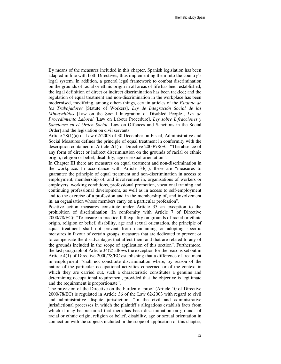By means of the measures included in this chapter, Spanish legislation has been adapted in line with both Directives, thus implementing them into the country's legal system. In addition, a general legal framework to combat discrimination on the grounds of racial or ethnic origin in all areas of life has been established; the legal definition of direct or indirect discrimination has been tackled; and the regulation of equal treatment and non-discrimination in the workplace has been modernised, modifying, among others things, certain articles of the *Estatuto de los Trabajadores* [Statute of Workers], *Ley de Integración Social de los Minusválidos* [Law on the Social Integration of Disabled People], *Ley de Procedimiento Laboral* [Law on Labour Procedure], *Ley sobre Infracciones y Sanciones en el Orden Social* [Law on Offences and Sanctions in the Social Order] and the legislation on civil servants.

Article 28(1)(a) of Law 62/2003 of 30 December on Fiscal, Administrative and Social Measures defines the principle of equal treatment in conformity with the description contained in Article 2(1) of Directive 2000/78/EC: "The absence of any form of direct or indirect discrimination on the grounds of racial or ethnic origin, religion or belief, disability, age or sexual orientation".

In Chapter III there are measures on equal treatment and non-discrimination in the workplace. In accordance with Article 34(1), these are "measures to guarantee the principle of equal treatment and non-discrimination in access to employment, membership of, and involvement in, organisations of workers or employers, working conditions, professional promotion, vocational training and continuing professional development, as well as in access to self-employment and to the exercise of a profession and in the membership of, and involvement in, an organisation whose members carry on a particular profession".

Positive action measures constitute under Article 35 an exception to the prohibition of discrimination (in conformity with Article 7 of Directive 2000/78/EC): "To ensure in practice full equality on grounds of racial or ethnic origin, religion or belief, disability, age and sexual orientation, the principle of equal treatment shall not prevent from maintaining or adopting specific measures in favour of certain groups, measures that are dedicated to prevent or to compensate the disadvantages that affect them and that are related to any of the grounds included in the scope of application of this section". Furthermore, the last paragraph of Article 34(2) allows the exception for the reasons set out in Article 4(1) of Directive 2000/78/EC establishing that a difference of treatment in employment "shall not constitute discrimination where, by reason of the nature of the particular occupational activities concerned or of the context in which they are carried out, such a characteristic constitutes a genuine and determining occupational requirement, provided that the objective is legitimate and the requirement is proportionate".

The provision of the Directive on the burden of proof (Article 10 of Directive 2000/78/EC) is regulated in Article 36 of the Law 62/2003 with regard to civil and administrative dispute jurisdiction: "In the civil and administrative jurisdictional processes in which the plaintiff's allegations establish facts from which it may be presumed that there has been discrimination on grounds of racial or ethnic origin, religion or belief, disability, age or sexual orientation in connection with the subjects included in the scope of application of this chapter,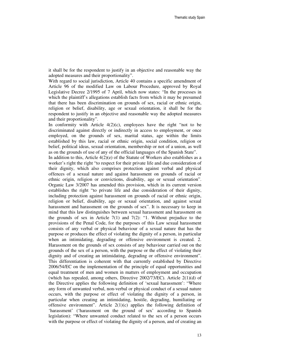it shall be for the respondent to justify in an objective and reasonable way the adopted measures and their proportionality".

With regard to social jurisdiction, Article 40 contains a specific amendment of Article 96 of the modified Law on Labour Procedure, approved by Royal Legislative Decree 2/1995 of 7 April, which now states: "In the processes in which the plaintiff's allegations establish facts from which it may be presumed that there has been discrimination on grounds of sex, racial or ethnic origin, religion or belief, disability, age or sexual orientation, it shall be for the respondent to justify in an objective and reasonable way the adopted measures and their proportionality".

In conformity with Article  $4(2)(c)$ , employees have the right "not to be discriminated against directly or indirectly in access to employment, or once employed, on the grounds of sex, marital status, age within the limits established by this law, racial or ethnic origin, social condition, religion or belief, political ideas, sexual orientation, membership or not of a union, as well as on the grounds of use of any of the official languages of the Spanish State".

In addition to this, Article  $4(2)(e)$  of the Statute of Workers also establishes as a worker's right the right "to respect for their private life and due consideration of their dignity, which also comprises protection against verbal and physical offences of a sexual nature and against harassment on grounds of racial or ethnic origin, religion or convictions, disability, age or sexual orientation". Organic Law 3/2007 has amended this provision, which in its current version establishes the right "to private life and due consideration of their dignity, including protection against harassment on grounds of racial or ethnic origin, religion or belief, disability, age or sexual orientation, and against sexual harassment and harassment on the grounds of sex". It is necessary to keep in mind that this law distinguishes between sexual harassment and harassment on the grounds of sex in Article  $7(1)$  and  $7(2)$ : "1. Without prejudice to the provisions of the Penal Code, for the purposes of this Law sexual harassment consists of any verbal or physical behaviour of a sexual nature that has the purpose or produces the effect of violating the dignity of a person, in particular when an intimidating, degrading or offensive environment is created. 2. Harassment on the grounds of sex consists of any behaviour carried out on the grounds of the sex of a person, with the purpose or the effect of violating their dignity and of creating an intimidating, degrading or offensive environment". This differentiation is coherent with that currently established by Directive 2006/54/EC on the implementation of the principle of equal opportunities and equal treatment of men and women in matters of employment and occupation (which has repealed, among others, Directive  $2002/73/EC$ ). Article  $2(1)(d)$  of the Directive applies the following definition of 'sexual harassment': "Where any form of unwanted verbal, non-verbal or physical conduct of a sexual nature occurs, with the purpose or effect of violating the dignity of a person, in particular when creating an intimidating, hostile, degrading, humiliating or offensive environment". Article  $2(1)(c)$  applies the following definition of 'harassment' ('harassment on the ground of sex' according to Spanish legislation): "Where unwanted conduct related to the sex of a person occurs with the purpose or effect of violating the dignity of a person, and of creating an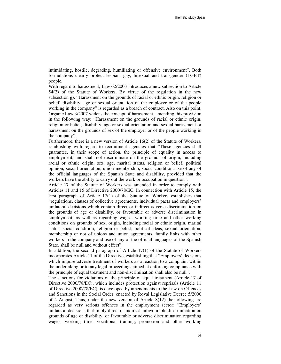intimidating, hostile, degrading, humiliating or offensive environment". Both formulations clearly protect lesbian, gay, bisexual and transgender (LGBT) people.

With regard to harassment, Law 62/2003 introduces a new subsection to Article 54(2) of the Statute of Workers. By virtue of the regulation in the new subsection g), "Harassment on the grounds of racial or ethnic origin, religion or belief, disability, age or sexual orientation of the employer or of the people working in the company" is regarded as a breach of contract. Also on this point, Organic Law 3/2007 widens the concept of harassment, amending this provision in the following way: "Harassment on the grounds of racial or ethnic origin, religion or belief, disability, age or sexual orientation and sexual harassment or harassment on the grounds of sex of the employer or of the people working in the company".

Furthermore, there is a new version of Article 16(2) of the Statute of Workers, establishing with regard to recruitment agencies that "These agencies shall guarantee, in their scope of action, the principle of equality in access to employment, and shall not discriminate on the grounds of origin, including racial or ethnic origin, sex, age, marital status, religion or belief, political opinion, sexual orientation, union membership, social condition, use of any of the official languages of the Spanish State and disability, provided that the workers have the ability to carry out the work or occupation in question".

Article 17 of the Statute of Workers was amended in order to comply with Articles 11 and 15 of Directive 2000/78/EC. In connection with Article 15, the first paragraph of Article 17(1) of the Statute of Workers establishes that "regulations, clauses of collective agreements, individual pacts and employers' unilateral decisions which contain direct or indirect adverse discrimination on the grounds of age or disability, or favourable or adverse discrimination in employment, as well as regarding wages, working time and other working conditions on grounds of sex, origin, including racial or ethnic origin, marital status, social condition, religion or belief, political ideas, sexual orientation, membership or not of unions and union agreements, family links with other workers in the company and use of any of the official languages of the Spanish State, shall be null and without effect".

In addition, the second paragraph of Article 17(1) of the Statute of Workers incorporates Article 11 of the Directive, establishing that "Employers' decisions which impose adverse treatment of workers as a reaction to a complaint within the undertaking or to any legal proceedings aimed at enforcing compliance with the principle of equal treatment and non-discrimination shall also be null".

The sanctions for violations of the principle of equal treatment (Article 17 of Directive 2000/78/EC), which includes protection against reprisals (Article 11 of Directive 2000/78/EC), is developed by amendments to the Law on Offences and Sanctions in the Social Order, enacted by Royal Legislative Decree 5/2000 of 4 August. Thus, under the new version of Article  $8(12)$  the following are regarded as very serious offences in the employment sector: "Employers' unilateral decisions that imply direct or indirect unfavourable discrimination on grounds of age or disability, or favourable or adverse discrimination regarding wages, working time, vocational training, promotion and other working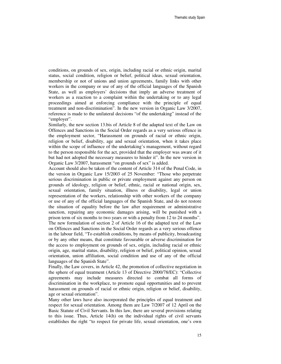conditions, on grounds of sex, origin, including racial or ethnic origin, marital status, social condition, religion or belief, political ideas, sexual orientation, membership or not of unions and union agreements, family links with other workers in the company or use of any of the official languages of the Spanish State, as well as employers' decisions that imply an adverse treatment of workers as a reaction to a complaint within the undertaking or to any legal proceedings aimed at enforcing compliance with the principle of equal treatment and non-discrimination". In the new version in Organic Law 3/2007, reference is made to the unilateral decisions "of the undertaking" instead of the "employer".

Similarly, the new section 13.bis of Article 8 of the adapted text of the Law on Offences and Sanctions in the Social Order regards as a very serious offence in the employment sector, "Harassment on grounds of racial or ethnic origin, religion or belief, disability, age and sexual orientation, when it takes place within the scope of influence of the undertaking's management, without regard to the person responsible for the act, provided that the employer was aware of it but had not adopted the necessary measures to hinder it". In the new version in Organic Law 3/2007, harassment "on grounds of sex" is added.

Account should also be taken of the content of Article 314 of the Penal Code, in the version in Organic Law 15/2003 of 25 November: "Those who perpetrate serious discrimination in public or private employment against any person on grounds of ideology, religion or belief, ethnic, racial or national origin, sex, sexual orientation, family situation, illness or disability, legal or union representation of the workers, relationship with other workers of the company or use of any of the official languages of the Spanish State, and do not restore the situation of equality before the law after requirement or administrative sanction, repairing any economic damages arising, will be punished with a prison term of six months to two years or with a penalty from 12 to 24 months". The new formulation of section 2 of Article 16 of the adapted text of the Law on Offences and Sanctions in the Social Order regards as a very serious offence in the labour field, "To establish conditions, by means of publicity, broadcasting or by any other means, that constitute favourable or adverse discrimination for the access to employment on grounds of sex, origin, including racial or ethnic origin, age, marital status, disability, religion or belief, political opinion, sexual orientation, union affiliation, social condition and use of any of the official languages of the Spanish State".

Finally, the Law covers, in Article 42, the promotion of collective negotiation in the sphere of equal treatment (Article 13 of Directive 2000/78/EC): "Collective agreements may include measures directed to combat all forms of discrimination in the workplace, to promote equal opportunities and to prevent harassment on grounds of racial or ethnic origin, religion or belief, disability, age or sexual orientation".

Many other laws have also incorporated the principles of equal treatment and respect for sexual orientation. Among them are Law 7/2007 of 12 April on the Basic Statute of Civil Servants. In this law, there are several provisions relating to this issue. Thus, Article 14(h) on the individual rights of civil servants establishes the right "to respect for private life, sexual orientation, one's own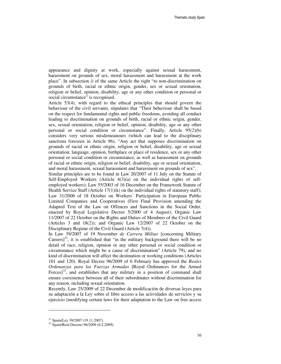appearance and dignity at work, especially against sexual harassment, harassment on grounds of sex, moral harassment and harassment at the work place". In subsection i) of the same Article the right "to non-discrimination on grounds of birth, racial or ethnic origin, gender, sex or sexual orientation, religion or belief, opinion, disability, age or any other condition or personal or social circumstance" is recognised.

Article 53(4), with regard to the ethical principles that should govern the behaviour of the civil servants, stipulates that "Their behaviour shall be based on the respect for fundamental rights and public freedoms, avoiding all conduct leading to discrimination on grounds of birth, racial or ethnic origin, gender, sex, sexual orientation, religion or belief, opinion, disability, age or any other personal or social condition or circumstance". Finally, Article 95(2)(b) considers very serious misdemeanours (which can lead to the disciplinary sanctions foreseen in Article 96), "Any act that supposes discrimination on grounds of racial or ethnic origin, religion or belief, disability, age or sexual orientation, language, opinion, birthplace or place of residence, sex or any other personal or social condition or circumstance, as well as harassment on grounds of racial or ethnic origin, religion or belief, disability, age or sexual orientation, and moral harassment, sexual harassment and harassment on grounds of sex".

Similar principles are to be found in Law 20/2007 of 11 July on the Statute of Self-Employed Workers (Article  $4(3)(a)$  on the individual rights of selfemployed workers); Law 55/2003 of 16 December on the Framework Statute of Health Service Staff (Article  $17(1)(k)$ ) on the individual rights of statutory staff); Law 31/2006 of 18 October on Workers´ Participation in European Public Limited Companies and Cooperatives (First Final Provision amending the Adapted Text of the Law on Offences and Sanctions in the Social Order, enacted by Royal Legislative Decree 5/2000 of 4 August); Organic Law 11/2007 of 22 October on the Rights and Duties of Members of the Civil Guard (Articles 3 and 18(2)); and Organic Law 12/2007 of 22 October on the Disciplinary Regime of the Civil Guard (Article 7(4)).

In Law 39/2007 of 19 November *de Carrera Militar* [concerning Military Careers] $^{31}$ , it is established that "in the military background there will be no detail of race, religion, opinion or any other personal or social condition or circumstance which might be a cause of discrimination" (Article 79), and no kind of discrimination will affect the destination or working conditions (Articles 101 and 120). Royal Decree 96/2009 of 6 February has approved the *Reales Ordenanzas para las Fuerzas Armadas* [Royal Ordinances for the Armed Forces] $32$ , and establishes that any military in a position of command shall ensure coexistence between all of their subordinates without discrimination for any reason, including sexual orientation.

Recently, Law 25/2009 of 22 December de modificación de diversas leyes para su adaptación a la Ley sobre el libre acceso a las actividades de servicios y su ejercicio [modifying certain laws for their adaptation to the Law on free access

<sup>31</sup> Spain/Ley 39/2007 (19.11.2007).

<sup>32</sup> Spain/Real Decreto 96/2009 (6.2.2009).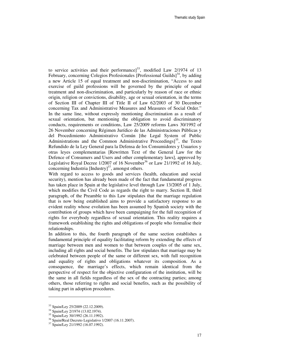to service activities and their performance]<sup>33</sup>, modified Law  $2/1974$  of 13 February, concerning Colegios Profesionales [Professional Guilds] $^{34}$ , by adding a new Article 15 of equal treatment and non-discrimination, "Access to and exercise of guild professions will be governed by the principle of equal treatment and non-discrimination, and particularly by reason of race or ethnic origin, religion or convictions, disability, age or sexual orientation, in the terms of Section III of Chapter III of Title II of Law 62/2003 of 30 December concerning Tax and Administrative Measures and Measures of Social Order." In the same line, without expressly mentioning discrimination as a result of sexual orientation, but mentioning the obligation to avoid discriminatory conducts, requirements or conditions, Law 25/2009 reforms Laws 30/1992 of 26 November concerning Régimen Jurídico de las Administraciones Públicas y del Procedimiento Administrativo Común [the Legal System of Public Administrations and the Common Administrative Proceedings]<sup>35</sup>, the Texto Refundido de la Ley General para la Defensa de los Consumidores y Usuarios y otras leyes complementarias [Rewritten Text of the General Law for the Defence of Consumers and Users and other complementary laws], approved by Legislative Royal Decree  $1/2007$  of 16 November<sup>36</sup> or Law 21/1992 of 16 July, concerning Industria  $[Industry]<sup>37</sup>$ , amongst others.

With regard to access to goods and services (health, education and social security), mention has already been made of the fact that fundamental progress has taken place in Spain at the legislative level through Law 13/2005 of 1 July, which modifies the Civil Code as regards the right to marry. Section II, third paragraph, of the Preamble to this Law stipulates that the marriage regulation that is now being established aims to provide a satisfactory response to an evident reality whose evolution has been assumed by Spanish society with the contribution of groups which have been campaigning for the full recognition of rights for everybody regardless of sexual orientation. This reality requires a framework establishing the rights and obligations of people who formalise their relationships.

In addition to this, the fourth paragraph of the same section establishes a fundamental principle of equality facilitating reform by extending the effects of marriage between men and women to that between couples of the same sex, including all rights and social benefits. The law stipulates that marriage may be celebrated between people of the same or different sex, with full recognition and equality of rights and obligations whatever its composition. As a consequence, the marriage's effects, which remain identical from the perspective of respect for the objective configuration of the institution, will be the same in all fields regardless of the sex of the contracting parties; among others, those referring to rights and social benefits, such as the possibility of taking part in adoption procedures.

 $\overline{a}$ 

<sup>33</sup> Spain/Ley 25/2009 (22.12.2009).

<sup>34</sup> Spain/Ley 2/1974 (13.02.1974).

<sup>35</sup> Spain/Ley 30/1992 (26.11.1992).

<sup>36</sup> Spain/Real Decreto Legislativo 1/2007 (16.11.2007).

<sup>37</sup> Spain/Ley 21/1992 (16.07.1992).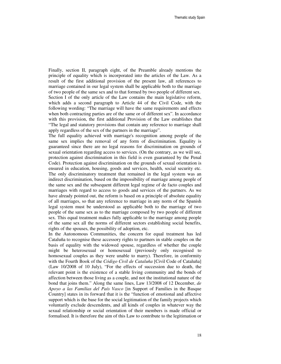Finally, section II, paragraph eight, of the Preamble already mentions the principle of equality which is incorporated into the articles of the Law. As a result of the first additional provision of the present law, all references to marriage contained in our legal system shall be applicable both to the marriage of two people of the same sex and to that formed by two people of different sex. Section I of the only article of the Law contains the main legislative reform, which adds a second paragraph to Article 44 of the Civil Code, with the following wording: "The marriage will have the same requirements and effects when both contracting parties are of the same or of different sex". In accordance with this provision, the first additional Provision of the Law establishes that "The legal and statutory provisions that contain any reference to marriage shall apply regardless of the sex of the partners in the marriage".

The full equality achieved with marriage's recognition among people of the same sex implies the removal of any form of discrimination. Equality is guaranteed since there are no legal reasons for discrimination on grounds of sexual orientation regarding access to services. (On the contrary, as we will see, protection against discrimination in this field is even guaranteed by the Penal Code). Protection against discrimination on the grounds of sexual orientation is ensured in education, housing, goods and services, health, social security etc. The only discriminatory treatment that remained in the legal system was an indirect discrimination, based on the impossibility of marriage among people of the same sex and the subsequent different legal regime of de facto couples and marriages with regard to access to goods and services of the partners. As we have already pointed out, the reform is based on a principle of absolute equality of all marriages, so that any reference to marriage in any norm of the Spanish legal system must be understood as applicable both to the marriage of two people of the same sex as to the marriage composed by two people of different sex. This equal treatment makes fully applicable to the marriage among people of the same sex all the norms of different sectors establishing social benefits, rights of the spouses, the possibility of adoption, etc.

In the Autonomous Communities, the concern for equal treatment has led Cataluña to recognise these accessory rights to partners in stable couples on the basis of equality with the widowed spouse, regardless of whether the couple might be heterosexual or homosexual (previously only recognised to homosexual couples as they were unable to marry). Therefore, in conformity with the Fourth Book of the *Código Civil de Cataluña* [Civil Code of Cataluña] (Law 10/2008 of 10 July), "For the effects of succession due to death, the relevant point is the existence of a stable living community and the bonds of affection between those living as a couple, and not the institutional nature of the bond that joins them." Along the same lines, Law 13/2008 of 12 December, *de Apoyo a las Familias del País Vasco* [in Support of Families in the Basque Country] states in its forward that it is the "function of emotional and affective support which is the base for the social legitimation of the family projects which voluntarily exclude descendents, and all kinds of couples in whatever way the sexual relationship or social orientation of their members is made official or formalised. It is therefore the aim of this Law to contribute to the legitimation or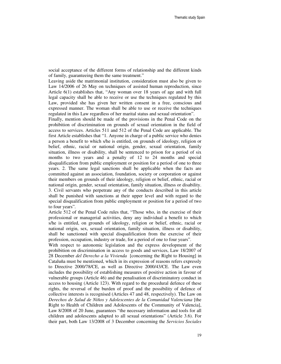social acceptance of the different forms of relationship and the different kinds of family, guaranteeing them the same treatment."

Leaving aside the matrimonial institution, consideration must also be given to Law 14/2006 of 26 May on techniques of assisted human reproduction, since Article 6(1) establishes that, "Any woman over 18 years of age and with full legal capacity shall be able to receive or use the techniques regulated by this Law, provided she has given her written consent in a free, conscious and expressed manner. The woman shall be able to use or receive the techniques regulated in this Law regardless of her marital status and sexual orientation".

Finally, mention should be made of the provisions in the Penal Code on the prohibition of discrimination on grounds of sexual orientation in the field of access to services. Articles 511 and 512 of the Penal Code are applicable. The first Article establishes that "1. Anyone in charge of a public service who denies a person a benefit to which s/he is entitled, on grounds of ideology, religion or belief, ethnic, racial or national origin, gender, sexual orientation, family situation, illness or disability, shall be sentenced to prison for a period of six months to two years and a penalty of 12 to 24 months and special disqualification from public employment or position for a period of one to three years. 2. The same legal sanctions shall be applicable when the facts are committed against an association, foundation, society or corporation or against their members on grounds of their ideology, religion or belief, ethnic, racial or national origin, gender, sexual orientation, family situation, illness or disability. 3. Civil servants who perpetrate any of the conducts described in this article shall be punished with sanctions at their upper level and with regard to the special disqualification from public employment or position for a period of two to four years".

Article 512 of the Penal Code rules that, "Those who, in the exercise of their professional or managerial activities, deny any individual a benefit to which s/he is entitled, on grounds of ideology, religion or belief, ethnic, racial or national origin, sex, sexual orientation, family situation, illness or disability, shall be sanctioned with special disqualification from the exercise of their profession, occupation, industry or trade, for a period of one to four years".

With respect to autonomic legislation and the express development of the prohibition on discrimination in access to goods and services, Law 18/2007 of 28 December *del Derecho a la Vivienda* [concerning the Right to Housing] in Cataluña must be mentioned, which in its expression of reasons refers expressly to Directive 2000/78/CE, as well as Directive 2000/43/CE. The Law even includes the possibility of establishing measures of positive action in favour of vulnerable groups (Article 46) and the penalisation of discriminatory conduct in access to housing (Article 123). With regard to the procedural defence of these rights, the reversal of the burden of proof and the possibility of defence of collective interests is recognised (Articles 47 and 48, respectively). The Law on *Derechos de Salud de Niños y Adolescentes de la Comunidad Valenciana* [the Right to Health of Children and Adolescents of the Community of Valencia], Law 8/2008 of 20 June, guarantees "the necessary information and tools for all children and adolescents adapted to all sexual orientations" (Article 3.6). For their part, both Law 13/2008 of 3 December concerning the *Servicios Sociales*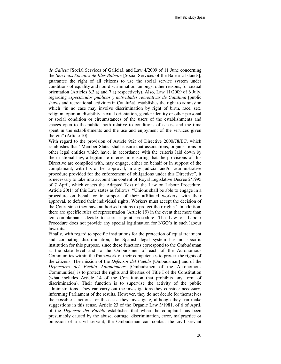*de Galicia* [Social Services of Galicia], and Law 4/2009 of 11 June concerning the *Servicios Sociales de Illes Balears* [Social Services of the Balearic Islands], guarantee the right of all citizens to use the social service system under conditions of equality and non-discrimination, amongst other reasons, for sexual orientation (Articles 6.3.a) and 7.a) respectively). Also, Law 11/2009 of 6 July, regarding *espectáculos públicos y actividades recreativas de Cataluña* [public shows and recreational activities in Cataluña], establishes the right to admission which "in no case may involve discrimination by right of birth, race, sex, religion, opinion, disability, sexual orientation, gender identity or other personal or social condition or circumstances of the users of the establishments and spaces open to the public, both relative to conditions of access and the time spent in the establishments and the use and enjoyment of the services given therein" (Article 10).

With regard to the provision of Article 9(2) of Directive 2000/78/EC, which establishes that "Member States shall ensure that associations, organisations or other legal entities which have, in accordance with the criteria laid down by their national law, a legitimate interest in ensuring that the provisions of this Directive are complied with, may engage, either on behalf or in support of the complainant, with his or her approval, in any judicial and/or administrative procedure provided for the enforcement of obligations under this Directive", it is necessary to take into account the content of Royal Legislative Decree 2/1995 of 7 April, which enacts the Adapted Text of the Law on Labour Procedure. Article 20(1) of this Law states as follows: "Unions shall be able to engage in a procedure on behalf or in support of their affiliated workers, with their approval, to defend their individual rights. Workers must accept the decision of the Court since they have authorised unions to protect their rights". In addition, there are specific rules of representation (Article 19) in the event that more than ten complainants decide to start a joint procedure. The Law on Labour Procedure does not provide any special legitimation for NGO's in such labour lawsuits.

Finally, with regard to specific institutions for the protection of equal treatment and combating discrimination, the Spanish legal system has no specific institution for this purpose, since these functions correspond to the Ombudsman at the state level and to the Ombudsmen of each of the Autonomous Communities within the framework of their competences to protect the rights of the citizens. The mission of the *Defensor del Pueblo* [Ombudsman] and of the *Defensores del Pueblo Autonómicos* [Ombudsmen of the Autonomous Communities] is to protect the rights and liberties of Title I of the Constitution (what includes Article 14 of the Constitution that prohibits any form of discrimination). Their function is to supervise the activity of the public administrations. They can carry out the investigations they consider necessary, informing Parliament of the results. However, they do not decide for themselves the possible sanctions for the cases they investigate, although they can make suggestions in this sense. Article 23 of the Organic Law 3/1981, of 6 of April, of the *Defensor del Pueblo* establishes that when the complaint has been presumably caused by the abuse, outrage, discrimination, error, malpractice or omission of a civil servant, the Ombudsman can contact the civil servant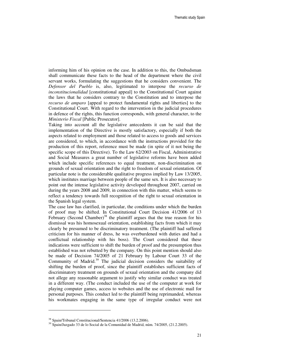informing him of his opinion on the case. In addition to this, the Ombudsman shall communicate these facts to the head of the department where the civil servant works, formulating the suggestions that he considers convenient. The *Defensor del Pueblo* is, also, legitimated to interpose the *recurso de inconstitucionalidad* [constitutional appeal] to the Constitutional Court against the laws that he considers contrary to the Constitution and to interpose the *recurso de amparo* [appeal to protect fundamental rights and liberties] to the Constitutional Court. With regard to the intervention in the judicial procedures in defence of the rights, this function corresponds, with general character, to the *Ministerio Fiscal* [Public Prosecutor].

Taking into account all the legislative antecedents it can be said that the implementation of the Directive is mostly satisfactory, especially if both the aspects related to employment and those related to access to goods and services are considered, to which, in accordance with the instructions provided for the production of this report, reference must be made (in spite of it not being the specific scope of this Directive). To the Law 62/2003 on Fiscal, Administrative and Social Measures a great number of legislative reforms have been added which include specific references to equal treatment, non-discrimination on grounds of sexual orientation and the right to freedom of sexual orientation. Of particular note is the considerable qualitative progress implied by Law 13/2005, which institutes marriage between people of the same sex. It is also necessary to point out the intense legislative activity developed throughout 2007, carried on during the years 2008 and 2009, in connection with this matter, which seems to reflect a tendency towards full recognition of the right to sexual orientation in the Spanish legal system.

The case law has clarified, in particular, the conditions under which the burden of proof may be shifted. In Constitutional Court Decision 41/2006 of 13 February (Second Chamber)<sup>38</sup> the plaintiff argues that the true reason for his dismissal was his homosexual orientation, establishing facts from which it may clearly be presumed to be discriminatory treatment. (The plaintiff had suffered criticism for his manner of dress, he was overburdened with duties and had a conflictual relationship with his boss). The Court considered that these indications were sufficient to shift the burden of proof and the presumption thus established was not rebutted by the company. On this point mention should also be made of Decision 74/2005 of 21 February by Labour Court 33 of the Community of Madrid.<sup>39</sup> The judicial decision considers the suitability of shifting the burden of proof, since the plaintiff establishes sufficient facts of discriminatory treatment on grounds of sexual orientation and the company did not allege any reasonable argument to justify why similar conduct was treated in a different way. (The conduct included the use of the computer at work for playing computer games, access to websites and the use of electronic mail for personal purposes. This conduct led to the plaintiff being reprimanded, whereas his workmates engaging in the same type of irregular conduct were not

<sup>38</sup> Spain/Tribunal Constitucional/Sentencia 41/2006 (13.2.2006).

<sup>39</sup> Spain/Juzgado 33 de lo Social de la Comunidad de Madrid, núm. 74/2005, (21.2.2005).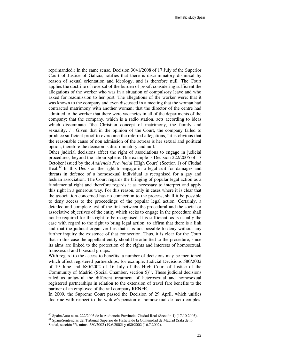reprimanded.) In the same sense, Decision 3041/2008 of 17 July of the Superior Court of Justice of Galicia, ratifies that there is discriminatory dismissal by reason of sexual orientation and ideology, and is therefore null. The Court applies the doctrine of reversal of the burden of proof, considering sufficient the allegations of the worker who was in a situation of compulsory leave and who asked for readmission to her post. The allegations of the worker were: that it was known to the company and even discussed in a meeting that the woman had contracted matrimony with another woman; that the director of the centre had admitted to the worker that there were vacancies in all of the departments of the company; that the company, which is a radio station, acts according to ideas which disseminate "the Christian concept of matrimony, the family and sexuality…". Given that in the opinion of the Court, the company failed to produce sufficient proof to overcome the referred allegations, "it is obvious that the reasonable cause of non admission of the actress is her sexual and political option, therefore the decision is discriminatory and null."

Other judicial decisions affect the right of associations to engage in judicial procedures, beyond the labour sphere. One example is Decision 222/2005 of 17 October issued by the *Audiencia Provincial* [High Court] (Section 1) of Ciudad Real. $40$  In this Decision the right to engage in a legal suit for damages and threats in defence of a homosexual individual is recognised for a gay and lesbian association. The Court regards the bringing of popular legal action as a fundamental right and therefore regards it as necessary to interpret and apply this right in a generous way. For this reason, only in cases where it is clear that the association concerned has no connection to the process, shall it be possible to deny access to the proceedings of the popular legal action. Certainly, a detailed and complete test of the link between the procedural and the social or associative objectives of the entity which seeks to engage in the procedure shall not be required for this right to be recognised. It is sufficient, as is usually the case with regard to the right to bring legal action, to affirm that there is a link and that the judicial organ verifies that it is not possible to deny without any further inquiry the existence of that connection. Thus, it is clear for the Court that in this case the appellant entity should be admitted to the procedure, since its aims are linked to the protection of the rights and interests of homosexual, transsexual and bisexual groups.

With regard to the access to benefits, a number of decisions may be mentioned which affect registered partnerships, for example, Judicial Decisions 580/2002 of 19 June and 680/2002 of 16 July of the High Court of Justice of the Community of Madrid (Social Chamber, section  $5)^{41}$ . These judicial decisions ruled as unlawful the different treatment of heterosexual and homosexual registered partnerships in relation to the extension of travel fare benefits to the partner of an employee of the rail company RENFE.

In 2009, the Supreme Court passed the Decision of 29 April, which unifies doctrine with respect to the widow's pension of homosexual de facto couples.

 $\overline{a}$ 

 $^{40}$  Spain/Auto núm. 222/2005 de la Audiencia Provincial Ciudad Real (Sección 1) (17.10.2005).

<sup>&</sup>lt;sup>41</sup> Spain/Sentencias del Tribunal Superior de Justicia de la Comunidad de Madrid (Sala de lo Social, sección 5ª), núms. 580/2002 (19.6.2002) y 680/2002 (16.7.2002).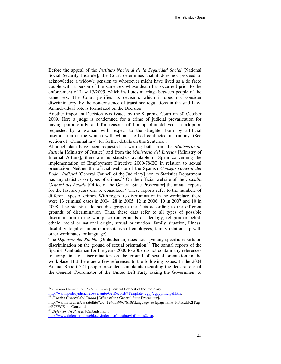Before the appeal of the *Instituto Nacional de la Seguridad Social* [National Social Security Institute], the Court determines that it does not proceed to acknowledge a widow's pension to whosoever might have lived as a de facto couple with a person of the same sex whose death has occurred prior to the enforcement of Law 13/2005, which institutes marriage between people of the same sex. The Court justifies its decision, which it does not consider discriminatory, by the non-existence of transitory regulations in the said Law. An individual vote is formulated on the Decision.

Another important Decision was issued by the Supreme Court on 30 October 2009. Here a judge is condemned for a crime of judicial prevarication for having purposefully and for reasons of homophobia delayed an adoption requested by a woman with respect to the daughter born by artificial insemination of the woman with whom she had contracted matrimony. (See section of "Criminal law" for further details on this Sentence).

Although data have been requested in writing both from the *Ministerio de Justicia* [Ministry of Justice] and from the *Ministerio del Interior* [Ministry of Internal Affairs], there are no statistics available in Spain concerning the implementation of Employment Directive 2000/78/EC in relation to sexual orientation. Neither the official website of the Spanish *Consejo General del Poder Judicial* [General Council of the Judiciary] nor its Statistics Department has any statistics on types of crimes.<sup>42</sup> On the official website of the *Fiscalía General del Estado* [Office of the General State Prosecutor] the annual reports for the last six years can be consulted. $43$  These reports refer to the numbers of different types of crimes. With regard to discrimination in the workplace, there were 13 criminal cases in 2004, 28 in 2005, 12 in 2006, 10 in 2007 and 10 in 2008. The statistics do not disaggregate the facts according to the different grounds of discrimination. Thus, these data refer to all types of possible discrimination in the workplace (on grounds of ideology, religion or belief, ethnic, racial or national origin, sexual orientation, family situation, illness, disability, legal or union representative of employees, family relationship with other workmates, or language).

The *Defensor del Pueblo* [Ombudsman] does not have any specific reports on discrimination on the ground of sexual orientation.<sup>45</sup> The annual reports of the Spanish Ombudsman for the years 2000 to 2007 do not contain any references to complaints of discrimination on the ground of sexual orientation in the workplace. But there are a few references to the following issues: In the 2004 Annual Report 521 people presented complaints regarding the declarations of the General Coordinator of the United Left Party asking the Government to

http://www.poderjudicial.es/eversuite/GetRecords?Template=cgpj/cgpj/principal.htm. <sup>43</sup> *Fiscalía General del Estado* [Office of the General State Prosecutor],

<sup>45</sup> *Defensor del Pueblo* [Ombudsman],

-

<sup>42</sup> *Consejo General del Poder Judicial* [General Council of the Judiciary],

http://www.fiscal.es/cs/Satellite?cid=1240559967610&language=es&pagename=PFiscal%2FPag e%2FFGE\_sinContenido

http://www.defensordelpueblo.es/index.asp?destino=informes2.asp.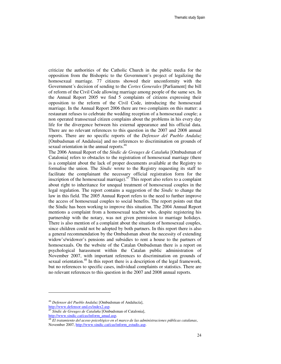criticize the authorities of the Catholic Church in the public media for the opposition from the Bishopric to the Government´s project of legalizing the homosexual marriage. 77 citizens showed their unconformity with the Government´s decision of sending to the *Cortes Generales* [Parliament] the bill of reform of the Civil Code allowing marriage among people of the same sex. In the Annual Report 2005 we find 5 complaints of citizens expressing their opposition to the reform of the Civil Code, introducing the homosexual marriage. In the Annual Report 2006 there are two complaints on this matter: a restaurant refuses to celebrate the wedding reception of a homosexual couple; a non operated transsexual citizen complains about the problems in his every day life for the divergence between his external appearance and his official data. There are no relevant references to this question in the 2007 and 2008 annual reports. There are no specific reports of the *Defensor del Pueblo Andaluz* [Ombudsman of Andalusia] and no references to discrimination on grounds of sexual orientation in the annual reports.<sup>46</sup>

The 2006 Annual Report of the *Síndic de Greuges de Cataluña* [Ombudsman of Catalonia] refers to obstacles to the registration of homosexual marriage (there is a complaint about the lack of proper documents available at the Registry to formalise the union. The *Síndic* wrote to the Registry requesting its staff to facilitate the complainant the necessary official registration form for the inscription of the homosexual marriage). $4^7$  This report also refers to a complaint about right to inheritance for unequal treatment of homosexual couples in the legal regulation. The report contains a suggestion of the *Sindic* to change the law in this field. The 2005 Annual Report refers to the need to further improve the access of homosexual couples to social benefits. The report points out that the Síndic has been working to improve this situation. The 2004 Annual Report mentions a complaint from a homosexual teacher who, despite registering his partnership with the notary, was not given permission to marriage holidays. There is also mention of a complaint about the situation of homosexual couples, since children could not be adopted by both partners. In this report there is also a general recommendation by the Ombudsman about the necessity of extending widow's/widower's pensions and subsidies to rent a house to the partners of homosexuals. On the website of the Catalan Ombudsman there is a report on psychological harassment within the Catalan public administration of November 2007, with important references to discrimination on grounds of sexual orientation.<sup>48</sup> In this report there is a description of the legal framework, but no references to specific cases, individual complaints or statistics. There are no relevant references to this question in the 2007 and 2008 annual reports.

 $\overline{a}$ 

<sup>46</sup> *Defensor del Pueblo Andaluz* [Ombudsman of Andalucía], http://www.defensor-and.es/index2.asp.

<sup>47</sup> *Síndic de Greuges de Cataluña* [Ombudsman of Catalonia], http://www.sindic.cat/cas/inform\_anual.asp.

<sup>48</sup> *El tratamiento del acoso psicológico en el marco de las administraciones públicas catalanas*, November 2007, http://www.sindic.cat/cas/inform\_estudis.asp.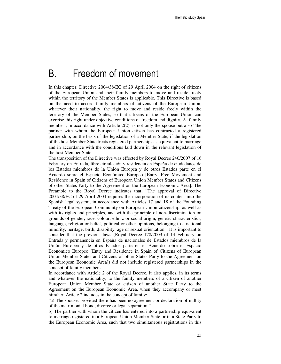### B. Freedom of movement

In this chapter, Directive 2004/38/EC of 29 April 2004 on the right of citizens of the European Union and their family members to move and reside freely within the territory of the Member States is applicable. This Directive is based on the need to accord family members of citizens of the European Union, whatever their nationality, the right to move and reside freely within the territory of the Member States, so that citizens of the European Union can exercise this right under objective conditions of freedom and dignity. A 'family member', in accordance with Article 2(2), is not only the spouse but also "the partner with whom the European Union citizen has contracted a registered partnership, on the basis of the legislation of a Member State, if the legislation of the host Member State treats registered partnerships as equivalent to marriage and in accordance with the conditions laid down in the relevant legislation of the host Member State".

The transposition of the Directive was effected by Royal Decree 240/2007 of 16 February on Entrada, libre circulación y residencia en España de ciudadanos de los Estados miembros de la Unión Europea y de otros Estados parte en el Acuerdo sobre el Espacio Económico Europeo [Entry, Free Movement and Residence in Spain of Citizens of European Union Member States and Citizens of other States Party to the Agreement on the European Economic Area]. The Preamble to the Royal Decree indicates that, "The approval of Directive 2004/38/EC of 29 April 2004 requires the incorporation of its content into the Spanish legal system, in accordance with Articles 17 and 18 of the Founding Treaty of the European Community on European Union citizenship, as well as with its rights and principles, and with the principle of non-discrimination on grounds of gender, race, colour, ethnic or social origin, genetic characteristics, language, religion or belief, political or other opinions, belonging to a national minority, heritage, birth, disability, age or sexual orientation". It is important to consider that the previous laws (Royal Decree 178/2003 of 14 February on Entrada y permanencia en España de nacionales de Estados miembros de la Unión Europea y de otros Estados parte en el Acuerdo sobre el Espacio Económico Europeo [Entry and Residence in Spain of Citizens of European Union Member States and Citizens of other States Party to the Agreement on the European Economic Area]) did not include registered partnerships in the concept of family members.

In accordance with Article 2 of the Royal Decree, it also applies, in its terms and whatever the nationality, to the family members of a citizen of another European Union Member State or citizen of another State Party to the Agreement on the European Economic Area, when they accompany or meet him/her. Article 2 includes in the concept of family:

"a) The spouse, provided there has been no agreement or declaration of nullity of the matrimonial bond, divorce or legal separation."

b) The partner with whom the citizen has entered into a partnership equivalent to marriage registered in a European Union Member State or in a State Party to the European Economic Area, such that two simultaneous registrations in this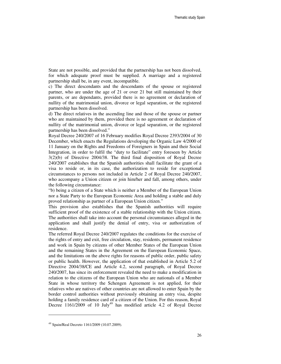State are not possible, and provided that the partnership has not been dissolved, for which adequate proof must be supplied. A marriage and a registered partnership shall be, in any event, incompatible.

c) The direct descendants and the descendants of the spouse or registered partner, who are under the age of 21 or over 21 but still maintained by their parents, or are dependants, provided there is no agreement or declaration of nullity of the matrimonial union, divorce or legal separation, or the registered partnership has been dissolved.

d) The direct relatives in the ascending line and those of the spouse or partner who are maintained by them, provided there is no agreement or declaration of nullity of the matrimonial union, divorce or legal separation, or the registered partnership has been dissolved."

Royal Decree 240/2007 of 16 February modifies Royal Decree 2393/2004 of 30 December, which enacts the Regulations developing the Organic Law 4/2000 of 11 January on the Rights and Freedoms of Foreigners in Spain and their Social Integration, in order to fulfil the "duty to facilitate" entry foreseen by Article 3(2)(b) of Directive 2004/38. The third final disposition of Royal Decree 240/2007 establishes that the Spanish authorities shall facilitate the grant of a visa to reside or, in its case, the authorization to reside for exceptional circumstances to persons not included in Article 2 of Royal Decree 240/2007, who accompany a Union citizen or join him/her and fall, among others, under the following circumstance:

"b) being a citizen of a State which is neither a Member of the European Union nor a State Party to the European Economic Area and holding a stable and duly proved relationship as partner of a European Union citizen."

This provision also establishes that the Spanish authorities will require sufficient proof of the existence of a stable relationship with the Union citizen. The authorities shall take into account the personal circumstances alleged in the application and shall justify the denial of entry, visa or authorization of residence.

The referred Royal Decree 240/2007 regulates the conditions for the exercise of the rights of entry and exit, free circulation, stay, residents, permanent residence and work in Spain by citizens of other Member States of the European Union and the remaining States in the Agreement on the European Economic Space, and the limitations on the above rights for reasons of public order, public safety or public health. However, the application of that established in Article 5.2 of Directive 2004/38/CE and Article 4.2, second paragraph, of Royal Decree 240/2007, has since its enforcement revealed the need to make a modification in relation to the citizens of the European Union who are nationals of a Member State in whose territory the Schengen Agreement is not applied, for their relatives who are natives of other countries are not allowed to enter Spain by the border control authorities without previously obtaining an entry visa, despite holding a family residence card of a citizen of the Union. For this reason, Royal Decree  $1161/2009$  of 10 July<sup>49</sup> has modified article 4.2 of Royal Decree

<sup>49</sup> Spain/Real Decreto 1161/2009 (10.07.2009).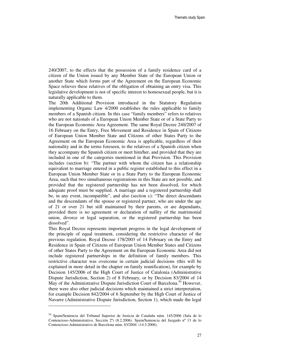240/2007, to the effects that the possession of a family residence card of a citizen of the Union issued by any Member State of the European Union or another State which forms part of the Agreement on the European Economic Space relieves these relatives of the obligation of obtaining an entry visa. This legislative development is not of specific interest to homosexual people, but it is naturally applicable to them.

The 20th Additional Provision introduced in the Statutory Regulation implementing Organic Law 4/2000 establishes the rules applicable to family members of a Spanish citizen. In this case "family members" refers to relatives who are not nationals of a European Union Member State or of a State Party to the European Economic Area Agreement. The same Royal Decree 240/2007 of 16 February on the Entry, Free Movement and Residence in Spain of Citizens of European Union Member State and Citizens of other States Party to the Agreement on the European Economic Area is applicable, regardless of their nationality and in the terms foreseen, to the relatives of a Spanish citizen when they accompany the Spanish citizen or meet him/her, and provided that they are included in one of the categories mentioned in that Provision. This Provision includes (section b): "The partner with whom the citizen has a relationship equivalent to marriage entered in a public register established to this effect in a European Union Member State or in a State Party to the European Economic Area, such that two simultaneous registrations in this State are not possible, and provided that the registered partnership has not been dissolved, for which adequate proof must be supplied. A marriage and a registered partnership shall be, in any event, incompatible", and also (section c): "The direct descendants and the descendants of the spouse or registered partner, who are under the age of 21 or over 21 but still maintained by their parents, or are dependants, provided there is no agreement or declaration of nullity of the matrimonial union, divorce or legal separation, or the registered partnership has been dissolved".

This Royal Decree represents important progress in the legal development of the principle of equal treatment, considering the restrictive character of the previous regulation. Royal Decree 178/2003 of 14 February on the Entry and Residence in Spain of Citizens of European Union Member States and Citizens of other States Party to the Agreement on the European Economic Area did not include registered partnerships in the definition of family members. This restrictive character was overcome in certain judicial decisions (this will be explained in more detail in the chapter on family reunification), for example by Decision 145/2006 of the High Court of Justice of Catalonia (Administrative Dispute Jurisdiction, Section 2) of 8 February, or by Decision 83/2004 of 14 May of the Administrative Dispute Jurisdiction Court of Barcelona.<sup>50</sup> However, there were also other judicial decisions which maintained a strict interpretation, for example Decision 842/2004 of 6 September by the High Court of Justice of Navarre (Administrative Dispute Jurisdiction, Section 1), which made the legal

 $\overline{a}$ 

<sup>50</sup> Spain/Sentencia del Tribunal Superior de Justicia de Cataluña núm. 145/2006 (Sala de lo Contencioso-Administrativo, Sección 2ª) (8.2.2006). Spain/Sentencia del Juzgado nº 13 de lo Contencioso-Administrativo de Barcelona núm. 83/2004 (14.5.2006).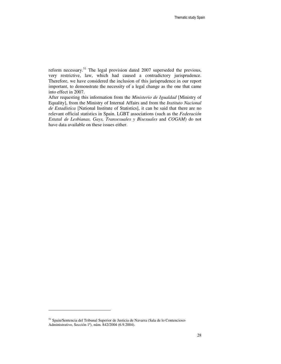reform necessary.<sup>51</sup> The legal provision dated 2007 superseded the previous, very restrictive, law, which had caused a contradictory jurisprudence. Therefore, we have considered the inclusion of this jurisprudence in our report important, to demonstrate the necessity of a legal change as the one that came into effect in 2007.

After requesting this information from the *Ministerio de Igualdad* [Ministry of Equality], from the Ministry of Internal Affairs and from the *Instituto Nacional de Estadística* [National Institute of Statistics], it can be said that there are no relevant official statistics in Spain. LGBT associations (such as the *Federación Estatal de Lesbianas, Gays, Transexuales y Bisexuales* and *COGAM*) do not have data available on these issues either.

<sup>51</sup> Spain/Sentencia del Tribunal Superior de Justicia de Navarra (Sala de lo Contencioso-Administrativo, Sección 1ª), núm. 842/2004 (6.9.2004).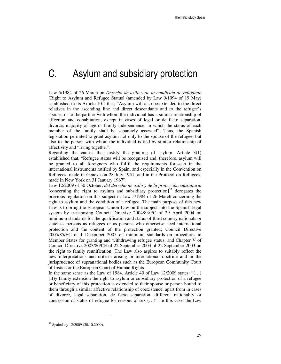# C. Asylum and subsidiary protection

Law 5/1984 of 26 March on *Derecho de asilo y de la condición de refugiado*  [Right to Asylum and Refugee Status] (amended by Law 9/1994 of 19 May) established in its Article 10.1 that, "Asylum will also be extended to the direct relatives in the ascending line and direct descendants and to the refugee's spouse, or to the partner with whom the individual has a similar relationship of affection and cohabitation, except in cases of legal or de facto separation, divorce, majority of age or family independence, in which the status of each member of the family shall be separately assessed". Thus, the Spanish legislation permited to grant asylum not only to the spouse of the refugee, but also to the person with whom the individual is tied by similar relationship of affectivity and "living together".

Regarding the causes that justify the granting of asylum, Article  $3(1)$ established that, "Refugee status will be recognised and, therefore, asylum will be granted to all foreigners who fulfil the requirements foreseen in the international instruments ratified by Spain, and especially in the Convention on Refugees, made in Geneva on 28 July 1951, and in the Protocol on Refugees, made in New York on 31 January 1967".

Law 12/2009 of 30 October, *del derecho de asilo y de la protección subsidiaria* [concerning the right to asylum and subsidiary protection]<sup>52</sup> derogates the previous regulation on this subject in Law 5/1984 of 26 March concerning the right to asylum and the condition of a refugee. The main purpose of this new Law is to bring the European Union Law on the subject into the Spanish legal system by transposing Council Directive 2004/83/EC of 29 April 2004 on minimum standards for the qualification and status of third country nationals or stateless persons as refugees or as persons who otherwise need international protection and the content of the protection granted; Council Directive 2005/85/EC of 1 December 2005 on minimum standards on procedures in Member States for granting and withdrawing refugee status; and Chapter V of Council Directive 2003/86/CE of 22 September 2003 of 22 September 2003 on the right to family reunification. The Law also aspires to suitably reflect the new interpretations and criteria arising in international doctrine and in the jurisprudence of supranational bodies such as the European Community Court of Justice or the European Court of Human Rights.

In the same sense as the Law of 1984, Article 40 of Law  $12/2009$  states: "(...) (B)y family extension the right to asylum or subsidiary protection of a refugee or beneficiary of this protection is extended to their spouse or person bound to them through a similar affective relationship of coexistence, apart from in cases of divorce, legal separation, de facto separation, different nationality or concession of status of refugee for reasons of sex (…)". In this case, the Law

<sup>52</sup> Spain/Ley 12/2009 (30.10.2009).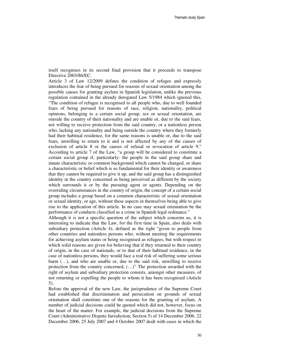itself recognises in its second final provision that it proceeds to transpose Directive 2003/86/EC.

Article 3 of Law 12/2009 defines the condition of refugee and expressly introduces the fear of being pursued for reasons of sexual orientation among the possible causes for granting asylum in Spanish legislation, unlike the previous regulation contained in the already derogated Law 5/1984 which ignored this, "The condition of refugee is recognised to all people who, due to well founded fears of being pursued for reasons of race, religion, nationality, political opinions, belonging to a certain social group, sex or sexual orientation, are outside the country of their nationality and are unable or, due to the said fears, not willing to receive protection from the said country, or a nationless person who, lacking any nationality and being outside the country where they formerly had their habitual residence, for the same reasons is unable or, due to the said fears, unwilling to return to it and is not affected by any of the causes of exclusion of article 8 or the causes of refusal or revocation of article 9." According to article 7 of the Law, "a group will be considered to constitute a certain social group if, particularly: the people in the said group share and innate characteristic or common background which cannot be changed, or share a characteristic or belief which is so fundamental for their identity or awareness that they cannot be required to give it up, and the said group has a distinguished identity in the country concerned as being perceived as different by the society which surrounds it or by the pursuing agent or agents. Depending on the overriding circumstances in the country of origin, the concept of a certain social group includes a group based on a common characteristic of sexual orientation or sexual identity, or age, without these aspects in themselves being able to give rise to the application of this article. In no case may sexual orientation be the performance of conducts classified as a crime in Spanish legal ordinance."

Although it is not a specific question of the subject which concerns us, it is interesting to indicate that the Law, for the first time in Spain, also deals with subsidiary protection (Article 4), defined as the right "given to people from other countries and nationless persons who, without meeting the requirements for achieving asylum status or being recognised as refugees, but with respect to which solid reasons are given for believing that if they returned to their country of origin, in the case of nationals, or to that of their habitual residence, in the case of nationless persons, they would face a real risk of suffering some serious harm  $(...)$ , and who are unable or, due to the said risk, unwilling to receive protection from the country concerned, (…)" The protection awarded with the right of asylum and subsidiary protection consists, amongst other measures, of not returning or expelling the people to whom it has been recognised (Article 5).

Before the approval of the new Law, the jurisprudence of the Supreme Court had established that discrimination and persecution on grounds of sexual orientation shall constitute one of the reasons for the granting of asylum. A number of judicial decisions could be quoted which did not, however, focus on the heart of the matter. For example, the judicial decisions from the Supreme Court (Administrative Dispute Jurisdiction, Section 5) of 14 December 2006, 22 December 2006, 25 July 2007 and 4 October 2007 dealt with cases in which the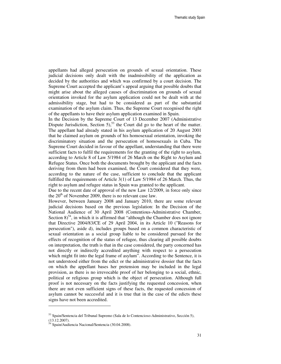appellants had alleged persecution on grounds of sexual orientation. These judicial decisions only dealt with the inadmissibility of the application as decided by the authorities and which was confirmed by a court decision. The Supreme Court accepted the applicant's appeal arguing that possible doubts that might arise about the alleged causes of discrimination on grounds of sexual orientation invoked for the asylum application could not be dealt with at the admissibility stage, but had to be considered as part of the substantial examination of the asylum claim. Thus, the Supreme Court recognised the right of the appellants to have their asylum application examined in Spain.

In the Decision by the Supreme Court of 13 December 2007 (Administrative Dispute Jurisdiction, Section 5),<sup>53</sup> the Court did go to the heart of the matter. The appellant had already stated in his asylum application of 20 August 2001 that he claimed asylum on grounds of his homosexual orientation, invoking the discriminatory situation and the persecution of homosexuals in Cuba. The Supreme Court decided in favour of the appellant, understanding that there were sufficient facts to fulfil the requirements for the granting of the right to asylum, according to Article 8 of Law 5/1984 of 26 March on the Right to Asylum and Refugee Status. Once both the documents brought by the applicant and the facts deriving from them had been examined, the Court considered that they were, according to the nature of the case, sufficient to conclude that the applicant fulfilled the requirements of Article 3(1) of Law 5/1984 of 26 March. Thus, the right to asylum and refugee status in Spain was granted to the applicant.

Due to the recent date of approval of the new Law 12/2009, in force only since the  $20<sup>th</sup>$  of November 2009, there is no relevant case law.

However, between January 2008 and January 2010, there are some relevant judicial decisions based on the previous legislation: In the Decision of the National Audience of 30 April 2008 (Contentious-Administrative Chamber, Section  $8^{54}$ , in which it is affirmed that "although the Chamber does not ignore that Directive 2004/83/CE of 29 April 2004, in its Article 10 ("Reasons for persecution"), aside d), includes groups based on a common characteristic of sexual orientation as a social group liable to be considered pursued for the effects of recognition of the status of refugee, thus clearing all possible doubts on interpretation, the truth is that in the case considered, the party concerned has not directly or indirectly accredited anything with respect to a persecution which might fit into the legal frame of asylum". According to the Sentence, it is not understood either from the edict or the administrative dossier that the facts on which the appellant bases her pretension may be included in the legal provision, as there is no irrevocable proof of her belonging to a social, ethnic, political or religious group which is the object of persecution. Although full proof is not necessary on the facts justifying the requested concession, when there are not even sufficient signs of these facts, the requested concession of asylum cannot be successful and it is true that in the case of the edicts these signs have not been accredited.

 $\overline{a}$ 

<sup>53</sup> Spain/Sentencia del Tribunal Supremo (Sala de lo Contencioso-Administrativo, Sección 5), (13.12.2007).

<sup>54</sup> Spain/Audiencia Nacional/Sentencia (30.04.2008).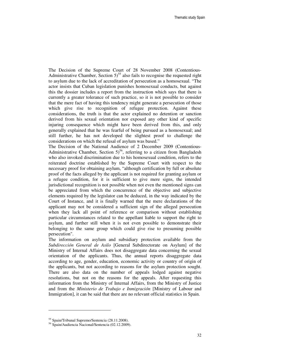The Decision of the Supreme Court of 28 November 2008 (Contentious-Administrative Chamber, Section  $5$ <sup>55</sup> also fails to recognise the requested right to asylum due to the lack of accreditation of persecution as a homosexual. "The actor insists that Cuban legislation punishes homosexual conducts, but against this the dossier includes a report from the instruction which says that there is currently a greater tolerance of such practice, so it is not possible to consider that the mere fact of having this tendency might generate a persecution of those which give rise to recognition of refugee protection. Against these considerations, the truth is that the actor explained no detention or sanction derived from his sexual orientation nor exposed any other kind of specific injuring consequence which might have been derived from this, and only generally explained that he was fearful of being pursued as a homosexual; and still further, he has not developed the slightest proof to challenge the considerations on which the refusal of asylum was based."

The Decision of the National Audience of 2 December 2009 (Contentious-Administrative Chamber, Section  $5^{56}$ , referring to a citizen from Bangladesh who also invoked discrimination due to his homosexual condition, refers to the reiterated doctrine established by the Supreme Court with respect to the necessary proof for obtaining asylum, "although certification by full or absolute proof of the facts alleged by the applicant is not required for granting asylum or a refugee condition, for it is sufficient to give mere signs, the intended jurisdictional recognition is not possible when not even the mentioned signs can be appreciated from which the concurrence of the objective and subjective elements required by the legislator can be deduced, in the way indicated by the Court of Instance, and it is finally warned that the mere declarations of the applicant may not be considered a sufficient sign of the alleged persecution when they lack all point of reference or comparison without establishing particular circumstances related to the appellant liable to support the right to asylum, and further still when it is not even possible to demonstrate their belonging to the same group which could give rise to presuming possible persecution".

The information on asylum and subsidiary protection available from the *Subdirección General de Asilo* [General Subdirectorate on Asylum] of the Ministry of Internal Affairs does not disaggregate data concerning the sexual orientation of the applicants. Thus, the annual reports disaggregate data according to age, gender, education, economic activity or country of origin of the applicants, but not according to reasons for the asylum protection sought. There are also data on the number of appeals lodged against negative resolutions, but not on the reasons for the appeals. After requesting this information from the Ministry of Internal Affairs, from the Ministry of Justice and from the *Ministerio de Trabajo e Inmigración* [Ministry of Labour and Immigration], it can be said that there are no relevant official statistics in Spain.

<sup>55</sup> Spain/Tribunal Supremo/Sentencia (28.11.2008).

<sup>56</sup> Spain/Audiencia Nacional/Sentencia (02.12.2009).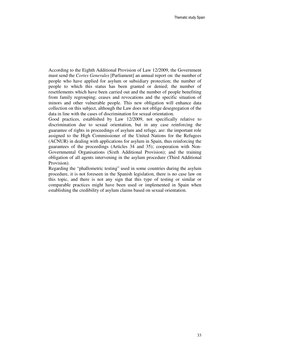According to the Eighth Additional Provision of Law 12/2009, the Government must send the *Cortes Generales* [Parliament] an annual report on: the number of people who have applied for asylum or subsidiary protection; the number of people to which this status has been granted or denied; the number of resettlements which have been carried out and the number of people benefiting from family regrouping; ceases and revocations and the specific situation of minors and other vulnerable people. This new obligation will enhance data collection on this subject, although the Law does not oblige desegregation of the data in line with the cases of discrimination for sexual orientation.

Good practices, established by Law 12/2009, not specifically relative to discrimination due to sexual orientation, but in any case reinforcing the guarantee of rights in proceedings of asylum and refuge, are: the important role assigned to the High Commissioner of the United Nations for the Refugees (ACNUR) in dealing with applications for asylum in Spain, thus reinforcing the guarantees of the proceedings (Articles 34 and 35); cooperation with Non-Governmental Organisations (Sixth Additional Provision); and the training obligation of all agents intervening in the asylum procedure (Third Additional Provision).

Regarding the "phallometric testing" used in some countries during the asylum procedure, it is not foreseen in the Spanish legislation, there is no case law on this topic, and there is not any sign that this type of testing or similar or comparable practices might have been used or implemented in Spain when establishing the credibility of asylum claims based on sexual orientation.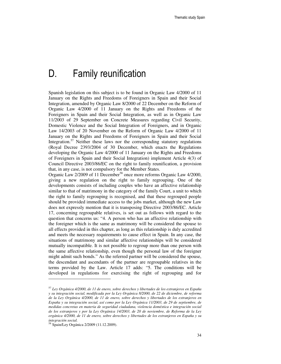## D. Family reunification

Spanish legislation on this subject is to be found in Organic Law 4/2000 of 11 January on the Rights and Freedoms of Foreigners in Spain and their Social Integration, amended by Organic Law 8/2000 of 22 December on the Reform of Organic Law 4/2000 of 11 January on the Rights and Freedoms of the Foreigners in Spain and their Social Integration, as well as in Organic Law 11/2003 of 29 September on Concrete Measures regarding Civil Security, Domestic Violence and the Social Integration of Foreigners, and in Organic Law 14/2003 of 20 November on the Reform of Organic Law 4/2000 of 11 January on the Rights and Freedoms of Foreigners in Spain and their Social Integration.<sup>57</sup> Neither these laws nor the corresponding statutory regulations (Royal Decree 2393/2004 of 30 December, which enacts the Regulations developing the Organic Law 4/2000 of 11 January on the Rights and Freedoms of Foreigners in Spain and their Social Integration) implement Article 4(3) of Council Directive 2003/86/EC on the right to family reunification, a provision that, in any case, is not compulsory for the Member States.

Organic Law 2/2009 of 11 December<sup>58</sup> once more reforms Organic Law 4/2000, giving a new regulation on the right to family regrouping. One of the developments consists of including couples who have an affective relationship similar to that of matrimony in the category of the family Court, a unit to which the right to family regrouping is recognised, and that these regrouped people should be provided immediate access to the jobs market, although the new Law does not expressly mention that it is transposing Directive 2003/86/EC. Article 17, concerning regroupable relatives, is set out as follows with regard to the question that concerns us: "4. A person who has an affective relationship with the foreigner which is the same as matrimony will be considered the spouse to all effects provided in this chapter, as long as this relationship is duly accredited and meets the necessary requirements to cause effect in Spain. In any case, the situations of matrimony and similar affective relationships will be considered mutually incompatible. It is not possible to regroup more than one person with the same affective relationship, even though the personal law of the foreigner might admit such bonds." As the referred partner will be considered the spouse, the descendant and ascendants of the partner are regroupable relatives in the terms provided by the Law. Article 17 adds: "5. The conditions will be developed in regulations for exercising the right of regrouping and for

-

<sup>57</sup> *Ley Orgánica 4/2000, de 11 de enero, sobre derechos y libertades de los extranjeros en España y su integración social, modificada por la Ley Orgánica 8/2000, de 22 de diciembre, de reforma de la Ley Orgánica 4/2000, de 11 de enero, sobre derechos y libertades de los extranjeros en España y su integración social, así como por la Ley Orgánica 11/2003, de 29 de septiembre, de medidas concretas en materia de seguridad ciudadana, violencia doméstica e integración social de los extranjeros y por la Ley Orgánica 14/2003, de 20 de noviembre, de Reforma de la Ley orgánica 4/2000, de 11 de enero, sobre derechos y libertades de los extranjeros en España y su integración social.*

<sup>58</sup> Spain/Ley Orgánica 2/2009 (11.12.2009).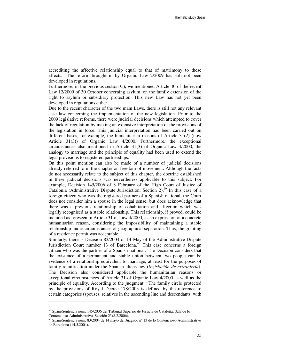accrediting the affective relationship equal to that of matrimony to these effects." The reform brought in by Organic Law 2/2009 has still not been developed in regulations.

Furthermore, in the previous section C), we mentioned Article 40 of the recent Law 12/2009 of 30 October concerning asylum, on the family extension of the right to asylum or subsidiary protection. This new Law has not yet been developed in regulations either.

Due to the recent character of the two main Laws, there is still not any relevant case law concerning the implementation of the new legislation. Prior to the 2009 legislative reforms, there were judicial decisions which attempted to cover the lack of regulation by making an extensive interpretation of the provisions of the legislation in force. This judicial interpretation had been carried out on different bases, for example, the humanitarian reasons of Article 31(2) (now Article 31(3)) of Organic Law 4/2000. Furthermore, the exceptional circumstances also mentioned in Article 31(3) of Organic Law 4/2000, the analogy to marriage and the principle of equality had been used to extend the legal provisions to registered partnerships.

On this point mention can also be made of a number of judicial decisions already referred to in the chapter on freedom of movement. Although the facts do not necessarily relate to the subject of this chapter, the doctrine established in these judicial decisions was nevertheless applicable to this subject. For example, Decision 145/2006 of 8 February of the High Court of Justice of Catalonia (Administrative Dispute Jurisdiction, Section 2).<sup>59</sup> In this case of a foreign citizen who was the registered partner of a Spanish national, the Court does not consider him a spouse in the legal sense, but does acknowledge that there was a previous relationship of cohabitation and affection which was legally recognised as a stable relationship. This relationship, if proved, could be included as foreseen in Article 31 of Law 4/2000, as an expression of a concrete humanitarian reason, considering the impossibility of maintaining a stable relationship under circumstances of geographical separation. Thus, the granting of a residence permit was acceptable.

Similarly, there is Decision 83/2004 of 14 May of the Administrative Dispute Jurisdiction Court number 13 of Barcelona. $^{60}$  This case concerns a foreign citizen who was the partner of a Spanish national. The Decision considers that the existence of a permanent and stable union between two people can be evidence of a relationship equivalent to marriage, at least for the purposes of family reunification under the Spanish aliens law (*legislación de extranjería*). The Decision also considered applicable the humanitarian reasons or exceptional circumstances of Article 31 of Organic Law 4/2000 as well as the principle of equality. According to the judgment, "The family circle protected by the provisions of Royal Decree 178/2003 is defined by the reference to certain categories (spouses, relatives in the ascending line and descendants, with

<sup>59</sup> Spain/Sentencia núm. 145/2006 del Tribunal Superior de Justicia de Cataluña, Sala de lo Contencioso-Administrativo, Sección 2ª (8.2.2006).

<sup>60</sup> Spain/Sentencia núm. 83/2004 de 14 mayo del Juzgado nº 13 de lo Contencioso-Administrativo de Barcelona (14.5.2004).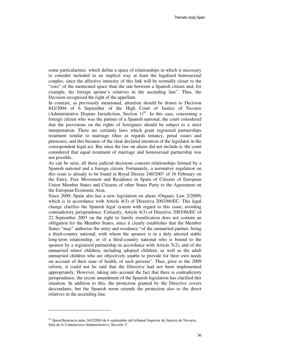some particularities which define a space of relationships in which is necessary to consider included in an implicit way at least the legalised homosexual couples, since the affective intensity of this link will be normally closer to the "core" of the mentioned space than the one between a Spanish citizen and, for example, his foreign spouse's relatives in the ascending line". Thus, the Decision recognised the right of the appellant.

In contrast, as previously mentioned, attention should be drawn to Decision 842/2004 of 6 September of the High Court of Justice of Navarre (Administrative Dispute Jurisdiction, Section  $1$ <sup>61</sup>. In this case, concerning a foreign citizen who was the partner of a Spanish national, the court considered that the provisions on the rights of foreigners should be subject to a strict interpretation. There are certainly laws which grant registered partnerships treatment similar to marriage (thus as regards tenancy, penal issues and pensions), and this because of the clear declared intention of the legislator in the correspondent legal act. But since the law on aliens did not include it, the court considered that equal treatment of marriage and homosexual partnership was not possible.

As can be seen, all these judicial decisions concern relationships formed by a Spanish national and a foreign citizen. Fortunately, a normative regulation on this issue is already to be found in Royal Decree 240/2007 of 16 February on the Entry, Free Movement and Residence in Spain of Citizens of European Union Member States and Citizens of other States Party to the Agreement on the European Economic Area.

Since 2009, Spain also has a new legislation on aliens (Organic Law 2/2009) which is in accordance with Article 4(3) of Directiva 2003/86/EC. This legal change clarifies the Spanish legal system with regard to this issue, avoiding contradictory jurisprudence. Certainly, Article 4(3) of Directive 2003/86/EC of 22 September 2003 on the right to family reunification does not contain an obligation for the Member States, since it clearly establishes that the Member States "may" authorise the entry and residence "of the unmarried partner, being a third-country national, with whom the sponsor is in a duly attested stable long-term relationship, or of a third-country national who is bound to the sponsor by a registered partnership in accordance with Article 5(2), and of the unmarried minor children, including adopted children, as well as the adult unmarried children who are objectively unable to provide for their own needs on account of their state of health, of such persons". Thus, prior to the 2009 reform, it could not be said that the Directive had not been implemented appropriately. However, taking into account the fact that there is contradictory jurisprudence, the recent amendment of the Spanish legislation has clarified this situation. In addition to this, the protection granted by the Directive covers descendants, but the Spanish norm extends the protection also to the direct relatives in the ascending line.

 $<sup>61</sup>$  Spain/Sentencia núm. 842/2004 de 6 septiembre del tribunal Superior de Justicia de Navarra,</sup> Sala de lo Contencioso-Administrativo, Sección 1ª.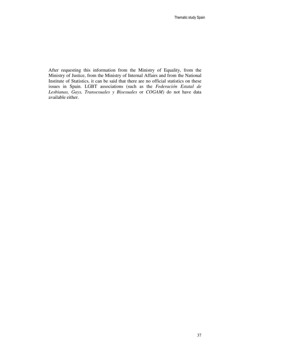After requesting this information from the Ministry of Equality, from the Ministry of Justice, from the Ministry of Internal Affairs and from the National Institute of Statistics, it can be said that there are no official statistics on these issues in Spain. LGBT associations (such as the *Federación Estatal de Lesbianas, Gays, Transexuales y Bisexuales* or *COGAM)* do not have data available either.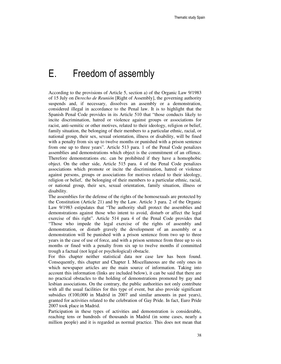# E. Freedom of assembly

According to the provisions of Article 5, section a) of the Organic Law 9/1983 of 15 July on *Derecho de Reunión* [Right of Assembly], the governing authority suspends and, if necessary, dissolves an assembly or a demonstration, considered illegal in accordance to the Penal law. It is to highlight that the Spanish Penal Code provides in its Article 510 that "those conducts likely to incite discrimination, hatred or violence against groups or associations for racist, anti-semitic or other motives, related to their ideology, religion or belief, family situation, the belonging of their members to a particular ethnic, racial, or national group, their sex, sexual orientation, illness or disability, will be fined with a penalty from six up to twelve months or punished with a prison sentence from one up to three years". Article 513 para. 1 of the Penal Code penalizes assemblies and demonstrations which object is the commitment of an offence. Therefore demonstrations etc. can be prohibited if they have a homophobic object. On the other side, Article 515 para. 4 of the Penal Code penalizes associations which promote or incite the discrimination, hatred or violence against persons, groups or associations for motives related to their ideology, religion or belief, the belonging of their members to a particular ethnic, racial, or national group, their sex, sexual orientation, family situation, illness or disability.

The assemblies for the defense of the rights of the homosexuals are protected by the Constitution (Article 21) and by the Law. Article 3 para. 2 of the Organic Law 9/1983 estipulates that "The authority shall protect the assemblies and demonstrations against those who intent to avoid, disturb or affect the legal exercise of this right". Article 514 para 4 of the Penal Code provides that "Those who impede the legal exercise of the rights of assembly and demonstration, or disturb gravely the development of an assembly or a demonstration will be punished with a prison sentence from two up to three years in the case of use of force, and with a prison sentence from three up to six months or fined with a penalty from six up to twelve months if committed trough a factual (not legal or psychological) obstacle.

For this chapter neither statistical data nor case law has been found. Consequently, this chapter and Chapter I. Miscellaneous are the only ones in which newspaper articles are the main source of information. Taking into account this information (links are included below), it can be said that there are no practical obstacles to the holding of demonstrations promoted by gay and lesbian associations. On the contrary, the public authorities not only contribute with all the usual facilities for this type of event, but also provide significant subsidies ( $\epsilon$ 100,000 in Madrid in 2007 and similar amounts in past years), granted for activities related to the celebration of Gay Pride. In fact, Euro Pride 2007 took place in Madrid.

Participation in these types of activities and demonstration is considerable, reaching tens or hundreds of thousands in Madrid (in some cases, nearly a million people) and it is regarded as normal practice. This does not mean that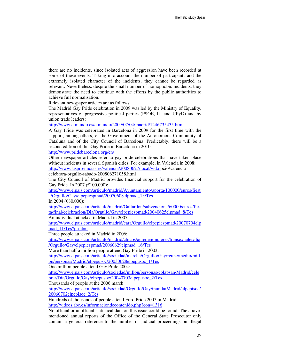there are no incidents, since isolated acts of aggression have been recorded at some of these events. Taking into account the number of participants and the extremely isolated character of the incidents, they cannot be regarded as relevant. Nevertheless, despite the small number of homophobic incidents, they demonstrate the need to continue with the efforts by the public authorities to achieve full normalisation.

Relevant newspaper articles are as follows:

The Madrid Gay Pride celebration in 2009 was led by the Ministry of Equality, representatives of progressive political parties (PSOE, IU and UPyD) and by union trade leaders:

http://www.elmundo.es/elmundo/2009/07/04/madrid/1246735435.html

A Gay Pride was celebrated in Barcelona in 2009 for the first time with the support, among others, of the Government of the Autonomous Community of Cataluña and of the City Council of Barcelona. Predictably, there will be a second edition of this Gay Pride in Barcelona in 2010:

http://www.pridebarcelona.org/en/

Other newspaper articles refer to gay pride celebrations that have taken place without incidents in several Spanish cities. For example, in Valencia in 2008: http://www.lasprovincias.es/valencia/20080627/local/vida-ocio/valencia-

celebrara-orgullo-sabado-200806271058.html

The City Council of Madrid provides financial support for the celebration of Gay Pride. In 2007 (€100,000):

http://www.elpais.com/articulo/madrid/Ayuntamiento/aporta/100000/euros/fiest a/Orgullo/Gay/elpepiespmad/20070608elpmad\_13/Tes

In 2004 (€80,000):

http://www.elpais.com/articulo/madrid/Gallardon/subvenciona/60000/euros/fies ta/final/celebracion/Dia/Orgullo/Gay/elpepiespmad/20040625elpmad\_8/Tes An individual attacked in Madrid in 2007:

http://www.elpais.com/articulo/madrid/cara/Orgullo/elpepiespmad/20070704elp mad\_11/Tes?print=1

Three people attacked in Madrid in 2006:

http://www.elpais.com/articulo/madrid/chicos/agreden/mujeres/transexuales/dia /Orgullo/Gay/elpepiespmad/20060629elpmad\_16/Tes

More than half a million people attend Gay Pride in 2003:

http://www.elpais.com/articulo/sociedad/marcha/Orgullo/Gay/reune/medio/mill on/personas/Madrid/elpepusoc/20030628elpepusoc\_1/Tes

One million people attend Gay Pride 2004:

http://www.elpais.com/articulo/sociedad/millon/personas/colapsan/Madrid/cele brar/Dia/Orgullo/Gay/elpepusoc/20040703elpepusoc\_2/Tes

Thousands of people at the 2006 march:

http://www.elpais.com/articulo/sociedad/Orgullo/Gay/inunda/Madrid/elpepisoc/ 20060702elpepisoc\_2/Tes

Hundreds of thousands of people attend Euro Pride 2007 in Madrid: http://videos.abc.es/informaciondecontenido.php?con=1316

No official or unofficial statistical data on this issue could be found. The abovementioned annual reports of the Office of the General State Prosecutor only contain a general reference to the number of judicial proceedings on illegal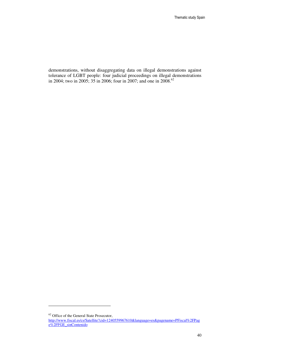demonstrations, without disaggregating data on illegal demonstrations against tolerance of LGBT people: four judicial proceedings on illegal demonstrations in 2004; two in 2005; 35 in 2006; four in 2007; and one in 2008.<sup>62</sup>

 $\overline{a}$ 

<sup>&</sup>lt;sup>62</sup> Office of the General State Prosecutor,

http://www.fiscal.es/cs/Satellite?cid=1240559967610&language=es&pagename=PFiscal%2FPag e%2FFGE\_sinContenido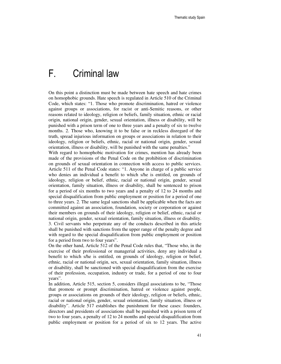# F. Criminal law

On this point a distinction must be made between hate speech and hate crimes on homophobic grounds. Hate speech is regulated in Article 510 of the Criminal Code, which states: "1. Those who promote discrimination, hatred or violence against groups or associations, for racist or anti-Semitic reasons, or other reasons related to ideology, religion or beliefs, family situation, ethnic or racial origin, national origin, gender, sexual orientation, illness or disability, will be punished with a prison term of one to three years and a penalty of six to twelve months. 2. Those who, knowing it to be false or in reckless disregard of the truth, spread injurious information on groups or associations in relation to their ideology, religion or beliefs, ethnic, racial or national origin, gender, sexual orientation, illness or disability, will be punished with the same penalties."

With regard to homophobic motivation for crimes, mention has already been made of the provisions of the Penal Code on the prohibition of discrimination on grounds of sexual orientation in connection with access to public services. Article 511 of the Penal Code states: "1. Anyone in charge of a public service who denies an individual a benefit to which s/he is entitled, on grounds of ideology, religion or belief, ethnic, racial or national origin, gender, sexual orientation, family situation, illness or disability, shall be sentenced to prison for a period of six months to two years and a penalty of 12 to 24 months and special disqualification from public employment or position for a period of one to three years. 2. The same legal sanctions shall be applicable when the facts are committed against an association, foundation, society or corporation or against their members on grounds of their ideology, religion or belief, ethnic, racial or national origin, gender, sexual orientation, family situation, illness or disability. 3. Civil servants who perpetrate any of the conducts described in this article shall be punished with sanctions from the upper range of the penalty degree and with regard to the special disqualification from public employment or position for a period from two to four years".

On the other hand, Article 512 of the Penal Code rules that, "Those who, in the exercise of their professional or managerial activities, deny any individual a benefit to which s/he is entitled, on grounds of ideology, religion or belief, ethnic, racial or national origin, sex, sexual orientation, family situation, illness or disability, shall be sanctioned with special disqualification from the exercise of their profession, occupation, industry or trade, for a period of one to four years".

In addition, Article 515, section 5, considers illegal associations to be, "Those that promote or prompt discrimination, hatred or violence against people, groups or associations on grounds of their ideology, religion or beliefs, ethnic, racial or national origin, gender, sexual orientation, family situation, illness or disability". Article 517 establishes the punishment for these cases: founders, directors and presidents of associations shall be punished with a prison term of two to four years, a penalty of 12 to 24 months and special disqualification from public employment or position for a period of six to 12 years. The active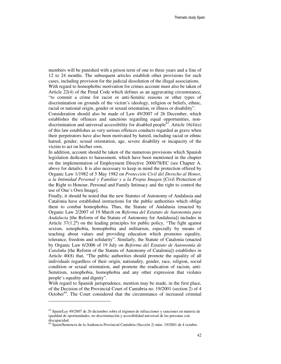members will be punished with a prison term of one to three years and a fine of 12 to 24 months. The subsequent articles establish other provisions for such cases, including provision for the judicial dissolution of the illegal associations. With regard to homophobic motivation for crimes account must also be taken of Article 22(4) of the Penal Code which defines as an aggravating circumstance, "to commit a crime for racist or anti-Semitic reasons or other types of discrimination on grounds of the victim's ideology, religion or beliefs, ethnic, racial or national origin, gender or sexual orientation, or illness or disability".

Consideration should also be made of Law 49/2007 of 26 December, which establishes the offences and sanctions regarding equal opportunities, nondiscrimination and universal accessibility for disabled people<sup>63</sup>. Article 16(4)(e) of this law establishes as very serious offences conducts regarded as grave when their perpetrators have also been motivated by hatred, including racial or ethnic hatred, gender, sexual orientation, age, severe disability or incapacity of the victim to act on his/her own.

In addition, account should be taken of the numerous provisions which Spanish legislation dedicates to harassment, which have been mentioned in the chapter on the implementation of Employment Directive 2000/78/EC (see Chapter A. above for details). It is also necessary to keep in mind the protection offered by Organic Law 1/1982 of 5 May 1982 on *Protección Civil del Derecho al Honor, a la Intimidad Personal y Familiar y a la Propia Imagen* [Civil Protection of the Right to Honour, Personal and Family Intimacy and the right to control the use of One´s Own Image].

Finally, it should be noted that the new Statutes of Autonomy of Andalusia and Catalonia have established instructions for the public authorities which oblige them to combat homophobia. Thus, the Statute of Andalusia (enacted by Organic Law 2/2007 of 19 March on *Reforma del Estatuto de Autonomía para Andalucía* [the Reform of the Statute of Autonomy for Andalusia]) includes in Article 37(1.2º) on the leading principles for public policy, "The fight against sexism, xenophobia, homophobia and militarism, especially by means of teaching about values and providing education which promotes equality, tolerance, freedom and solidarity". Similarly, the Statute of Catalonia (enacted by Organic Law 6/2006 of 19 July on *Reforma del Estatuto de Autonomía de Cataluña* [the Reform of the Statute of Autonomy of Catalonia]) establishes in Article 40(8) that, "The public authorities should promote the equality of all individuals regardless of their origin, nationality, gender, race, religion, social condition or sexual orientation, and promote the eradication of racism, anti-Semitism, xenophobia, homophobia and any other expression that violates people's equality and dignity".

With regard to Spanish jurisprudence, mention may be made, in the first place, of the Decision of the Provincial Court of Cantabria no. 19/2001 (section 2) of 4 October $^{64}$ . The Court considered that the circumstance of increased criminal

<sup>&</sup>lt;sup>63</sup> Spain/Ley 49/2007 de 26 diciembre sobre el régimen de infracciones y sanciones en materia de igualdad de oportunidades, no discriminación y accesibilidad universal de las personas con discapacidad.

<sup>64</sup> Spain/Sentencia de la Audiencia Provincial Cantabria (Sección 2) núm. 19/2001 de 4 octubre.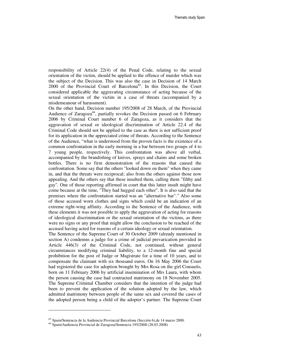responsibility of Article 22(4) of the Penal Code, relating to the sexual orientation of the victim, should be applied to the offence of murder which was the subject of the Decision. This was also the case in Decision of 14 March 2000 of the Provincial Court of Barcelona<sup>65</sup>. In this Decision, the Court considered applicable the aggravating circumstance of acting because of the sexual orientation of the victim in a case of threats (accompanied by a misdemeanour of harassment).

On the other hand, Decision number 195/2008 of 28 March, of the Provincial Audience of Zaragoza<sup>66</sup>, partially revokes the Decision passed on 6 February 2006 by Criminal Court number 6 of Zaragoza, as it considers that the aggravation of sexual or ideological discrimination of Article 22.4 of the Criminal Code should not be applied to the case as there is not sufficient proof for its application in the appreciated crime of threats. According to the Sentence of the Audience, "what is understood from the proven facts is the existence of a common confrontation in the early morning in a bar between two groups of 4 to 7 young people, respectively. This confrontation was above all verbal, accompanied by the brandishing of knives, sprays and chains and some broken bottles. There is no firm demonstration of the reasons that caused the confrontation. Some say that the others "looked down on them" when they came in, and that the threats were reciprocal; also from the others against those now appealing. And the others say that these insulted them, calling them "filthy and gay". One of those reporting affirmed in court that this latter insult might have come because at the time, "They had hugged each other". It is also said that the premises where the confrontation started was an "alternative bar"." Also some of those accused worn clothes and signs which could be an indication of an extreme right-wing affinity. According to the Sentence of the Audience, with these elements it was not possible to apply the aggravation of acting for reasons of ideological discrimination or the sexual orientation of the victims, as there were no signs or any proof that might allow the conclusion to be reached of the accused having acted for reasons of a certain ideology or sexual orientation.

The Sentence of the Supreme Court of 30 October 2009 (already mentioned in section A) condemns a judge for a crime of judicial prevarication provided in Article 446(3) of the Criminal Code, not continued, without general circumstances modifying criminal liability, to a 12-month fine and special prohibition for the post of Judge or Magistrate for a time of 10 years, and to compensate the claimant with six thousand euros. On 16 May 2006 the Court had registered the case for adoption brought by Mrs Rosa on the girl Consuelo, born on 11 February 2006 by artificial insemination of Mrs Laura, with whom the person causing the case had contracted matrimony on 18 November 2005. The Supreme Criminal Chamber considers that the intention of the judge had been to prevent the application of the solution adopted by the law, which admitted matrimony between people of the same sex and covered the cases of the adopted person being a child of the adopter's partner. The Supreme Court

<sup>65</sup> Spain/Sentencia de la Audiencia Provincial Barcelona (Sección 6),de 14 marzo 2000.

<sup>66</sup> Spain/Audiencia Provincial de Zaragoza/Sentencia 195/2008 (28.03.2008)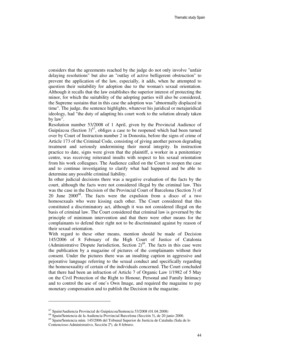considers that the agreements reached by the judge do not only involve "unfair delaying resolutions" but also an "outlay of active belligerent obstruction" to prevent the application of the law, especially, it adds, when he attempted to question their suitability for adoption due to the woman's sexual orientation. Although it recalls that the law establishes the superior interest of protecting the minor, for which the suitability of the adopting parties will also be considered, the Supreme sustains that in this case the adoption was "abnormally displaced in time". The judge, the sentence highlights, whatever his juridical or metajuridical ideology, had "the duty of adapting his court work to the solution already taken by law".

Resolution number 53/2008 of 1 April, given by the Provincial Audience of Guipúzcoa (Section  $3^{67}$ , obliges a case to be reopened which had been turned over by Court of Instruction number 2 in Donostia, before the signs of crime of Article 173 of the Criminal Code, consisting of giving another person degrading treatment and seriously undermining their moral integrity. In instruction practice to date, signs were given that the plaintiff, a worker in a penitentiary centre, was receiving reiterated insults with respect to his sexual orientation from his work colleagues. The Audience called on the Court to reopen the case and to continue investigating to clarify what had happened and be able to determine any possible criminal liability.

In other judicial decisions there was a negative evaluation of the facts by the court, although the facts were not considered illegal by the criminal law. This was the case in the Decision of the Provincial Court of Barcelona (Section 3) of 20 June  $2000^{68}$ . The facts were the expulsion from a disco of a two homosexuals who were kissing each other. The Court considered that this constituted a discriminatory act, although it was not considered illegal on the basis of criminal law. The Court considered that criminal law is governed by the principle of minimum intervention and that there were other means for the complainants to defend their right not to be discriminated against by reason of their sexual orientation.

With regard to these other means, mention should be made of Decision 145/2006 of 8 February of the High Court of Justice of Catalonia (Administrative Dispute Jurisdiction, Section  $2)^{69}$ . The facts in this case were the publication by a magazine of pictures of the complainants without their consent. Under the pictures there was an insulting caption in aggressive and pejorative language referring to the sexual conduct and specifically regarding the homosexuality of certain of the individuals concerned. The Court concluded that there had been an infraction of Article 7 of Organic Law 1/1982 of 5 May on the Civil Protection of the Right to Honour, Personal and Family Intimacy and to control the use of one's Own Image, and required the magazine to pay monetary compensation and to publish the Decision in the magazine.

<sup>67</sup> Spain/Audiencia Provincial de Guipúzcoa/Sentencia 53/2008 (01.04.2008)

<sup>68</sup> Spain/Sentencia de la Audiencia Provincial Barcelona (Sección 3), de 20 junio 2000.

<sup>69</sup> Spain/Sentencia núm. 145/2006 del Tribunal Superior de Justicia de Cataluña (Sala de lo Contencioso-Administrativo, Sección 2ª), de 8 febrero.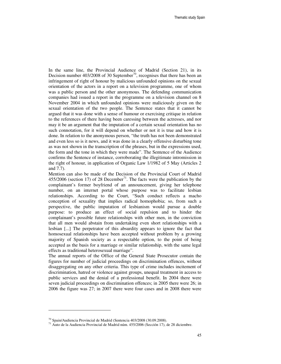In the same line, the Provincial Audience of Madrid (Section 21), in its Decision number  $403/2008$  of 30 September<sup>70</sup>, recognises that there has been an infringement of right of honour by malicious unfounded opinions on the sexual orientation of the actors in a report on a television programme, one of whom was a public person and the other anonymous. The defending communication companies had issued a report in the programme on a television channel on 8 November 2004 in which unfounded opinions were maliciously given on the sexual orientation of the two people. The Sentence states that it cannot be argued that it was done with a sense of humour or exercising critique in relation to the references of there having been caressing between the actresses, and nor may it be an argument that the imputation of a certain sexual orientation has no such connotation, for it will depend on whether or not it is true and how it is done. In relation to the anonymous person, "the truth has not been demonstrated and even less so is it news, and it was done in a clearly offensive disturbing tone as was not shown in the transcription of the phrases, but in the expressions used, the form and the tone in which they were made". The Sentence of the Audience confirms the Sentence of instance, corroborating the illegitimate intromission in the right of honour, in application of Organic Law 1/1982 of 5 May (Articles 2 and 7.7).

Mention can also be made of the Decision of the Provincial Court of Madrid 455/2006 (section 17) of 28 December<sup>71</sup>. The facts were the publication by the complainant's former boyfriend of an announcement, giving her telephone number, on an internet portal whose purpose was to facilitate lesbian relationships. According to the Court, "Such conduct reflects a macho conception of sexuality that implies radical homophobia; so, from such a perspective, the public imputation of lesbianism would pursue a double purpose: to produce an effect of social repulsion and to hinder the complainant's possible future relationships with other men, in the conviction that all men would abstain from undertaking even short relationships with a lesbian [...] The perpetrator of this absurdity appears to ignore the fact that homosexual relationships have been accepted without problem by a growing majority of Spanish society as a respectable option, to the point of being accepted as the basis for a marriage or similar relationship, with the same legal effects as traditional heterosexual marriage".

The annual reports of the Office of the General State Prosecutor contain the figures for number of judicial proceedings on discrimination offences, without disaggregating on any other criteria. This type of crime includes incitement of discrimination, hatred or violence against groups, unequal treatment in access to public services and the denial of a professional benefit. In 2004 there were seven judicial proceedings on discrimination offences; in 2005 there were 26; in 2006 the figure was 27; in 2007 there were four cases and in 2008 there were

<sup>70</sup> Spain/Audiencia Provincial de Madrid (Sentencia 403/2008 (30.09.2008).

<sup>71</sup> Auto de la Audiencia Provincial de Madrid núm. 455/2006 (Sección 17), de 28 diciembre.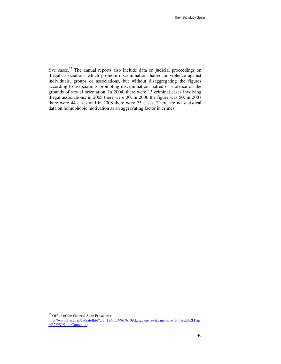five cases.<sup>72</sup> The annual reports also include data on judicial proceedings on illegal associations which promote discrimination, hatred or violence against individuals, groups or associations, but without disaggregating the figures according to associations promoting discrimination, hatred or violence on the grounds of sexual orientation. In 2004, there were 13 criminal cases involving illegal associations; in 2005 there were 30; in 2006 the figure was 50; in 2007 there were 44 cases and in 2008 there were 75 cases. There are no statistical data on homophobic motivation as an aggravating factor in crimes.

 $\overline{a}$ 

<sup>72</sup> Office of the General State Prosecutor,

http://www.fiscal.es/cs/Satellite?cid=1240559967610&language=es&pagename=PFiscal%2FPag e%2FFGE\_sinContenido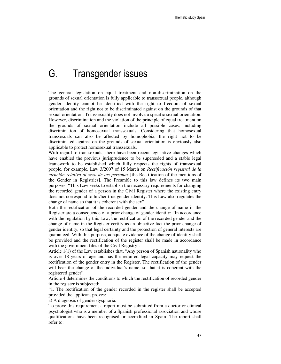# G. Transgender issues

The general legislation on equal treatment and non-discrimination on the grounds of sexual orientation is fully applicable to transsexual people, although gender identity cannot be identified with the right to freedom of sexual orientation and the right not to be discriminated against on the grounds of that sexual orientation. Transsexuality does not involve a specific sexual orientation. However, discrimination and the violation of the principle of equal treatment on the grounds of sexual orientation include all possible cases, including discrimination of homosexual transsexuals. Considering that homosexual transsexuals can also be affected by homophobia, the right not to be discriminated against on the grounds of sexual orientation is obviously also applicable to protect homosexual transsexuals.

With regard to transsexuals, there have been recent legislative changes which have enabled the previous jurisprudence to be superseded and a stable legal framework to be established which fully respects the rights of transsexual people, for example, Law 3/2007 of 15 March on *Rectificación registral de la mención relativa al sexo de las personas* [the Rectification of the mentions of the Gender in Registries]. The Preamble to this law defines its two main purposes: "This Law seeks to establish the necessary requirements for changing the recorded gender of a person in the Civil Register where the existing entry does not correspond to his/her true gender identity. This Law also regulates the change of name so that it is coherent with the sex".

Both the rectification of the recorded gender and the change of name in the Register are a consequence of a prior change of gender identity: "In accordance with the regulation by this Law, the rectification of the recorded gender and the change of name in the Register certify as an objective fact the prior change of gender identity, so that legal certainty and the protection of general interests are guaranteed. With this purpose, adequate evidence of the change of identity shall be provided and the rectification of the register shall be made in accordance with the government files of the Civil Registry".

Article 1(1) of the Law establishes that, "Any person of Spanish nationality who is over 18 years of age and has the required legal capacity may request the rectification of the gender entry in the Register. The rectification of the gender will bear the change of the individual's name, so that it is coherent with the registered gender".

Article 4 determines the conditions to which the rectification of recorded gender in the register is subjected:

"1. The rectification of the gender recorded in the register shall be accepted provided the applicant proves:

a) A diagnosis of gender dysphoria.

To prove this requirement a report must be submitted from a doctor or clinical psychologist who is a member of a Spanish professional association and whose qualifications have been recognised or accredited in Spain. The report shall refer to: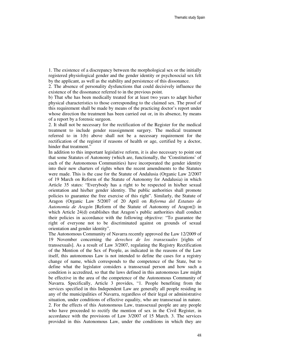1. The existence of a discrepancy between the morphological sex or the initially registered physiological gender and the gender identity or psychosocial sex felt by the applicant, as well as the stability and persistence of this dissonance.

2. The absence of personality dysfunctions that could decisively influence the existence of the dissonance referred to in the previous point.

b) That s/he has been medically treated for at least two years to adapt his/her physical characteristics to those corresponding to the claimed sex. The proof of this requirement shall be made by means of the practicing doctor's report under whose direction the treatment has been carried out or, in its absence, by means of a report by a forensic surgeon.

2. It shall not be necessary for the rectification of the Register for the medical treatment to include gender reassignment surgery. The medical treatment referred to in 1(b) above shall not be a necessary requirement for the rectification of the register if reasons of health or age, certified by a doctor, hinder that treatment."

In addition to this important legislative reform, it is also necessary to point out that some Statutes of Autonomy (which are, functionally, the 'Constitutions' of each of the Autonomous Communities) have incorporated the gender identity into their new charters of rights when the recent amendments to the Statutes were made. This is the case for the Statute of Andalusia (Organic Law 2/2007 of 19 March on Reform of the Statute of Autonomy for Andalusia) in which Article 35 states: "Everybody has a right to be respected in his/her sexual orientation and his/her gender identity. The public authorities shall promote policies to guarantee the free exercise of this right". Similarly, the Statute of Aragon (Organic Law 5/2007 of 20 April on *Reforma del Estatuto de Autonomía de Aragón* [Reform of the Statute of Autonomy of Aragon]) in which Article 24(d) establishes that Aragon's public authorities shall conduct their policies in accordance with the following objective: "To guarantee the right of everyone not to be discriminated against on grounds of sexual orientation and gender identity".

The Autonomous Community of Navarra recently approved the Law 12/2009 of 19 November concerning the *derechos de los transexuales* [rights of transsexuals]. As a result of Law 3/2007, regulating the Registry Rectification of the Mention of the Sex of People, as indicated in the reasons of the Law itself, this autonomous Law is not intended to define the cases for a registry change of name, which corresponds to the competence of the State, but to define what the legislator considers a transsexual person and how such a condition is accredited, so that the laws defined in this autonomous Law might be effective in the area of the competence of the Autonomous Community of Navarra. Specifically, Article 3 provides, "1. People benefiting from the services specified in this Independent Law are generally all people residing in any of the municipalities of Navarra, regardless of their legal or administrative situation, under conditions of effective equality, who are transsexual in nature. 2. For the effects of this Autonomous Law, transsexual people are any people who have proceeded to rectify the mention of sex in the Civil Register, in accordance with the provisions of Law 3/2007 of 15 March. 3. The services provided in this Autonomous Law, under the conditions in which they are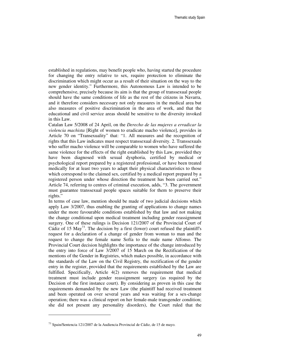established in regulations, may benefit people who, having started the procedure for changing the entry relative to sex, require protection to eliminate the discrimination which might occur as a result of their situation on the way to the new gender identity." Furthermore, this Autonomous Law is intended to be comprehensive, precisely because its aim is that the group of transsexual people should have the same conditions of life as the rest of the citizens in Navarra, and it therefore considers necessary not only measures in the medical area but also measures of positive discrimination in the area of work, and that the educational and civil service areas should be sensitive to the diversity invoked in this Law.

Catalan Law 5/2008 of 24 April, on the *Derecho de las mujeres a erradicar la violencia machista* [Right of women to eradicate macho violence], provides in Article 70 on "Transexuality" that: "1. All measures and the recognition of rights that this Law indicates must respect transsexual diversity. 2. Transsexuals who suffer macho violence will be comparable to women who have suffered the same violence for the effects of the right established by this Law, provided they have been diagnosed with sexual dysphoria, certified by medical or psychological report prepared by a registered professional, or have been treated medically for at least two years to adapt their physical characteristics to those which correspond to the claimed sex, certified by a medical report prepared by a registered person under whose direction the treatment has been carried out." Article 74, referring to centres of criminal execution, adds, "3. The government must guarantee transsexual people spaces suitable for them to preserve their rights."

In terms of case law, mention should be made of two judicial decisions which apply Law 3/2007, thus enabling the granting of applications to change names under the more favourable conditions established by that law and not making the change conditional upon medical treatment including gender reassignment surgery. One of these rulings is Decision 121/2007 of the Provincial Court of Cádiz of 15 May<sup>73</sup>. The decision by a first (lower) court refused the plaintiff's request for a declaration of a change of gender from woman to man and the request to change the female name Sofía to the male name Alfonso. The Provincial Court decision highlights the importance of the change introduced by the entry into force of Law 3/2007 of 15 March on the Rectification of the mentions of the Gender in Registries, which makes possible, in accordance with the standards of the Law on the Civil Registry, the rectification of the gender entry in the register, provided that the requirements established by the Law are fulfilled. Specifically, Article 4(2) removes the requirement that medical treatment must include gender reassignment surgery (as required by the Decision of the first instance court). By considering as proven in this case the requirements demanded by the new Law (the plaintiff had received treatment and been operated on over several years and was waiting for a sex-change operation; there was a clinical report on her female-male transgender condition; she did not present any personality disorders), the Court ruled that the

<sup>73</sup> Spain/Sentencia 121/2007 de la Audiencia Provincial de Cádiz, de 15 de mayo.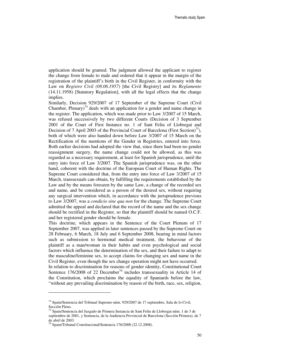application should be granted. The judgment allowed the applicant to register the change from female to male and ordered that it appear in the margin of the registration of the plaintiff's birth in the Civil Register, in conformity with the Law on *Registro Civil (08.06.1957)* [the Civil Registry] and its *Reglamento* (14.11.1958) [Statutory Regulation], with all the legal effects that the change implies.

Similarly, Decision 929/2007 of 17 September of the Supreme Court (Civil Chamber, Plenary)<sup>74</sup> deals with an application for a gender and name change in the register. The application, which was made prior to Law 3/2007 of 15 March, was refused successively by two different Courts (Decision of 3 September 2001 of the Court of First Instance no. 1 of Sant Feliu of Llobregat and Decision of 7 April 2003 of the Provincial Court of Barcelona (First Section)<sup>75</sup>), both of which were also handed down before Law 3/2007 of 15 March on the Rectification of the mentions of the Gender in Registries, entered into force. Both earlier decisions had adopted the view that, since there had been no gender reassignment surgery, the name change could not be allowed, as this was regarded as a necessary requirement, at least for Spanish jurisprudence, until the entry into force of Law 3/2007. The Spanish jurisprudence was, on the other hand, coherent with the doctrine of the European Court of Human Rights. The Supreme Court considered that, from the entry into force of Law 3/2007 of 15 March, transsexuals can obtain, by fulfilling the requirements established by the Law and by the means foreseen by the same Law, a change of the recorded sex and name, and be considered as a person of the desired sex, without requiring any surgical intervention which, in accordance with the jurisprudence previous to Law 3/2007, was a *condicio sine qua non* for the change. The Supreme Court admitted the appeal and declared that the record of the name and the sex change should be rectified in the Register, so that the plaintiff should be named O.C.F. and her registered gender should be female.

This doctrine, which appears in the Sentence of the Court Plenum of 17 September 2007, was applied in later sentences passed by the Supreme Court on 28 February, 6 March, 18 July and 6 September 2008, bearing in mind factors such as submission to hormonal medical treatment, the behaviour of the plaintiff as a man/woman in their habits and even psychological and social factors which influence the determination of the sex, and their failure to adapt to the masculine/feminine sex, to accept claims for changing sex and name in the Civil Register, even though the sex change operation might not have occurred.

In relation to discrimination for reasons of gender identity, Constitutional Court Sentence  $176/2008$  of 22 December<sup>76</sup> includes transsexuality in Article 14 of the Constitution, which proclaims the equality of Spaniards before the law, "without any prevailing discrimination by reason of the birth, race, sex, religion,

 $\overline{a}$ 

<sup>74</sup> Spain/Sentencia del Tribunal Supremo núm. 929/2007 de 17 septiembre, Sala de lo Civil, Sección Pleno.

<sup>75</sup> Spain/Sentencia del Juzgado de Primera Instancia de Sant Feliu de Llobregat núm. 1 de 3 de septiembre de 2001, y Sentencia, de la Audiencia Provincial de Barcelona (Sección Primera), de 7 de abril de 2003.

<sup>76</sup> Spain/Tribunal Constitucional/Sentencia 176/2008 (22.12.2008).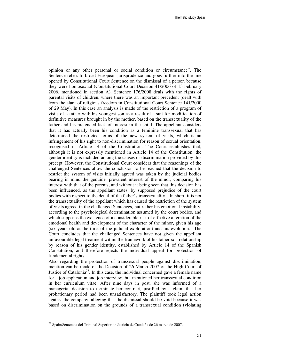opinion or any other personal or social condition or circumstance". The Sentence refers to broad European jurisprudence and goes further into the line opened by Constitutional Court Sentence on the dismissal of a person because they were homosexual (Constitutional Court Decision 41/2006 of 13 February 2006, mentioned in section A). Sentence 176/2008 deals with the rights of parental visits of children, where there was an important precedent (dealt with from the slant of religious freedom in Constitutional Court Sentence 141/2000 of 29 May). In this case an analysis is made of the restriction of a program of visits of a father with his youngest son as a result of a suit for modification of definitive measures brought in by the mother, based on the transsexuality of the father and his pretended lack of interest in the child. The appellant considers that it has actually been his condition as a feminine transsexual that has determined the restricted terms of the new system of visits, which is an infringement of his right to non-discrimination for reason of sexual orientation, recognised in Article 14 of the Constitution. The Court establishes that, although it is not expressly mentioned in Article 14 of the Constitution, the gender identity is included among the causes of discrimination provided by this precept. However, the Constitutional Court considers that the reasonings of the challenged Sentences allow the conclusion to be reached that the decision to restrict the system of visits initially agreed was taken by the judicial bodies bearing in mind the genuine, prevalent interest of the minor, comparing his interest with that of the parents, and without it being seen that this decision has been influenced, as the appellant states, by supposed prejudice of the court bodies with respect to the detail of the father's transsexuality. "In short, it is not the transsexuality of the appellant which has caused the restriction of the system of visits agreed in the challenged Sentences, but rather his emotional instability, according to the psychological determination assumed by the court bodies, and which supposes the existence of a considerable risk of effective alteration of the emotional health and development of the character of the minor, given his age (six years old at the time of the judicial exploration) and his evolution." The Court concludes that the challenged Sentences have not given the appellant unfavourable legal treatment within the framework of his father-son relationship by reason of his gender identity, established by Article 14 of the Spanish Constitution, and therefore rejects the individual appeal for protection of fundamental rights.

Also regarding the protection of transsexual people against discrimination, mention can be made of the Decision of 26 March 2007 of the High Court of Justice of Catalonia<sup>77</sup>. In this case, the individual concerned gave a female name for a job application and job interview, but mentioned her transsexual condition in her curriculum vitae. After nine days in post, she was informed of a managerial decision to terminate her contract, justified by a claim that her probationary period had been unsatisfactory. The plaintiff took legal action against the company, alleging that the dismissal should be void because it was based on discrimination on the grounds of a transsexual condition (violating

<sup>77</sup> Spain/Sentencia del Tribunal Superior de Justicia de Cataluña de 26 marzo de 2007.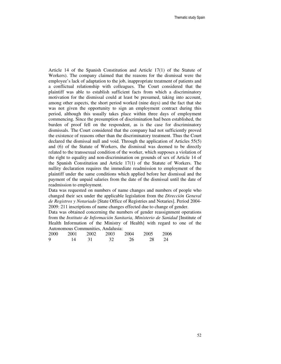Article 14 of the Spanish Constitution and Article 17(1) of the Statute of Workers). The company claimed that the reasons for the dismissal were the employee's lack of adaptation to the job, inappropriate treatment of patients and a conflictual relationship with colleagues. The Court considered that the plaintiff was able to establish sufficient facts from which a discriminatory motivation for the dismissal could at least be presumed, taking into account, among other aspects, the short period worked (nine days) and the fact that she was not given the opportunity to sign an employment contract during this period, although this usually takes place within three days of employment commencing. Since the presumption of discrimination had been established, the burden of proof fell on the respondent, as is the case for discriminatory dismissals. The Court considered that the company had not sufficiently proved the existence of reasons other than the discriminatory treatment. Thus the Court declared the dismissal null and void. Through the application of Articles 55(5) and (6) of the Statute of Workers, the dismissal was deemed to be directly related to the transsexual condition of the worker, which supposes a violation of the right to equality and non-discrimination on grounds of sex of Article 14 of the Spanish Constitution and Article 17(1) of the Statute of Workers. The nullity declaration requires the immediate readmission to employment of the plaintiff under the same conditions which applied before her dismissal and the payment of the unpaid salaries from the date of the dismissal until the date of readmission to employment.

Data was requested on numbers of name changes and numbers of people who changed their sex under the applicable legislation from the *Dirección General de Registros y Notariado* [State Office of Registries and Notaries]. Period 2004- 2009: 211 inscriptions of name changes effected due to change of gender.

Data was obtained concerning the numbers of gender reassignment operations from the *Instituto de Información Sanitaria, Ministerio de Sanidad* [Institute of Health Information of the Ministry of Health] with regard to one of the Autonomous Communities, Andalusia:

| 2000 | 2001 | 2002 | 2003 | 2004 | 2005 | 2006 |
|------|------|------|------|------|------|------|
| 9    | 14   |      | 32   | 26   | 28   |      |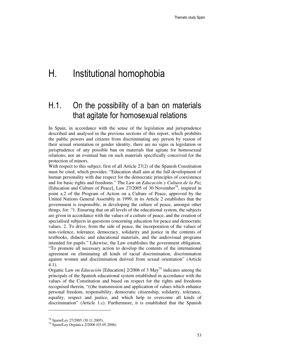# H. Institutional homophobia

### H.1. On the possibility of a ban on materials that agitate for homosexual relations

In Spain, in accordance with the sense of the legislation and jurisprudence described and analysed in the previous sections of this report, which prohibits the public powers and citizens from discriminating any person by reason of their sexual orientation or gender identity, there are no signs in legislation or jurisprudence of any possible ban on materials that agitate for homosexual relations; nor an eventual ban on such materials specifically conceived for the protection of minors.

With respect to this subject, first of all Article 27(2) of the Spanish Constitution must be cited, which provides: "Education shall aim at the full development of human personality with due respect for the democratic principles of coexistence and for basic rights and freedoms." The Law on *Educación y Cultura de la Paz* [Education and Culture of Peace], Law 27/2005 of 30 November<sup>78</sup>, inspired in point a.2 of the Program of Action on a Culture of Peace, approved by the United Nations General Assembly in 1999, in its Article 2 establishes that the government is responsible, in developing the culture of peace, amongst other things, for: "1. Ensuring that on all levels of the educational system, the subjects are given in accordance with the values of a culture of peace, and the creation of specialised subjects in questions concerning education for peace and democratic values. 2. To drive, from the side of peace, the incorporation of the values of non-violence, tolerance, democracy, solidarity and justice in the contents of textbooks, didactic and educational materials, and the audiovisual programs intended for pupils." Likewise, the Law establishes the government obligation, "To promote all necessary action to develop the contents of the international agreement on eliminating all kinds of racial discrimination, discrimination against women and discrimination derived from sexual orientation" (Article 4.1).

Organic Law on *Educación* [Education] 2/2006 of 3 May<sup>79</sup> indicates among the principals of the Spanish educational system established in accordance with the values of the Constitution and based on respect for the rights and freedoms recognised therein, "(t)he transmission and application of values which enhance personal freedom, responsibility, democratic citizenship, solidarity, tolerance, equality, respect and justice, and which help to overcome all kinds of discrimination" (Article 1.c). Furthermore, it is established that the Spanish

<sup>78</sup> Spain/Ley 27/2005 (30.11.2005).

<sup>79</sup> Spain/Ley Orgánica 2/2006 (03.05.2006).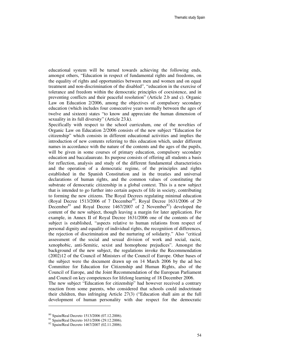educational system will be turned towards achieving the following ends, amongst others, "Education in respect of fundamental rights and freedoms, on the equality of rights and opportunities between men and women and on equal treatment and non-discrimination of the disabled", "education in the exercise of tolerance and freedom within the democratic principles of coexistence, and in preventing conflicts and their peaceful resolution" (Article 2.b and c). Organic Law on Education 2/2006, among the objectives of compulsory secondary education (which includes four consecutive years normally between the ages of twelve and sixteen) states "to know and appreciate the human dimension of sexuality in its full diversity" (Article 23.k).

Specifically with respect to the school curriculum, one of the novelties of Organic Law on Education 2/2006 consists of the new subject "Education for citizenship" which consists in different educational activities and implies the introduction of new contents referring to this education which, under different names in accordance with the nature of the contents and the ages of the pupils, will be given in some courses of primary education, compulsory secondary education and baccalaureate. Its purpose consists of offering all students a basis for reflection, analysis and study of the different fundamental characteristics and the operation of a democratic regime, of the principles and rights established in the Spanish Constitution and in the treaties and universal declarations of human rights, and the common values of constituting the substrate of democratic citizenship in a global context. This is a new subject that is intended to go further into certain aspects of life in society, contributing to forming the new citizens. The Royal Decrees regulating minimal education (Royal Decree 1513/2006 of 7 December<sup>80</sup>, Royal Decree 1631/2006 of 29 December<sup>81</sup> and Royal Decree 1467/2007 of 2 November<sup>82</sup>) developed the content of the new subject, though leaving a margin for later application. For example, in Annex II of Royal Decree 1631/2006 one of the contents of the subject is established, "aspects relative to human relations from respect of personal dignity and equality of individual rights, the recognition of differences, the rejection of discrimination and the nurturing of solidarity." Also "critical assessment of the social and sexual division of work and social, racist, xenophobic, anti-Semitic, sexist and homophone prejudices". Amongst the background of the new subject, the regulations invoke the Recommendation (2002)12 of the Council of Ministers of the Council of Europe. Other bases of the subject were the document drawn up on 14 March 2006 by the ad hoc Committee for Education for Citizenship and Human Rights, also of the Council of Europe, and the Joint Recommendation of the European Parliament and Council on key competences for lifelong learning of 18 December 2006.

The new subject "Education for citizenship" had however received a contrary reaction from some parents, who considered that schools could indoctrinate their children, thus infringing Article 27(3) ("Education shall aim at the full development of human personality with due respect for the democratic

 $\overline{a}$ 

<sup>80</sup> Spain/Real Decreto 1513/2006 (07.12.2006).

 $81$  Spain/Real Decreto  $1631/2006$  (29.12.2006).

<sup>82</sup> Spain/Real Decreto 1467/2007 (02.11.2006).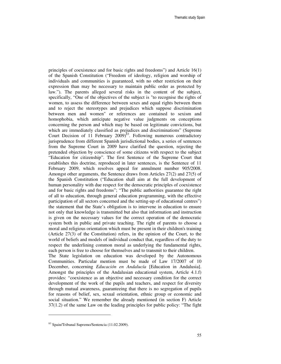principles of coexistence and for basic rights and freedoms") and Article 16(1) of the Spanish Constitution ("Freedom of ideology, religion and worship of individuals and communities is guaranteed, with no other restriction on their expression than may be necessary to maintain public order as protected by law."). The parents alleged several risks in the content of the subject, specifically, "One of the objectives of the subject is "to recognise the rights of women, to assess the difference between sexes and equal rights between them and to reject the stereotypes and prejudices which suppose discrimination between men and women" or references are contained to sexism and homophobia, which anticipate negative value judgments on conceptions concerning the person and which may be based on legitimate convictions, but which are immediately classified as prejudices and discriminations" (Supreme Court Decision of 11 February  $2009$ <sup>83</sup>. Following numerous contradictory jurisprudence from different Spanish jurisdictional bodies, a series of sentences from the Supreme Court in 2009 have clarified the question, rejecting the pretended objection by conscience of some citizens with respect to the subject "Education for citizenship". The first Sentence of the Supreme Court that establishes this doctrine, reproduced in later sentences, is the Sentence of 11 February 2009, which resolves appeal for annulment number 905/2008. Amongst other arguments, the Sentence draws from Articles 27(2) and 27(5) of the Spanish Constitution ("Education shall aim at the full development of human personality with due respect for the democratic principles of coexistence and for basic rights and freedoms"; "The public authorities guarantee the right of all to education, through general education programming, with the effective participation of all sectors concerned and the setting-up of educational centres") the statement that the State's obligation is to intervene in education to ensure not only that knowledge is transmitted but also that information and instruction is given on the necessary values for the correct operation of the democratic system both in public and private teaching. The right of parents to choose a moral and religious orientation which must be present in their children's training (Article 27(3) of the Constitution) refers, in the opinion of the Court, to the world of beliefs and models of individual conduct that, regardless of the duty to respect the underlining common moral as underlying the fundamental rights, each person is free to choose for themselves and to transmit to their children. The State legislation on education was developed by the Autonomous

Communities. Particular mention must be made of Law 17/2007 of 10 December, concerning *Educación en Andalucía* [Education in Andalusia]. Amongst the principles of the Andalusian educational system, Article 4.1.f) provides: "coexistence as an objective and necessary condition for the correct development of the work of the pupils and teachers, and respect for diversity through mutual awareness, guaranteeing that there is no segregation of pupils for reasons of belief, sex, sexual orientation, ethnic group or economic and social situation." We remember the already mentioned (in section F) Article 37(1.2) of the same Law on the leading principles for public policy: "The fight

<sup>83</sup> Spain/Tribunal Supremo/Sentencia (11.02.2009).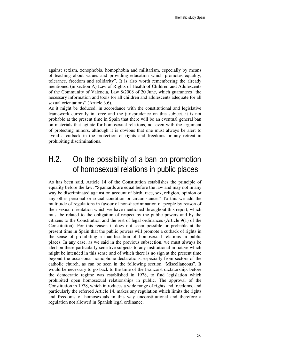against sexism, xenophobia, homophobia and militarism, especially by means of teaching about values and providing education which promotes equality, tolerance, freedom and solidarity". It is also worth remembering the already mentioned (in section A) Law of Rights of Health of Children and Adolescents of the Community of Valencia, Law 8/2008 of 20 June, which guarantees "the necessary information and tools for all children and adolescents adequate for all sexual orientations" (Article 3.6).

As it might be deduced, in accordance with the constitutional and legislative framework currently in force and the jurisprudence on this subject, it is not probable at the present time in Spain that there will be an eventual general ban on materials that agitate for homosexual relations, not even with the argument of protecting minors, although it is obvious that one must always be alert to avoid a cutback in the protection of rights and freedoms or any retreat in prohibiting discriminations.

### H.2. On the possibility of a ban on promotion of homosexual relations in public places

As has been said, Article 14 of the Constitution establishes the principle of equality before the law, "Spaniards are equal before the law and may not in any way be discriminated against on account of birth, race, sex, religion, opinion or any other personal or social condition or circumstance." To this we add the multitude of regulations in favour of non-discrimination of people by reason of their sexual orientation which we have mentioned throughout this report, which must be related to the obligation of respect by the public powers and by the citizens to the Constitution and the rest of legal ordinances (Article 9(1) of the Constitution). For this reason it does not seem possible or probable at the present time in Spain that the public powers will promote a cutback of rights in the sense of prohibiting a manifestation of homosexual relations in public places. In any case, as we said in the previous subsection, we must always be alert on these particularly sensitive subjects to any institutional initiative which might be intended in this sense and of which there is no sign at the present time beyond the occasional homophone declarations, especially from sectors of the catholic church, as can be seen in the following section "Miscellaneous". It would be necessary to go back to the time of the Francoist dictatorship, before the democratic regime was established in 1978, to find legislation which prohibited open homosexual relationships in public. The approval of the Constitution in 1978, which introduces a wide range of rights and freedoms, and particularly the referred Article 14, makes any regulation which limits the rights and freedoms of homosexuals in this way unconstitutional and therefore a regulation not allowed in Spanish legal ordinance.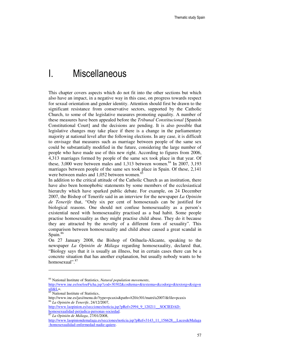# I. Miscellaneous

This chapter covers aspects which do not fit into the other sections but which also have an impact, in a negative way in this case, on progress towards respect for sexual orientation and gender identity. Attention should first be drawn to the significant resistance from conservative sectors, supported by the Catholic Church, to some of the legislative measures promoting equality. A number of these measures have been appealed before the *Tribunal Constitucional* [Spanish Constitutional Court] and the decisions are pending. It is also possible that legislative changes may take place if there is a change in the parliamentary majority at national level after the following elections. In any case, it is difficult to envisage that measures such as marriage between people of the same sex could be substantially modified in the future, considering the large number of people who have made use of this new right. According to figures from 2006, 4,313 marriages formed by people of the same sex took place in that year. Of these, 3,000 were between males and 1,313 between women. <sup>84</sup> In 2007, 3,193 marriages between people of the same sex took place in Spain. Of these, 2,141 were between males and 1,052 between women.<sup>8</sup>

In addition to the critical attitude of the Catholic Church as an institution, there have also been homophobic statements by some members of the ecclesiastical hierarchy which have sparked public debate. For example, on 24 December 2007, the Bishop of Tenerife said in an interview for the newspaper *La Opinión de Tenerife* that, "Only six per cent of homosexuals can be justified for biological reasons. One should not confuse homosexuality as a person's existential need with homosexuality practised as a bad habit. Some people practise homosexuality as they might practise child abuse. They do it because they are attracted by the novelty of a different form of sexuality". This comparison between homosexuality and child abuse caused a great scandal in Spain.<sup>86</sup>

On 27 January 2008, the Bishop of Orihuela-Alicante, speaking to the newspaper *La Opinión de Málaga* regarding homosexuality, declared that, "Biology says that it is usually an illness, but in certain cases there can be a concrete situation that has another explanation, but usually nobody wants to be homosexual".<sup>87</sup>

-

<sup>84</sup> National Institute of Statistics, *Natural population movements*,

http://www.ine.es/ioe/ioeFicha.jsp?cod=30302&codtema=&textema=&codorg=&textorg=&sig=n  $ull&L=$ .

<sup>&</sup>lt;sup>85</sup> National Institute of Statistics,

http://www.ine.es/jaxi/menu.do?type=pcaxis&path=/t20/e301/matri/a2007/&file=pcaxis <sup>86</sup> *La Opinión de Tenerife*, 24/12/2007,

http://www.laopinion.es/secciones/noticia.jsp?pRef=2994\_9\_120211\_\_SOCIEDADhomosexualidad-perjudica-personas-sociedad.

<sup>87</sup> *La Opinión de Málaga*, 27/01/2008,

http://www.laopiniondemalaga.es/secciones/noticia.jsp?pRef=3143\_11\_156628\_\_LucesdeMalaga -homosexualidad-enfermedad-nadie-quiere.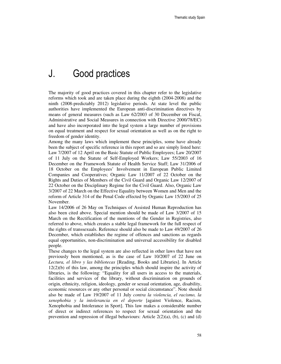### J. Good practices

The majority of good practices covered in this chapter refer to the legislative reforms which took and are taken place during the eighth (2004-2008) and the ninth (2008-predictably 2012) legislative periods. At state level the public authorities have implemented the European anti-discrimination directives by means of general measures (such as Law 62/2003 of 30 December on Fiscal, Administrative and Social Measures in connection with Directive 2000/78/EC) and have also incorporated into the legal system a large number of provisions on equal treatment and respect for sexual orientation as well as on the right to freedom of gender identity.

Among the many laws which implement these principles, some have already been the subject of specific reference in this report and so are simply listed here: Law 7/2007 of 12 April on the Basic Statute of Public Employees; Law 20/2007 of 11 July on the Statute of Self-Employed Workers; Law 55/2003 of 16 December on the Framework Statute of Health Service Staff; Law 31/2006 of 18 October on the Employees' Involvement in European Public Limited Companies and Cooperatives; Organic Law 11/2007 of 22 October on the Rights and Duties of Members of the Civil Guard and Organic Law 12/2007 of 22 October on the Disciplinary Regime for the Civil Guard. Also, Organic Law 3/2007 of 22 March on the Effective Equality between Women and Men and the reform of Article 314 of the Penal Code effected by Organic Law 15/2003 of 25 November.

Law 14/2006 of 26 May on Techniques of Assisted Human Reproduction has also been cited above. Special mention should be made of Law 3/2007 of 15 March on the Rectification of the mentions of the Gender in Registries, also referred to above, which creates a stable legal framework for the full respect of the rights of transsexuals. Reference should also be made to Law 49/2007 of 26 December, which establishes the regime of offences and sanctions as regards equal opportunities, non-discrimination and universal accessibility for disabled people.

These changes to the legal system are also reflected in other laws that have not previously been mentioned, as is the case of Law 10/2007 of 22 June on *Lectura, el libro y las bibliotecas* [Reading, Books and Libraries]. In Article 12(2)(b) of this law, among the principles which should inspire the activity of libraries, is the following: "Equality for all users in access to the materials, facilities and services of the library, without discrimination on grounds of origin, ethnicity, religion, ideology, gender or sexual orientation, age, disability, economic resources or any other personal or social circumstance". Note should also be made of Law 19/2007 of 11 July *contra la violencia, el racismo, la xenophobia y la intolerancia en el deporte* [against Violence, Racism, Xenophobia and Intolerance in Sport]. This law makes a considerable number of direct or indirect references to respect for sexual orientation and the prevention and repression of illegal behaviours: Article 2(2)(a), (b), (c) and (d)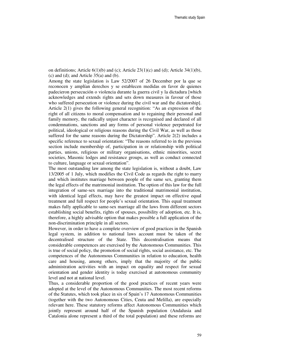on definitions; Article  $6(1)(b)$  and (c); Article 23(1)(c) and (d); Article 34(1)(b),  $(c)$  and  $(d)$ ; and Article 35 $(a)$  and  $(b)$ .

Among the state legislation is Law 52/2007 of 26 December por la que se reconocen y amplían derechos y se establecen medidas en favor de quienes padecieron persecución o violencia durante la guerra civil y la dictadura [which acknowledges and extends rights and sets down measures in favour of those who suffered persecution or violence during the civil war and the dictatorship]. Article 2(1) gives the following general recognition: "As an expression of the right of all citizens to moral compensation and to regaining their personal and family memory, the radically unjust character is recognised and declared of all condemnations, sanctions and any forms of personal violence perpetrated for political, ideological or religious reasons during the Civil War, as well as those suffered for the same reasons during the Dictatorship". Article 2(2) includes a specific reference to sexual orientation: "The reasons referred to in the previous section include membership of, participation in or relationship with political parties, unions, religious or military organisations, ethnic minorities, secret societies, Masonic lodges and resistance groups, as well as conduct connected to culture, language or sexual orientation".

The most outstanding law among the state legislation is, without a doubt, Law 13/2005 of 1 July, which modifies the Civil Code as regards the right to marry and which institutes marriage between people of the same sex, granting them the legal effects of the matrimonial institution. The option of this law for the full integration of same-sex marriage into the traditional matrimonial institution, with identical legal effects, may have the greatest impact on effective equal treatment and full respect for people's sexual orientation. This equal treatment makes fully applicable to same-sex marriage all the laws from different sectors establishing social benefits, rights of spouses, possibility of adoption, etc. It is, therefore, a highly advisable option that makes possible a full application of the non-discrimination principle in all sectors.

However, in order to have a complete overview of good practices in the Spanish legal system, in addition to national laws account must be taken of the decentralised structure of the State. This decentralisation means that considerable competences are exercised by the Autonomous Communities. This is true of social policy, the promotion of social rights, social assistance, etc. The competences of the Autonomous Communities in relation to education, health care and housing, among others, imply that the majority of the public administration activities with an impact on equality and respect for sexual orientation and gender identity is today exercised at autonomous community level and not at national level.

Thus, a considerable proportion of the good practices of recent years were adopted at the level of the Autonomous Communities. The most recent reforms of the Statutes, which took place in six of Spain's 17 Autonomous Communities (together with the two Autonomous Cities, Ceuta and Melilla), are especially relevant here. These statutory reforms affect Autonomous Communities which jointly represent around half of the Spanish population (Andalusia and Catalonia alone represent a third of the total population) and these reforms are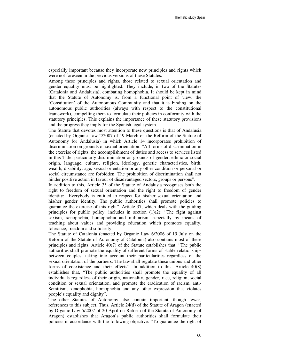especially important because they incorporate new principles and rights which were not foreseen in the previous versions of these Statutes.

Among these principles and rights, those related to sexual orientation and gender equality must be highlighted. They include, in two of the Statutes (Catalonia and Andalusia), combating homophobia. It should be kept in mind that the Statute of Autonomy is, from a functional point of view, the 'Constitution' of the Autonomous Community and that it is binding on the autonomous public authorities (always with respect to the constitutional framework), compelling them to formulate their policies in conformity with the statutory principles. This explains the importance of these statutory provisions and the progress they imply for the Spanish legal system.

The Statute that devotes most attention to these questions is that of Andalusia (enacted by Organic Law 2/2007 of 19 March on the Reform of the Statute of Autonomy for Andalusia) in which Article 14 incorporates prohibition of discrimination on grounds of sexual orientation: "All forms of discrimination in the exercise of rights, the accomplishment of duties and access to services listed in this Title, particularly discrimination on grounds of gender, ethnic or social origin, language, culture, religion, ideology, genetic characteristics, birth, wealth, disability, age, sexual orientation or any other condition or personal or social circumstance are forbidden. The prohibition of discrimination shall not hinder positive action in favour of disadvantaged sectors, groups or persons".

In addition to this, Article 35 of the Statute of Andalusia recognises both the right to freedom of sexual orientation and the right to freedom of gender identity: "Everybody is entitled to respect for his/her sexual orientation and his/her gender identity. The public authorities shall promote policies to guarantee the exercise of this right". Article 37, which deals with the guiding principles for public policy, includes in section  $(1)(2)$ : "The fight against sexism, xenophobia, homophobia and militarism, especially by means of teaching about values and providing education which promotes equality, tolerance, freedom and solidarity".

The Statute of Catalonia (enacted by Organic Law 6/2006 of 19 July on the Reform of the Statute of Autonomy of Catalonia) also contains most of these principles and rights. Article 40(7) of the Statute establishes that, "The public authorities shall promote the equality of different forms of stable relationships between couples, taking into account their particularities regardless of the sexual orientation of the partners. The law shall regulate these unions and other forms of coexistence and their effects". In addition to this, Article 40(8) establishes that, "The public authorities shall promote the equality of all individuals regardless of their origin, nationality, gender, race, religion, social condition or sexual orientation, and promote the eradication of racism, anti-Semitism, xenophobia, homophobia and any other expression that violates people's equality and dignity".

The other Statutes of Autonomy also contain important, though fewer, references to this subject. Thus, Article 24(d) of the Statute of Aragon (enacted by Organic Law 5/2007 of 20 April on Reform of the Statute of Autonomy of Aragon) establishes that Aragon's public authorities shall formulate their policies in accordance with the following objective: "To guarantee the right of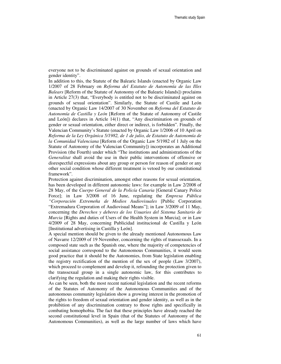everyone not to be discriminated against on grounds of sexual orientation and gender identity".

In addition to this, the Statute of the Balearic Islands (enacted by Organic Law 1/2007 of 28 February on *Reforma del Estatuto de Autonomía de las Illes Balears* [Reform of the Statute of Autonomy of the Balearic Islands]) proclaims in Article 27(3) that, "Everybody is entitled not to be discriminated against on grounds of sexual orientation". Similarly, the Statute of Castile and León (enacted by Organic Law 14/2007 of 30 November on *Reforma del Estatuto de Autonomía de Castilla y León* [Reform of the Statute of Autonomy of Castile and León]) declares in Article 14(1) that, "Any discrimination on grounds of gender or sexual orientation, either direct or indirect, is forbidden". Finally, the Valencian Community's Statute (enacted by Organic Law 1/2006 of 10 April on *Reforma de la Ley Orgánica 5/1982, de 1 de julio, de Estatuto de Autonomía de la Comunidad Valenciana* [Reform of the Organic Law 5/1982 of 1 July on the Statute of Autonomy of the Valencian Community]) incorporates an Additional Provision (the Fourth) under which "The institutions and administrations of the *Generalitat* shall avoid the use in their public interventions of offensive or disrespectful expressions about any group or person for reason of gender or any other social condition whose different treatment is vetoed by our constitutional framework".

Protection against discrimination, amongst other reasons for sexual orientation, has been developed in different autonomic laws: for example in Law 2/2008 of 28 May, of the *Cuerpo General de la Policía Canaria* [General Canary Police Force]; in Law 3/2008 of 16 June, regulating the *Empresa Pública "Corporación Extremeña de Medios Audiovisuales* [Public Corporation "Extremadura Corporation of Audiovisual Means"]; in Law 3/2009 of 11 May, concerning the *Derechos y deberes de los Usuarios del Sistema Sanitario de Murcia* [Rights and duties of Users of the Health System in Murcia]; or in Law 4/2009 of 28 May, concerning Publicidad institucional de Castilla y León [Institutional advertising in Castilla y León].

A special mention should be given to the already mentioned Autonomous Law of Navarre 12/2009 of 19 November, concerning the rights of transsexuals. In a composed state such as the Spanish one, where the majority of competencies of social assistance correspond to the Autonomous Communities, it would seem good practice that it should be the Autonomies, from State legislation enabling the registry rectification of the mention of the sex of people (Law 3/2007), which proceed to complement and develop it, refounding the protection given to the transsexual group in a single autonomic law, for this contributes to clarifying the regulation and making their rights visible.

As can be seen, both the most recent national legislation and the recent reforms of the Statutes of Autonomy of the Autonomous Communities and of the autonomous community legislation show a growing interest in the promotion of the rights to freedom of sexual orientation and gender identity, as well as in the prohibition of any discrimination contrary to those rights and specifically in combating homophobia. The fact that these principles have already reached the second constitutional level in Spain (that of the Statutes of Autonomy of the Autonomous Communities), as well as the large number of laws which have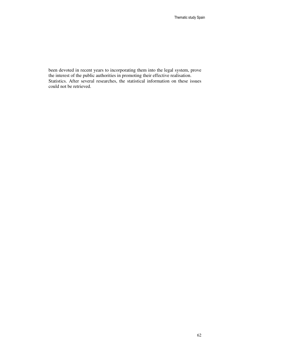been devoted in recent years to incorporating them into the legal system, prove the interest of the public authorities in promoting their effective realisation. Statistics. After several researches, the statistical information on these issues could not be retrieved.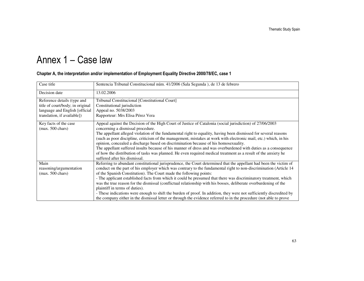# Annex 1 – Case law

#### Chapter A, the interpretation and/or implementation of Employment Equality Directive 2000/78/EC, case 1

| Case title                                                                                                                       | Sentencia Tribunal Constitucional núm. 41/2006 (Sala Segunda), de 13 de febrero                                                                                                                                                                                                                                                                                                                                                                                                                                                                                                                                                                                                                                                                                                                                                       |
|----------------------------------------------------------------------------------------------------------------------------------|---------------------------------------------------------------------------------------------------------------------------------------------------------------------------------------------------------------------------------------------------------------------------------------------------------------------------------------------------------------------------------------------------------------------------------------------------------------------------------------------------------------------------------------------------------------------------------------------------------------------------------------------------------------------------------------------------------------------------------------------------------------------------------------------------------------------------------------|
| Decision date                                                                                                                    | 13.02.2006                                                                                                                                                                                                                                                                                                                                                                                                                                                                                                                                                                                                                                                                                                                                                                                                                            |
| Reference details (type and<br>title of court/body; in original<br>language and English [official<br>translation, if available]) | Tribunal Constitucional [Constitutional Court]<br>Constitutional jurisdiction<br>Appeal no. 5038/2003<br>Rapporteur: Mrs Elisa Pérez Vera                                                                                                                                                                                                                                                                                                                                                                                                                                                                                                                                                                                                                                                                                             |
| Key facts of the case<br>$(max. 500 \text{ chars})$                                                                              | Appeal against the Decision of the High Court of Justice of Catalonia (social jurisdiction) of 27/06/2003<br>concerning a dismissal procedure.<br>The appellant alleged violation of the fundamental right to equality, having been dismissed for several reasons<br>(such as poor discipline, criticism of the management, mistakes at work with electronic mail, etc.) which, in his<br>opinion, concealed a discharge based on discrimination because of his homosexuality.<br>The appellant suffered insults because of his manner of dress and was overburdened with duties as a consequence<br>of how the distribution of tasks was planned. He even required medical treatment as a result of the anxiety he<br>suffered after his dismissal.                                                                                  |
| Main<br>reasoning/argumentation<br>$(max. 500 \text{ chars})$                                                                    | Referring to abundant constitutional jurisprudence, the Court determined that the appellant had been the victim of<br>conduct on the part of his employer which was contrary to the fundamental right to non-discrimination (Article 14<br>of the Spanish Constitution). The Court made the following points:<br>- The applicant established facts from which it could be presumed that there was discriminatory treatment, which<br>was the true reason for the dismissal (conflictual relationship with his bosses, deliberate overburdening of the<br>plaintiff in terms of duties).<br>- These indications were enough to shift the burden of proof. In addition, they were not sufficiently discredited by<br>the company either in the dismissal letter or through the evidence referred to in the procedure (not able to prove |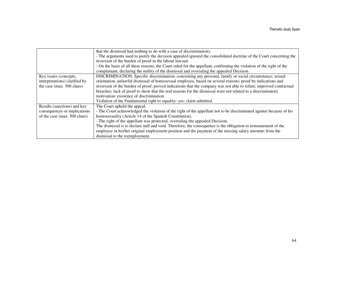|                               | that the dismissal had nothing to do with a case of discrimination).                                                 |
|-------------------------------|----------------------------------------------------------------------------------------------------------------------|
|                               | - The arguments used to justify the decision appealed ignored the consolidated doctrine of the Court concerning the  |
|                               | inversion of the burden of proof in the labour lawsuit.                                                              |
|                               | - On the basis of all these reasons, the Court ruled for the appellant, confirming the violation of the right of the |
|                               | complainant, declaring the nullity of the dismissal and overruling the appealed Decision.                            |
| Key issues (concepts,         | DISCRIMINATION. Specific discrimination; concerning any personal, family or social circumstance; sexual              |
| interpretations) clarified by | orientation; unlawful dismissal of homosexual employee, based on several reasons; proof by indications and           |
| the case (max. 500 chars)     | inversion of the burden of proof; proved indications that the company was not able to refute; unproved contractual   |
|                               | breaches; lack of proof to show that the real reasons for the dismissal were not related to a discriminatory         |
|                               | motivation: existence of discrimination.                                                                             |
|                               | Violation of the Fundamental right to equality: yes: claim admitted.                                                 |
| Results (sanctions) and key   | The Court upheld the appeal.                                                                                         |
| consequences or implications  | - The Court acknowledged the violation of the right of the appellant not to be discriminated against because of his  |
| of the case (max. 500 chars)  | homosexuality (Article 14 of the Spanish Constitution).                                                              |
|                               | - The right of the appellant was protected, overruling the appealed Decision.                                        |
|                               | The dismissal is to declare null and void. Therefore, the consequence is the obligation to reinstatement of the      |
|                               | employee in his/her original employment position and the payment of the missing salary amounts from the              |
|                               | dismissal to the reemployment.                                                                                       |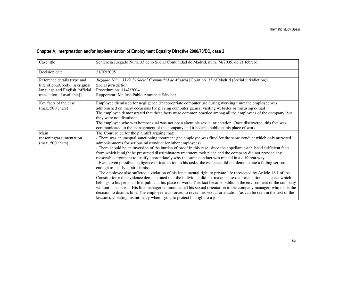### Chapter A, interpretation and/or implementation of Employment Equality Directive 2000/78/EC, case 2

| Case title                                                                                                                       | Sentencia Juzgado Núm. 33 de lo Social Comunidad de Madrid, núm. 74/2005, de 21 febrero                                                                                                                                                                                                                                                                                                                                                                                                                                                                                                                                                                                                                                                                                                                                                                                                                                                                                                                                                                                                                                                                                                                                                                                                                                                                                                                                         |
|----------------------------------------------------------------------------------------------------------------------------------|---------------------------------------------------------------------------------------------------------------------------------------------------------------------------------------------------------------------------------------------------------------------------------------------------------------------------------------------------------------------------------------------------------------------------------------------------------------------------------------------------------------------------------------------------------------------------------------------------------------------------------------------------------------------------------------------------------------------------------------------------------------------------------------------------------------------------------------------------------------------------------------------------------------------------------------------------------------------------------------------------------------------------------------------------------------------------------------------------------------------------------------------------------------------------------------------------------------------------------------------------------------------------------------------------------------------------------------------------------------------------------------------------------------------------------|
| Decision date                                                                                                                    | 21/02/2005                                                                                                                                                                                                                                                                                                                                                                                                                                                                                                                                                                                                                                                                                                                                                                                                                                                                                                                                                                                                                                                                                                                                                                                                                                                                                                                                                                                                                      |
| Reference details (type and<br>title of court/body; in original<br>language and English [official<br>translation, if available]) | Juzgado Núm. 33 de lo Social Comunidad de Madrid [Court no. 33 of Madrid (Social jurisdiction)]<br>Social jurisdiction<br>Procedure no. 1142/2004<br>Rapporteur: Mr José Pablo Aramendi Sánchez                                                                                                                                                                                                                                                                                                                                                                                                                                                                                                                                                                                                                                                                                                                                                                                                                                                                                                                                                                                                                                                                                                                                                                                                                                 |
| Key facts of the case<br>$(max. 500 \text{ chars})$                                                                              | Employee dismissed for negligence (inappropriate computer use during working time; the employee was<br>admonished on many occasions for playing computer games, visiting websites or misusing e-mail).<br>The employee demonstrated that these facts were common practice among all the employees of the company, but<br>they were not dismissed.<br>The employee who was homosexual was not open about his sexual orientation. Once discovered, this fact was<br>communicated to the management of the company and it became public at his place of work.                                                                                                                                                                                                                                                                                                                                                                                                                                                                                                                                                                                                                                                                                                                                                                                                                                                                      |
| Main<br>reasoning/argumentation<br>$(max. 500 \text{ chars})$                                                                    | The Court ruled for the plaintiff arguing that:<br>- There was an unequal sanctioning treatment (the employee was fired for the same conduct which only attracted<br>admonishments for serious misconduct for other employees).<br>- There should be an inversion of the burden of proof in this case, since the appellant established sufficient facts<br>from which it might be presumed discriminatory treatment took place and the company did not provide any<br>reasonable argument to justify appropriately why the same conduct was treated in a different way.<br>- Even given possible negligence or inattention to his tasks, the evidence did not demonstrate a failing serious<br>enough to justify a fair dismissal.<br>- The employee also suffered a violation of his fundamental right to private life (protected by Article 18.1 of the<br>Constitution): the evidence demonstrated that the individual did not make his sexual orientation, an aspect which<br>belongs to his personal life, public at his place of work. This fact became public in the environment of the company<br>without his consent. His line manager communicated his sexual orientation to the company manager, who made the<br>decision to dismiss him. The employee was forced to reveal his sexual orientation (as can be seen in the text of the<br>lawsuit), violating his intimacy when trying to protect his right to a job. |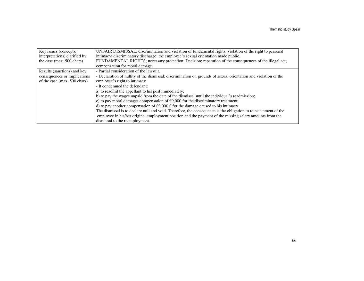| Key issues (concepts,         | UNFAIR DISMISSAL; discrimination and violation of fundamental rights; violation of the right to personal        |
|-------------------------------|-----------------------------------------------------------------------------------------------------------------|
| interpretations) clarified by | intimacy; discriminatory discharge; the employee's sexual orientation made public.                              |
| the case (max. 500 chars)     | FUNDAMENTAL RIGHTS; necessary protection; Decision; reparation of the consequences of the illegal act;          |
|                               | compensation for moral damage.                                                                                  |
| Results (sanctions) and key   | - Partial consideration of the lawsuit.                                                                         |
| consequences or implications  | - Declaration of nullity of the dismissal: discrimination on grounds of sexual orientation and violation of the |
| of the case (max. 500 chars)  | employee's right to intimacy                                                                                    |
|                               | - It condemned the defendant:                                                                                   |
|                               | a) to readmit the appellant to his post immediately;                                                            |
|                               | b) to pay the wages unpaid from the date of the dismissal until the individual's readmission;                   |
|                               | c) to pay moral damages compensation of $\epsilon$ 9,000 for the discriminatory treatment;                      |
|                               | d) to pay another compensation of $\epsilon$ 9,000 $\epsilon$ for the damage caused to his intimacy             |
|                               | The dismissal is to declare null and void. Therefore, the consequence is the obligation to reinstatement of the |
|                               | employee in his/her original employment position and the payment of the missing salary amounts from the         |
|                               | dismissal to the reemployment.                                                                                  |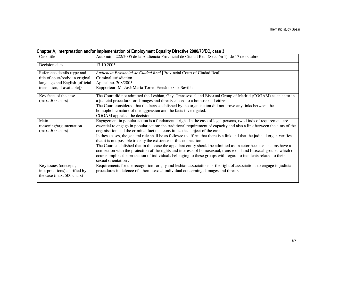### Chapter A, interpretation and/or implementation of Employment Equality Directive 2000/78/EC, case 3

| Case title                                            | Auto núm. 222/2005 de la Audiencia Provincial de Ciudad Real (Sección 1), de 17 de octubre.                                                                                                            |
|-------------------------------------------------------|--------------------------------------------------------------------------------------------------------------------------------------------------------------------------------------------------------|
| Decision date                                         | 17.10.2005                                                                                                                                                                                             |
| Reference details (type and                           | Audiencia Provincial de Ciudad Real [Provincial Court of Ciudad Real]                                                                                                                                  |
| title of court/body; in original                      | Criminal jurisdiction                                                                                                                                                                                  |
| language and English [official                        | Appeal no. 208/2005                                                                                                                                                                                    |
| translation, if available])                           | Rapporteur: Mr José María Torres Fernández de Sevilla                                                                                                                                                  |
| Key facts of the case                                 | The Court did not admitted the Lesbian, Gay, Transsexual and Bisexual Group of Madrid (COGAM) as an actor in                                                                                           |
| $(max. 500 \text{ chars})$                            | a judicial procedure for damages and threats caused to a homosexual citizen.                                                                                                                           |
|                                                       | The Court considered that the facts established by the organisation did not prove any links between the                                                                                                |
|                                                       | homophobic nature of the aggression and the facts investigated.                                                                                                                                        |
|                                                       | COGAM appealed the decision.                                                                                                                                                                           |
| Main                                                  | Engagement in popular action is a fundamental right. In the case of legal persons, two kinds of requirement are                                                                                        |
| reasoning/argumentation<br>$(max. 500 \text{ chars})$ | essential to engage in popular action: the traditional requirement of capacity and also a link between the aims of the<br>organisation and the criminal fact that constitutes the subject of the case. |
|                                                       | In these cases, the general rule shall be as follows: to affirm that there is a link and that the judicial organ verifies<br>that it is not possible to deny the existence of this connection.         |
|                                                       | The Court established that in this case the appellant entity should be admitted as an actor because its aims have a                                                                                    |
|                                                       | connection with the protection of the rights and interests of homosexual, transsexual and bisexual groups, which of                                                                                    |
|                                                       | course implies the protection of individuals belonging to these groups with regard to incidents related to their                                                                                       |
|                                                       | sexual orientation.                                                                                                                                                                                    |
| Key issues (concepts,                                 | Requirements for the recognition for gay and lesbian associations of the right of associations to engage in judicial                                                                                   |
| interpretations) clarified by                         | procedures in defence of a homosexual individual concerning damages and threats.                                                                                                                       |
| the case (max. 500 chars)                             |                                                                                                                                                                                                        |
|                                                       |                                                                                                                                                                                                        |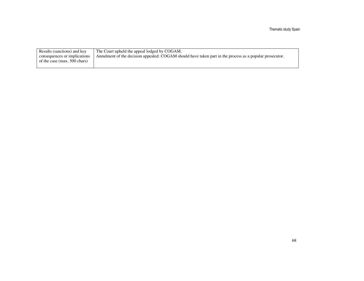Thematic study Spain

| Results (sanctions) and key  | The Court upheld the appeal lodged by COGAM.                                                             |
|------------------------------|----------------------------------------------------------------------------------------------------------|
| consequences or implications | Annulment of the decision appealed: COGAM should have taken part in the process as a popular prosecutor. |
| of the case (max. 500 chars) |                                                                                                          |
|                              |                                                                                                          |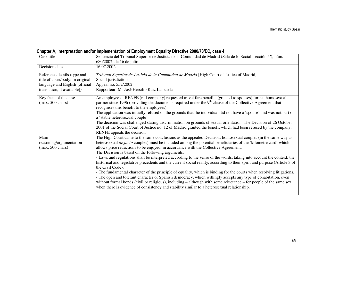### Chapter A, interpretation and/or implementation of Employment Equality Directive 2000/78/EC, case 4

| Case title                                                                                                                       | Sentencia del Tribunal Superior de Justicia de la Comunidad de Madrid (Sala de lo Social, sección 5ª), núm.<br>680/2002, de 16 de julio                                                                                                                                                                                                                                                                                                                                                                                                                                                                                                                                                                                                                                                                                                                                                                                                                                                                                                                                                                               |
|----------------------------------------------------------------------------------------------------------------------------------|-----------------------------------------------------------------------------------------------------------------------------------------------------------------------------------------------------------------------------------------------------------------------------------------------------------------------------------------------------------------------------------------------------------------------------------------------------------------------------------------------------------------------------------------------------------------------------------------------------------------------------------------------------------------------------------------------------------------------------------------------------------------------------------------------------------------------------------------------------------------------------------------------------------------------------------------------------------------------------------------------------------------------------------------------------------------------------------------------------------------------|
| Decision date                                                                                                                    | 16.07.2002                                                                                                                                                                                                                                                                                                                                                                                                                                                                                                                                                                                                                                                                                                                                                                                                                                                                                                                                                                                                                                                                                                            |
| Reference details (type and<br>title of court/body; in original<br>language and English [official<br>translation, if available]) | Tribunal Superior de Justicia de la Comunidad de Madrid [High Court of Justice of Madrid]<br>Social jurisdiction<br>Appeal no. 552/2002<br>Rapporteur: Mr José Hersilio Ruiz Lanzuela                                                                                                                                                                                                                                                                                                                                                                                                                                                                                                                                                                                                                                                                                                                                                                                                                                                                                                                                 |
| Key facts of the case<br>$(max. 500 \text{ chars})$                                                                              | An employee of RENFE (rail company) requested travel fare benefits (granted to spouses) for his homosexual<br>partner since 1996 (providing the documents required under the $9th$ clause of the Collective Agreement that<br>recognises this benefit to the employees).<br>The application was initially refused on the grounds that the individual did not have a 'spouse' and was not part of<br>a 'stable heterosexual couple'.<br>The decision was challenged stating discrimination on grounds of sexual orientation. The Decision of 26 October<br>2001 of the Social Court of Justice no. 12 of Madrid granted the benefit which had been refused by the company.<br>RENFE appeals the decision.                                                                                                                                                                                                                                                                                                                                                                                                              |
| Main<br>reasoning/argumentation<br>$(max. 500 \text{ chars})$                                                                    | The High Court came to the same conclusions as the appealed Decision: homosexual couples (in the same way as<br>heterosexual de facto couples) must be included among the potential beneficiaries of the 'kilometre card' which<br>allows price reductions to be enjoyed, in accordance with the Collective Agreement.<br>The Decision is based on the following arguments:<br>- Laws and regulations shall be interpreted according to the sense of the words, taking into account the context, the<br>historical and legislative precedents and the current social reality, according to their spirit and purpose (Article 3 of<br>the Civil Code).<br>- The fundamental character of the principle of equality, which is binding for the courts when resolving litigations.<br>- The open and tolerant character of Spanish democracy, which willingly accepts any type of cohabitation, even<br>without formal bonds (civil or religious), including – although with some reluctance – for people of the same sex,<br>when there is evidence of consistency and stability similar to a heterosexual relationship. |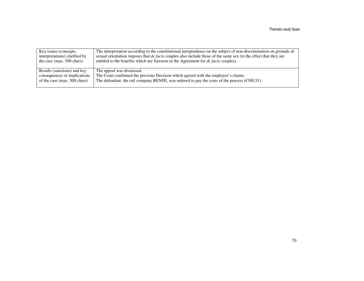| Key issues (concepts,         | The interpretation according to the constitutional jurisprudence on the subject of non-discrimination on grounds of     |
|-------------------------------|-------------------------------------------------------------------------------------------------------------------------|
| interpretations) clarified by | sexual orientation imposes that <i>de facto</i> couples also include those of the same sex (to the effect that they are |
| the case (max. 500 chars)     | entitled to the benefits which are foreseen in the Agreement for <i>de facto</i> couples).                              |
|                               |                                                                                                                         |
| Results (sanctions) and key   | The appeal was dismissed.                                                                                               |
| consequences or implications  | The Court confirmed the previous Decision which agreed with the employee's claims.                                      |
| of the case (max. 500 chars)  | The defendant, the rail company RENFE, was ordered to pay the costs of the process $(\text{\textsterling}300.51)$ .     |
|                               |                                                                                                                         |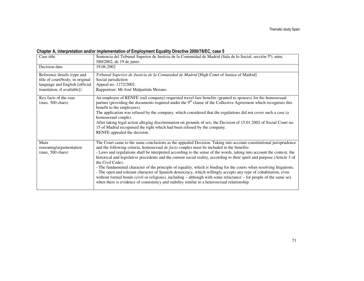### Chapter A, interpretation and/or implementation of Employment Equality Directive 2000/78/EC, case 5

| Case title                                                                                                                       | Sentencia del Tribunal Superior de Justicia de la Comunidad de Madrid (Sala de lo Social, sección 5ª), núm.<br>580/2002, de 19 de junio                                                                                                                                                                                                                                                                                                                                                                                                                                                                                                                                                                                                                                                                                                                                                                                                                 |
|----------------------------------------------------------------------------------------------------------------------------------|---------------------------------------------------------------------------------------------------------------------------------------------------------------------------------------------------------------------------------------------------------------------------------------------------------------------------------------------------------------------------------------------------------------------------------------------------------------------------------------------------------------------------------------------------------------------------------------------------------------------------------------------------------------------------------------------------------------------------------------------------------------------------------------------------------------------------------------------------------------------------------------------------------------------------------------------------------|
| Decision date                                                                                                                    | 19.06.2002                                                                                                                                                                                                                                                                                                                                                                                                                                                                                                                                                                                                                                                                                                                                                                                                                                                                                                                                              |
| Reference details (type and<br>title of court/body; in original<br>language and English [official<br>translation, if available]) | Tribunal Superior de Justicia de la Comunidad de Madrid [High Court of Justice of Madrid]<br>Social jurisdiction<br>Appeal no. 1272/2002.<br>Rapporteur: Mr José Malpartida Morano                                                                                                                                                                                                                                                                                                                                                                                                                                                                                                                                                                                                                                                                                                                                                                      |
| Key facts of the case<br>$(max. 500 \text{ chars})$                                                                              | An employee of RENFE (rail company) requested travel fare benefits (granted to spouses) for his homosexual<br>partner (providing the documents required under the $9th$ clause of the Collective Agreement which recognises this<br>benefit to the employees).<br>The application was refused by the company, which considered that the regulations did not cover such a case (a<br>homosexual couple).<br>After taking legal action alleging discrimination on grounds of sex, the Decision of 15.01.2002 of Social Court no.<br>15 of Madrid recognised the right which had been refused by the company.<br>RENFE appealed the decision.                                                                                                                                                                                                                                                                                                              |
| Main<br>reasoning/argumentation<br>$(max. 500 \text{ chars})$                                                                    | The Court came to the same conclusions as the appealed Decision. Taking into account constitutional jurisprudence<br>and the following criteria, homosexual de facto couples must be included in the benefits:<br>- Laws and regulations shall be interpreted according to the sense of the words, taking into account the context, the<br>historical and legislative precedents and the current social reality, according to their spirit and purpose (Article 3 of<br>the Civil Code).<br>- The fundamental character of the principle of equality, which is binding for the courts when resolving litigations.<br>- The open and tolerant character of Spanish democracy, which willingly accepts any type of cohabitation, even<br>without formal bonds (civil or religious), including – although with some reluctance – for people of the same sex<br>when there is evidence of consistency and stability similar to a heterosexual relationship. |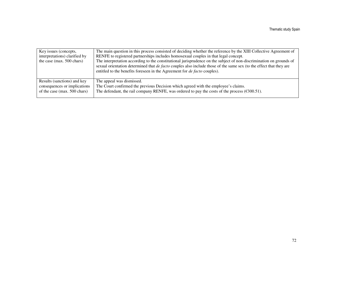| Key issues (concepts,         | The main question in this process consisted of deciding whether the reference by the XIII Collective Agreement of          |
|-------------------------------|----------------------------------------------------------------------------------------------------------------------------|
| interpretations) clarified by | RENFE to registered partnerships includes homosexual couples in that legal concept.                                        |
| the case (max. 500 chars)     | The interpretation according to the constitutional jurisprudence on the subject of non-discrimination on grounds of        |
|                               | sexual orientation determined that <i>de facto</i> couples also include those of the same sex (to the effect that they are |
|                               | entitled to the benefits foreseen in the Agreement for <i>de facto</i> couples).                                           |
|                               |                                                                                                                            |
| Results (sanctions) and key   | The appeal was dismissed.                                                                                                  |
| consequences or implications  | The Court confirmed the previous Decision which agreed with the employee's claims.                                         |
| of the case (max. 500 chars)  | The defendant, the rail company RENFE, was ordered to pay the costs of the process ( $\epsilon$ 300.51).                   |
|                               |                                                                                                                            |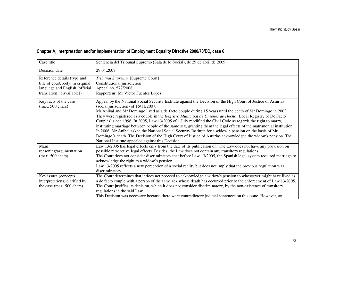# Chapter A, interpretation and/or implementation of Employment Equality Directive 2000/78/EC, case 6

| Case title                       | Sentencia del Tribunal Supremo (Sala de lo Social), de 29 de abril de 2009                                                                             |
|----------------------------------|--------------------------------------------------------------------------------------------------------------------------------------------------------|
| Decision date                    | 29.04.2009                                                                                                                                             |
| Reference details (type and      | Tribunal Supremo [Supreme Court]                                                                                                                       |
| title of court/body; in original | Constitutional jurisdiction                                                                                                                            |
| language and English [official   | Appeal no. 577/2008                                                                                                                                    |
| translation, if available])      | Rapporteur: Mr Víctor Fuentes López                                                                                                                    |
| Key facts of the case            | Appeal by the National Social Security Institute against the Decision of the High Court of Justice of Asturias<br>(social jurisdiction) of 16/11/2007. |
| $(max. 500 \text{ chars})$       | Mr Anibal and Mr Domingo lived as a de facto couple during 15 years until the death of Mr Domingo in 2003.                                             |
|                                  | They were registered as a couple in the Registro Municipal de Uniones de Hecho [Local Registry of De Facto                                             |
|                                  | Couples] since 1996. In 2005, Law 13/2005 of 1 July modified the Civil Code as regards the right to marry,                                             |
|                                  | instituting marriage between people of the same sex, granting them the legal effects of the matrimonial institution.                                   |
|                                  | In 2006, Mr Anibal asked the National Social Security Institute for a widow's pension on the basis of Mr                                               |
|                                  | Domingo's death. The Decision of the High Court of Justice of Asturias acknowledged the widow's pension. The                                           |
|                                  | National Institute appealed against this Decision.                                                                                                     |
| Main                             | Law 13/2005 has legal effects only from the date of its publication on. The Law does not have any provision on                                         |
| reasoning/argumentation          | possible retroactive legal effects. Besides, the Law does not contain any transitory regulations.                                                      |
| $(max. 500 \text{ chars})$       | The Court does not consider discriminatory that before Law 13/2005, the Spanish legal system required marriage to                                      |
|                                  | acknowledge the right to a widow's pension.                                                                                                            |
|                                  | Law 13/2005 reflects a new perception of a social reality but does not imply that the previous regulation was                                          |
|                                  | discriminatory.                                                                                                                                        |
| Key issues (concepts,            | The Court determines that it does not proceed to acknowledge a widow's pension to whosoever might have lived as                                        |
| interpretations) clarified by    | a de facto couple with a person of the same sex whose death has occurred prior to the enforcement of Law 13/2005.                                      |
| the case (max. 500 chars)        | The Court justifies its decision, which it does not consider discriminatory, by the non-existence of transitory                                        |
|                                  | regulations in the said Law.                                                                                                                           |
|                                  | This Decision was necessary because there were contradictory judicial sentences on this issue. However, an                                             |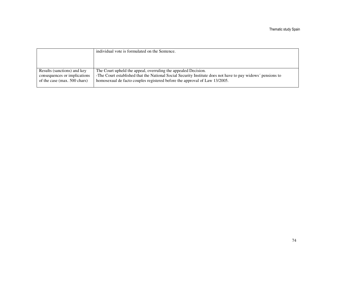|                              | individual vote is formulated on the Sentence.                                                              |
|------------------------------|-------------------------------------------------------------------------------------------------------------|
| Results (sanctions) and key  | The Court upheld the appeal, overruling the appealed Decision.                                              |
| consequences or implications | -The Court established that the National Social Security Institute does not have to pay widows' pensions to |
| of the case (max. 500 chars) | homosexual de facto couples registered before the approval of Law 13/2005.                                  |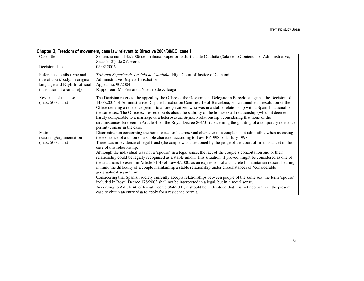### Chapter B, Freedom of movement, case law relevant to Directive 2004/38/EC, case 1

| Case title                                                                                                                       | Sentencia núm. 145/2006 del Tribunal Superior de Justicia de Cataluña (Sala de lo Contencioso-Administrativo,<br>Sección 2 <sup>a</sup> ), de 8 febrero.                                                                                                                                                                                                                                                                                                                                                                                                                                                                                                                                                                                                                                                                                                                                                                                                                                                                                                                                                                                                                                                                                                                                  |
|----------------------------------------------------------------------------------------------------------------------------------|-------------------------------------------------------------------------------------------------------------------------------------------------------------------------------------------------------------------------------------------------------------------------------------------------------------------------------------------------------------------------------------------------------------------------------------------------------------------------------------------------------------------------------------------------------------------------------------------------------------------------------------------------------------------------------------------------------------------------------------------------------------------------------------------------------------------------------------------------------------------------------------------------------------------------------------------------------------------------------------------------------------------------------------------------------------------------------------------------------------------------------------------------------------------------------------------------------------------------------------------------------------------------------------------|
| Decision date                                                                                                                    | 08.02.2006                                                                                                                                                                                                                                                                                                                                                                                                                                                                                                                                                                                                                                                                                                                                                                                                                                                                                                                                                                                                                                                                                                                                                                                                                                                                                |
| Reference details (type and<br>title of court/body; in original<br>language and English [official<br>translation, if available]) | Tribunal Superior de Justicia de Cataluña [High Court of Justice of Catalonia]<br>Administrative Dispute Jurisdiction<br>Appeal no. 90/2004<br>Rapporteur: Ms Fernanda Navarro de Zuloaga                                                                                                                                                                                                                                                                                                                                                                                                                                                                                                                                                                                                                                                                                                                                                                                                                                                                                                                                                                                                                                                                                                 |
| Key facts of the case<br>$(max. 500 \text{ chars})$                                                                              | The Decision refers to the appeal by the Office of the Government Delegate in Barcelona against the Decision of<br>14.05.2004 of Administrative Dispute Jurisdiction Court no. 13 of Barcelona, which annulled a resolution of the<br>Office denying a residence permit to a foreign citizen who was in a stable relationship with a Spanish national of<br>the same sex. The Office expressed doubts about the stability of the homosexual relationship (which it deemed<br>hardly comparable to a marriage or a heterosexual de facto relationship), considering that none of the<br>circumstances foreseen in Article 41 of the Royal Decree 864/01 (concerning the granting of a temporary residence<br>permit) concur in the case.                                                                                                                                                                                                                                                                                                                                                                                                                                                                                                                                                   |
| Main<br>reasoning/argumentation<br>$(max. 500 \text{ chars})$                                                                    | Discrimination concerning the homosexual or heterosexual character of a couple is not admissible when assessing<br>the existence of a union of a stable character according to Law 10/1998 of 15 July 1998.<br>There was no evidence of legal fraud (the couple was questioned by the judge of the court of first instance) in the<br>case of this relationship.<br>Although the individual was not a 'spouse' in a legal sense, the fact of the couple's cohabitation and of their<br>relationship could be legally recognised as a stable union. This situation, if proved, might be considered as one of<br>the situations foreseen in Article 31(4) of Law 4/2000, as an expression of a concrete humanitarian reason, bearing<br>in mind the difficulty of a couple maintaining a stable relationship under circumstances of 'considerable<br>geographical separation'.<br>Considering that Spanish society currently accepts relationships between people of the same sex, the term 'spouse'<br>included in Royal Decree 178/2003 shall not be interpreted in a legal, but in a social sense.<br>According to Article 46 of Royal Decree 864/2001, it should be understood that it is not necessary in the present<br>case to obtain an entry visa to apply for a residence permit. |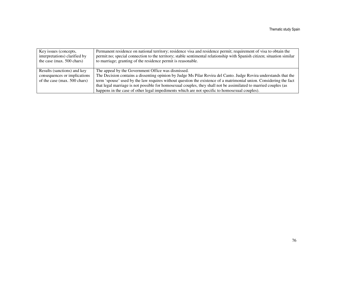| Key issues (concepts,<br>interpretations) clarified by<br>the case (max. 500 chars) | Permanent residence on national territory; residence visa and residence permit; requirement of visa to obtain the<br>permit:no; special connection to the territory; stable sentimental relationship with Spanish citizen; situation similar<br>to marriage; granting of the residence permit is reasonable. |
|-------------------------------------------------------------------------------------|--------------------------------------------------------------------------------------------------------------------------------------------------------------------------------------------------------------------------------------------------------------------------------------------------------------|
| Results (sanctions) and key<br>consequences or implications                         | The appeal by the Government Office was dismissed.<br>The Decision contains a dissenting opinion by Judge Ms Pilar Rovira del Canto. Judge Rovira understands that the                                                                                                                                       |
| of the case (max. 500 chars)                                                        | term 'spouse' used by the law requires without question the existence of a matrimonial union. Considering the fact                                                                                                                                                                                           |
|                                                                                     | that legal marriage is not possible for homosexual couples, they shall not be assimilated to married couples (as                                                                                                                                                                                             |
|                                                                                     | happens in the case of other legal impediments which are not specific to homosexual couples).                                                                                                                                                                                                                |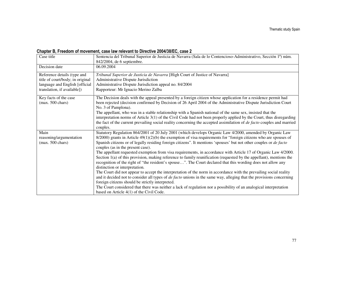### Chapter B, Freedom of movement, case law relevant to Directive 2004/38/EC, case 2

| Case title                                                                                                                       | Sentencia del Tribunal Superior de Justicia de Navarra (Sala de lo Contencioso-Administrativo, Sección 1ª) núm.<br>842/2004, de 6 septiembre.                                                                                                                                                                                                                                                                                                                                                                                                                                                                                                                                                                                                                                                                                                                                                                                                                                                                                                                                                                                                                                                                                                                         |
|----------------------------------------------------------------------------------------------------------------------------------|-----------------------------------------------------------------------------------------------------------------------------------------------------------------------------------------------------------------------------------------------------------------------------------------------------------------------------------------------------------------------------------------------------------------------------------------------------------------------------------------------------------------------------------------------------------------------------------------------------------------------------------------------------------------------------------------------------------------------------------------------------------------------------------------------------------------------------------------------------------------------------------------------------------------------------------------------------------------------------------------------------------------------------------------------------------------------------------------------------------------------------------------------------------------------------------------------------------------------------------------------------------------------|
| Decision date                                                                                                                    | 06.09.2004                                                                                                                                                                                                                                                                                                                                                                                                                                                                                                                                                                                                                                                                                                                                                                                                                                                                                                                                                                                                                                                                                                                                                                                                                                                            |
| Reference details (type and<br>title of court/body; in original<br>language and English [official<br>translation, if available]) | Tribunal Superior de Justicia de Navarra [High Court of Justice of Navarra]<br>Administrative Dispute Jurisdiction<br>Administrative Dispute Jurisdiction appeal no. 84/2004<br>Rapporteur: Mr Ignacio Merino Zalba                                                                                                                                                                                                                                                                                                                                                                                                                                                                                                                                                                                                                                                                                                                                                                                                                                                                                                                                                                                                                                                   |
| Key facts of the case<br>$(max. 500 \text{ chars})$                                                                              | The Decision deals with the appeal presented by a foreign citizen whose application for a residence permit had<br>been rejected (decision confirmed by Decision of 26 April 2004 of the Administrative Dispute Jurisdiction Court<br>No. 3 of Pamplona).<br>The appellant, who was in a stable relationship with a Spanish national of the same sex, insisted that the<br>interpretation norms of Article 3(1) of the Civil Code had not been properly applied by the Court, thus disregarding<br>the fact of the current prevailing social reality concerning the accepted assimilation of <i>de facto</i> couples and married<br>couples.                                                                                                                                                                                                                                                                                                                                                                                                                                                                                                                                                                                                                           |
| Main<br>reasoning/argumentation<br>$(max. 500 \text{ chars})$                                                                    | Statutory Regulation 864/2001 of 20 July 2001 (which develops Organic Law 4/2000, amended by Organic Law<br>$8/2000$ ) grants in Article $49(1)(2)(b)$ the exemption of visa requirements for "foreign citizens who are spouses of<br>Spanish citizens or of legally residing foreign citizens". It mentions 'spouses' but not other couples or de facto<br>couples (as in the present case).<br>The appellant requested exemption from visa requirements, in accordance with Article 17 of Organic Law 4/2000.<br>Section $1(a)$ of this provision, making reference to family reunification (requested by the appellant), mentions the<br>recognition of the right of "the resident's spouse". The Court declared that this wording does not allow any<br>distinction or interpretation.<br>The Court did not appear to accept the interpretation of the norm in accordance with the prevailing social reality<br>and it decided not to consider all types of <i>de facto</i> unions in the same way, alleging that the provisions concerning<br>foreign citizens should be strictly interpreted.<br>The Court considered that there was neither a lack of regulation nor a possibility of an analogical interpretation<br>based on Article 4(1) of the Civil Code. |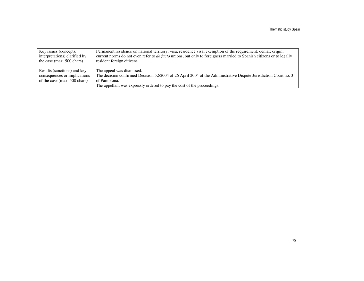| Key issues (concepts,<br>interpretations) clarified by<br>the case (max. $500$ chars) | Permanent residence on national territory; visa; residence visa; exemption of the requirement; denial; origin;<br>current norms do not even refer to <i>de facto</i> unions, but only to foreigners married to Spanish citizens or to legally<br>resident foreign citizens. |
|---------------------------------------------------------------------------------------|-----------------------------------------------------------------------------------------------------------------------------------------------------------------------------------------------------------------------------------------------------------------------------|
| Results (sanctions) and key                                                           | The appeal was dismissed.                                                                                                                                                                                                                                                   |
| consequences or implications                                                          | The decision confirmed Decision 52/2004 of 26 April 2004 of the Administrative Dispute Jurisdiction Court no. 3                                                                                                                                                             |
| of the case (max. 500 chars)                                                          | of Pamplona.                                                                                                                                                                                                                                                                |
|                                                                                       | The appellant was expressly ordered to pay the cost of the proceedings.                                                                                                                                                                                                     |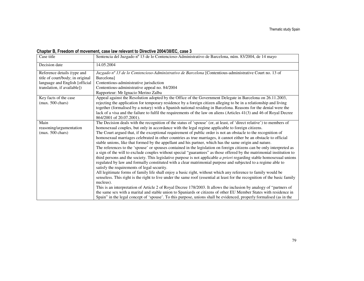### Chapter B, Freedom of movement, case law relevant to Directive 2004/38/EC, case 3

| Case title                                                      | Sentencia del Juzgado nº 13 de lo Contencioso-Administrativo de Barcelona, núm. 83/2004, de 14 mayo                                     |
|-----------------------------------------------------------------|-----------------------------------------------------------------------------------------------------------------------------------------|
| Decision date                                                   | 14.05.2004                                                                                                                              |
| Reference details (type and<br>title of court/body; in original | Juzgado nº 13 de lo Contencioso-Administrativo de Barcelona [Contentious-administrative Court no. 13 of<br>Barcelona]                   |
| language and English [official                                  | Contentious-administrative jurisdiction                                                                                                 |
| translation, if available])                                     | Contentious-administrative appeal no. 84/2004                                                                                           |
|                                                                 | Rapporteur: Mr Ignacio Merino Zalba                                                                                                     |
| Key facts of the case                                           | Appeal against the Resolution adopted by the Office of the Government Delegate in Barcelona on 26.11.2003,                              |
| $(max. 500 \text{ chars})$                                      | rejecting the application for temporary residence by a foreign citizen alleging to be in a relationship and living                      |
|                                                                 | together (formalised by a notary) with a Spanish national residing in Barcelona. Reasons for the denial were the                        |
|                                                                 | lack of a visa and the failure to fulfil the requirements of the law on aliens (Articles 41(3) and 46 of Royal Decree                   |
|                                                                 | 864/2001 of 20.07.2001).                                                                                                                |
| Main                                                            | The Decision deals with the recognition of the status of 'spouse' (or, at least, of 'direct relative') to members of                    |
| reasoning/argumentation                                         | homosexual couples, but only in accordance with the legal regime applicable to foreign citizens.                                        |
| $(max. 500 \text{ chars})$                                      | The Court argued that, if the exceptional requirement of public order is not an obstacle to the recognition of                          |
|                                                                 | homosexual marriages celebrated in other countries as true marriages, it cannot either be an obstacle to official                       |
|                                                                 | stable unions, like that formed by the appellant and his partner, which has the same origin and nature.                                 |
|                                                                 | The references to the 'spouse' or spouses contained in the legislation on foreign citizens can be only interpreted as                   |
|                                                                 | a sign of the will to exclude couples without special "guarantees" as those offered by the matrimonial institution to                   |
|                                                                 | third persons and the society. This legislative purpose is not applicable <i>a priori</i> regarding stable homosexual unions            |
|                                                                 | regulated by law and formally constituted with a clear matrimonial purpose and subjected to a regime able to                            |
|                                                                 | satisfy the requirements of legal security.                                                                                             |
|                                                                 | All legitimate forms of family life shall enjoy a basic right, without which any reference to family would be                           |
|                                                                 | senseless. This right is the right to live under the same roof (essential at least for the recognition of the basic family<br>nucleus). |
|                                                                 |                                                                                                                                         |
|                                                                 | This is an interpretation of Article 2 of Royal Decree 178/2003. It allows the inclusion by analogy of "partners of                     |
|                                                                 | the same sex with a marital and stable union to Spaniards or citizens of other EU Member States with residence in                       |
|                                                                 | Spain" in the legal concept of 'spouse'. To this purpose, unions shall be evidenced, properly formalised (as in the                     |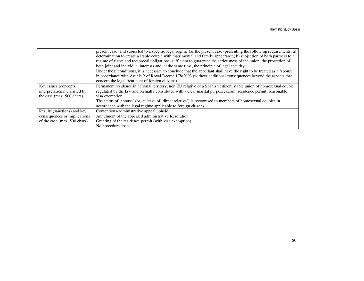|                               | present case) and subjected to a specific legal regime (as the present case) presenting the following requirements: a)  |
|-------------------------------|-------------------------------------------------------------------------------------------------------------------------|
|                               | determination to create a stable couple with matrimonial and family appearance; b) subjection of both partners to a     |
|                               | regime of rights and reciprocal obligations, sufficient to guarantee the seriousness of the union, the protection of    |
|                               | both joint and individual interests and, at the same time, the principle of legal security.                             |
|                               | Under these conditions, it is necessary to conclude that the appellant shall have the right to be treated as a 'spouse' |
|                               | in accordance with Article 2 of Royal Decree 178/2003 (without additional consequences beyond the aspects that          |
|                               | concern the legal treatment of foreign citizens).                                                                       |
| Key issues (concepts,         | Permanent residence in national territory; non EU relative of a Spanish citizen; stable union of homosexual couple      |
| interpretations) clarified by | regulated by the law and formally constituted with a clear marital purpose; exam; residence permit; reasonable:         |
| the case (max. 500 chars)     | visa exemption.                                                                                                         |
|                               | The status of 'spouse' (or, at least, of 'direct relative') is recognised to members of homosexual couples in           |
|                               | accordance with the legal regime applicable to foreign citizens.                                                        |
| Results (sanctions) and key   | Contentious-administrative appeal upheld.                                                                               |
| consequences or implications  | Annulment of the appealed administrative Resolution.                                                                    |
| of the case (max. 500 chars)  | Granting of the residence permit (with visa exemption).                                                                 |
|                               | No procedure costs.                                                                                                     |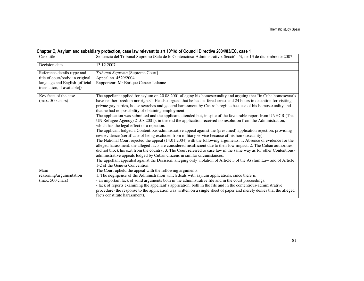| Chapter C, Asylum and subsidiary protection, case law relevant to art 10/1/d of Council Directive 2004/83/EC, case 1 |
|----------------------------------------------------------------------------------------------------------------------|
|----------------------------------------------------------------------------------------------------------------------|

| Case title                                                      | Sentencia del Tribunal Supremo (Sala de lo Contencioso-Administrativo, Sección 5), de 13 de diciembre de 2007                                                                                                                                                                                                                                                                                                                                                                                                                                                                                                                                                                                                                                                                                                                                                                                                                                                                                                                                                                                                                                                                                                                                                                                                                                                                                                                                                                                |
|-----------------------------------------------------------------|----------------------------------------------------------------------------------------------------------------------------------------------------------------------------------------------------------------------------------------------------------------------------------------------------------------------------------------------------------------------------------------------------------------------------------------------------------------------------------------------------------------------------------------------------------------------------------------------------------------------------------------------------------------------------------------------------------------------------------------------------------------------------------------------------------------------------------------------------------------------------------------------------------------------------------------------------------------------------------------------------------------------------------------------------------------------------------------------------------------------------------------------------------------------------------------------------------------------------------------------------------------------------------------------------------------------------------------------------------------------------------------------------------------------------------------------------------------------------------------------|
| Decision date                                                   | 13.12.2007                                                                                                                                                                                                                                                                                                                                                                                                                                                                                                                                                                                                                                                                                                                                                                                                                                                                                                                                                                                                                                                                                                                                                                                                                                                                                                                                                                                                                                                                                   |
| Reference details (type and<br>title of court/body; in original | Tribunal Supremo [Supreme Court]<br>Appeal no. 4529/2004                                                                                                                                                                                                                                                                                                                                                                                                                                                                                                                                                                                                                                                                                                                                                                                                                                                                                                                                                                                                                                                                                                                                                                                                                                                                                                                                                                                                                                     |
| language and English [official                                  | Rapporteur: Mr Enrique Cancer Lalanne                                                                                                                                                                                                                                                                                                                                                                                                                                                                                                                                                                                                                                                                                                                                                                                                                                                                                                                                                                                                                                                                                                                                                                                                                                                                                                                                                                                                                                                        |
| translation, if available])                                     |                                                                                                                                                                                                                                                                                                                                                                                                                                                                                                                                                                                                                                                                                                                                                                                                                                                                                                                                                                                                                                                                                                                                                                                                                                                                                                                                                                                                                                                                                              |
| Key facts of the case<br>$(max. 500 \text{ chars})$             | The appellant applied for asylum on 20.08.2001 alleging his homosexuality and arguing that "in Cuba homosexuals<br>have neither freedom nor rights". He also argued that he had suffered arrest and 24 hours in detention for visiting<br>private gay parties, house searches and general harassment by Castro's regime because of his homosexuality and<br>that he had no possibility of obtaining employment.<br>The application was submitted and the applicant attended but, in spite of the favourable report from UNHCR (The<br>UN Refugee Agency) 21.08.2001), in the end the application received no resolution from the Administration,<br>which has the legal effect of a rejection.<br>The applicant lodged a Contentious-administrative appeal against the (presumed) application rejection, providing<br>new evidence (certificate of being excluded from military service because of his homosexuality).<br>The National Court rejected the appeal (14.01.2004) with the following arguments: 1. Absence of evidence for the<br>alleged harassment: the alleged facts are considered insufficient due to their low impact; 2. The Cuban authorities<br>did not block his exit from the country; 3. The Court referred to case law in the same way as for other Contentious-<br>administrative appeals lodged by Cuban citizens in similar circumstances.<br>The appellant appealed against the Decision, alleging only violation of Article 3 of the Asylum Law and of Article |
| Main                                                            | 1-2 of the Geneva Convention.<br>The Court upheld the appeal with the following arguments:                                                                                                                                                                                                                                                                                                                                                                                                                                                                                                                                                                                                                                                                                                                                                                                                                                                                                                                                                                                                                                                                                                                                                                                                                                                                                                                                                                                                   |
|                                                                 | 1. The negligence of the Administration which deals with asylum applications, since there is                                                                                                                                                                                                                                                                                                                                                                                                                                                                                                                                                                                                                                                                                                                                                                                                                                                                                                                                                                                                                                                                                                                                                                                                                                                                                                                                                                                                 |
| reasoning/argumentation<br>$(max. 500 \text{ chars})$           | - an important lack of solid arguments both in the administrative file and in the court proceedings;                                                                                                                                                                                                                                                                                                                                                                                                                                                                                                                                                                                                                                                                                                                                                                                                                                                                                                                                                                                                                                                                                                                                                                                                                                                                                                                                                                                         |
|                                                                 | - lack of reports examining the appellant's application, both in the file and in the contentious-administrative                                                                                                                                                                                                                                                                                                                                                                                                                                                                                                                                                                                                                                                                                                                                                                                                                                                                                                                                                                                                                                                                                                                                                                                                                                                                                                                                                                              |
|                                                                 | procedure (the response to the application was written on a single sheet of paper and merely denies that the alleged                                                                                                                                                                                                                                                                                                                                                                                                                                                                                                                                                                                                                                                                                                                                                                                                                                                                                                                                                                                                                                                                                                                                                                                                                                                                                                                                                                         |
|                                                                 | facts constitute harassment).                                                                                                                                                                                                                                                                                                                                                                                                                                                                                                                                                                                                                                                                                                                                                                                                                                                                                                                                                                                                                                                                                                                                                                                                                                                                                                                                                                                                                                                                |
|                                                                 |                                                                                                                                                                                                                                                                                                                                                                                                                                                                                                                                                                                                                                                                                                                                                                                                                                                                                                                                                                                                                                                                                                                                                                                                                                                                                                                                                                                                                                                                                              |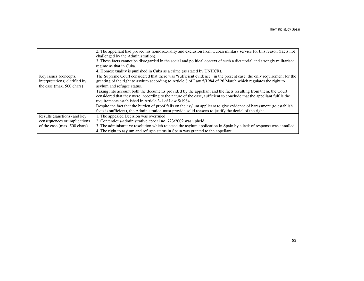|                               | 2. The appellant had proved his homosexuality and exclusion from Cuban military service for this reason (facts not      |
|-------------------------------|-------------------------------------------------------------------------------------------------------------------------|
|                               | challenged by the Administration.                                                                                       |
|                               | 3. These facts cannot be disregarded in the social and political context of such a dictatorial and strongly militarised |
|                               | regime as that in Cuba.                                                                                                 |
|                               | 4. Homosexuality is punished in Cuba as a crime (as stated by UNHCR).                                                   |
| Key issues (concepts,         | The Supreme Court considered that there was "sufficient evidence" in the present case, the only requirement for the     |
| interpretations) clarified by | granting of the right to asylum according to Article 8 of Law 5/1984 of 26 March which regulates the right to           |
| the case (max. 500 chars)     | asylum and refugee status.                                                                                              |
|                               | Taking into account both the documents provided by the appellant and the facts resulting from them, the Court           |
|                               | considered that they were, according to the nature of the case, sufficient to conclude that the appellant fulfils the   |
|                               | requirements established in Article 3-1 of Law 5/1984.                                                                  |
|                               | Despite the fact that the burden of proof falls on the asylum applicant to give evidence of harassment (to establish    |
|                               | facts is sufficient), the Administration must provide solid reasons to justify the denial of the right.                 |
| Results (sanctions) and key   | 1. The appealed Decision was overruled.                                                                                 |
| consequences or implications  | 2. Contentious-administrative appeal no. 723/2002 was upheld.                                                           |
| of the case (max. 500 chars)  | 3. The administrative resolution which rejected the asylum application in Spain by a lack of response was annulled.     |
|                               | 4. The right to asylum and refugee status in Spain was granted to the appellant.                                        |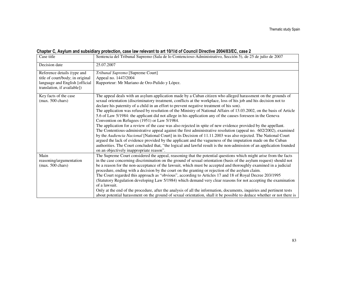| Chapter C, Asylum and subsidiary protection, case law relevant to art 10/1/d of Council Directive 2004/83/EC, case 2 |  |  |
|----------------------------------------------------------------------------------------------------------------------|--|--|
|----------------------------------------------------------------------------------------------------------------------|--|--|

| Case title                                                                                                                       | Sentencia del Tribunal Supremo (Sala de lo Contencioso-Administrativo, Sección 5), de 25 de julio de 2007                                                                                                                                                                                                                                                                                                                                                                                                                                                                                                                                                                                                                                                                                                                                                                                                                                                                                                                                                                                                                                                                                                                                                        |
|----------------------------------------------------------------------------------------------------------------------------------|------------------------------------------------------------------------------------------------------------------------------------------------------------------------------------------------------------------------------------------------------------------------------------------------------------------------------------------------------------------------------------------------------------------------------------------------------------------------------------------------------------------------------------------------------------------------------------------------------------------------------------------------------------------------------------------------------------------------------------------------------------------------------------------------------------------------------------------------------------------------------------------------------------------------------------------------------------------------------------------------------------------------------------------------------------------------------------------------------------------------------------------------------------------------------------------------------------------------------------------------------------------|
| Decision date                                                                                                                    | 25.07.2007                                                                                                                                                                                                                                                                                                                                                                                                                                                                                                                                                                                                                                                                                                                                                                                                                                                                                                                                                                                                                                                                                                                                                                                                                                                       |
| Reference details (type and<br>title of court/body; in original<br>language and English [official<br>translation, if available]) | Tribunal Supremo [Supreme Court]<br>Appeal no. 1447/2004<br>Rapporteur: Mr Mariano de Oro-Pulido y López.                                                                                                                                                                                                                                                                                                                                                                                                                                                                                                                                                                                                                                                                                                                                                                                                                                                                                                                                                                                                                                                                                                                                                        |
| Key facts of the case<br>$(max. 500 \text{ chars})$                                                                              | The appeal deals with an asylum application made by a Cuban citizen who alleged harassment on the grounds of<br>sexual orientation (discriminatory treatment, conflicts at the workplace, loss of his job and his decision not to<br>declare his paternity of a child in an effort to prevent negative treatment of his son).<br>The application was refused by resolution of the Ministry of National Affairs of 13.03.2002, on the basis of Article<br>5.6 of Law 5/1984: the applicant did not allege in his application any of the causes foreseen in the Geneva<br>Convention on Refugees (1951) or Law 5/1984.<br>The application for a review of the case was also rejected in spite of new evidence provided by the appellant.<br>The Contentious-administrative appeal against the first administrative resolution (appeal no. 602/2002), examined<br>by the Audiencia Nacional [National Court] in its Decision of 11.11.2003 was also rejected. The National Court<br>argued the lack of evidence provided by the applicant and the vagueness of the imputation made on the Cuban<br>authorities. The Court concluded that, "the logical and lawful result is the non-admission of an application founded<br>on an objectively inappropriate reason". |
| Main<br>reasoning/argumentation<br>$(max. 500 \text{ chars})$                                                                    | The Supreme Court considered the appeal, reasoning that the potential questions which might arise from the facts<br>in the case concerning discrimination on the ground of sexual orientation (basis of the asylum request) should not<br>be a reason for the non-acceptance of the lawsuit, which must be accepted and thoroughly examined in a judicial<br>procedure, ending with a decision by the court on the granting or rejection of the asylum claim.<br>The Court regarded this approach as "obvious", according to Articles 17 and 18 of Royal Decree 203/1995<br>(Statutory Regulation developing Law 5/1984) which demand very clear reasons for not accepting the examination<br>of a lawsuit.<br>Only at the end of the procedure, after the analysis of all the information, documents, inquiries and pertinent tests<br>about potential harassment on the ground of sexual orientation, shall it be possible to deduce whether or not there is                                                                                                                                                                                                                                                                                                   |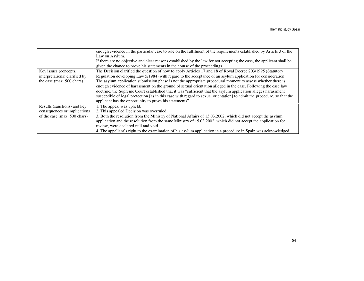|                               | enough evidence in the particular case to rule on the fulfilment of the requirements established by Article 3 of the    |
|-------------------------------|-------------------------------------------------------------------------------------------------------------------------|
|                               | Law on Asylum.                                                                                                          |
|                               | If there are no objective and clear reasons established by the law for not accepting the case, the applicant shall be   |
|                               | given the chance to prove his statements in the course of the proceedings.                                              |
| Key issues (concepts,         | The Decision clarified the question of how to apply Articles 17 and 18 of Royal Decree 203/1995 (Statutory              |
| interpretations) clarified by | Regulation developing Law 5/1984) with regard to the acceptance of an asylum application for consideration.             |
| the case (max. 500 chars)     | The asylum application submission phase is not the appropriate procedural moment to assess whether there is             |
|                               | enough evidence of harassment on the ground of sexual orientation alleged in the case. Following the case law           |
|                               | doctrine, the Supreme Court established that it was "sufficient that the asylum application alleges harassment          |
|                               | susceptible of legal protection [as in this case with regard to sexual orientation] to admit the procedure, so that the |
|                               | applicant has the opportunity to prove his statements".                                                                 |
| Results (sanctions) and key   | 1. The appeal was upheld.                                                                                               |
| consequences or implications  | 2. This appealed Decision was overruled.                                                                                |
| of the case (max. 500 chars)  | 3. Both the resolution from the Ministry of National Affairs of 13.03.2002, which did not accept the asylum             |
|                               | application and the resolution from the same Ministry of 15.03.2002, which did not accept the application for           |
|                               | review, were declared null and void.                                                                                    |
|                               | 4. The appellant's right to the examination of his asylum application in a procedure in Spain was acknowledged.         |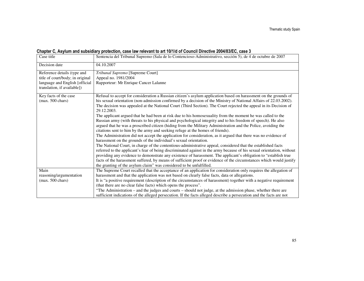| Chapter C, Asylum and subsidiary protection, case law relevant to art 10/1/d of Council Directive 2004/83/EC, case 3 |  |  |
|----------------------------------------------------------------------------------------------------------------------|--|--|
|                                                                                                                      |  |  |

| Case title                       | Sentencia del Tribunal Supremo (Sala de lo Contencioso-Administrativo, sección 5), de 4 de octubre de 2007                                                                                                                                 |
|----------------------------------|--------------------------------------------------------------------------------------------------------------------------------------------------------------------------------------------------------------------------------------------|
| Decision date                    | 04.10.2007                                                                                                                                                                                                                                 |
| Reference details (type and      | Tribunal Supremo [Supreme Court]                                                                                                                                                                                                           |
| title of court/body; in original | Appeal no. 1981/2004                                                                                                                                                                                                                       |
| language and English [official   | Rapporteur: Mr Enrique Cancer Lalanne                                                                                                                                                                                                      |
| translation, if available])      |                                                                                                                                                                                                                                            |
| Key facts of the case            | Refusal to accept for consideration a Russian citizen's asylum application based on harassment on the grounds of                                                                                                                           |
| $(max. 500 \text{ chars})$       | his sexual orientation (non-admission confirmed by a decision of the Ministry of National Affairs of 22.03.2002).                                                                                                                          |
|                                  | The decision was appealed at the National Court (Third Section). The Court rejected the appeal in its Decision of<br>29.12.2003.                                                                                                           |
|                                  | The applicant argued that he had been at risk due to his homosexuality from the moment he was called to the                                                                                                                                |
|                                  | Russian army (with threats to his physical and psychological integrity and to his freedom of speech). He also                                                                                                                              |
|                                  | argued that he was a proscribed citizen (hiding from the Military Administration and the Police, avoiding the                                                                                                                              |
|                                  | citations sent to him by the army and seeking refuge at the homes of friends).                                                                                                                                                             |
|                                  | The Administration did not accept the application for consideration, as it argued that there was no evidence of<br>harassment on the grounds of the individual's sexual orientation.                                                       |
|                                  | The National Court, in charge of the contentious-administrative appeal, considered that the established facts                                                                                                                              |
|                                  | referred to the applicant's fear of being discriminated against in the army because of his sexual orientation, without<br>providing any evidence to demonstrate any existence of harassment. The applicant's obligation to "establish true |
|                                  | facts of the harassment suffered, by means of sufficient proof or evidence of the circumstances which would justify                                                                                                                        |
|                                  | the granting of the asylum claim" was considered to be unfulfilled.                                                                                                                                                                        |
| Main                             | The Supreme Court recalled that the acceptance of an application for consideration only requires the allegation of                                                                                                                         |
| reasoning/argumentation          | harassment and that the application was not based on clearly false facts, data or allegations.                                                                                                                                             |
| $(max. 500 \text{ chars})$       | It is "a positive requirement (description of the circumstances of harassment) together with a negative requirement                                                                                                                        |
|                                  | (that there are no clear false facts) which opens the process".                                                                                                                                                                            |
|                                  | "The Administration – and the judges and courts – should not judge, at the admission phase, whether there are                                                                                                                              |
|                                  | sufficient indications of the alleged persecution. If the facts alleged describe a persecution and the facts are not                                                                                                                       |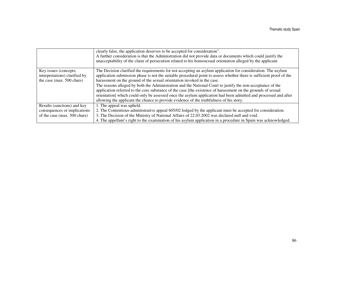|                               | clearly false, the application deserves to be accepted for consideration".<br>A further consideration is that the Administration did not provide data or documents which could justify the<br>unacceptability of the claim of persecution related to his homosexual orientation alleged by the applicant. |
|-------------------------------|-----------------------------------------------------------------------------------------------------------------------------------------------------------------------------------------------------------------------------------------------------------------------------------------------------------|
| Key issues (concepts,         | The Decision clarified the requirements for not accepting an asylum application for consideration. The asylum                                                                                                                                                                                             |
| interpretations) clarified by | application submission phase is not the suitable procedural point to assess whether there is sufficient proof of the                                                                                                                                                                                      |
| the case (max. 500 chars)     | harassment on the ground of the sexual orientation invoked in the case.                                                                                                                                                                                                                                   |
|                               | The reasons alleged by both the Administration and the National Court to justify the non-acceptance of the                                                                                                                                                                                                |
|                               | application referred to the core substance of the case [the existence of harassment on the grounds of sexual                                                                                                                                                                                              |
|                               | orientation which could only be assessed once the asylum application had been admitted and processed and after                                                                                                                                                                                            |
|                               | allowing the applicant the chance to provide evidence of the truthfulness of his story.                                                                                                                                                                                                                   |
| Results (sanctions) and key   | 1. The appeal was upheld.                                                                                                                                                                                                                                                                                 |
| consequences or implications  | 2. The Contentious-administrative appeal 605/02 lodged by the applicant must be accepted for consideration.                                                                                                                                                                                               |
| of the case (max. 500 chars)  | 3. The Decision of the Ministry of National Affairs of 22.03.2002 was declared null and void.                                                                                                                                                                                                             |
|                               | 4. The appellant's right to the examination of his asylum application in a procedure in Spain was acknowledged.                                                                                                                                                                                           |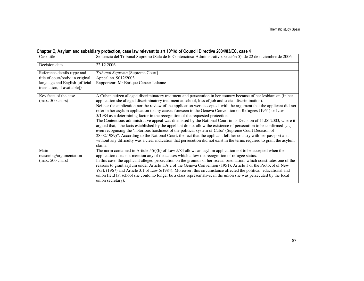### Chapter C, Asylum and subsidiary protection, case law relevant to art 10/1/d of Council Directive 2004/83/EC, case 4

| Case title                                                                                                                       | Sentencia del Tribunal Supremo (Sala de lo Contencioso-Administrativo, sección 5), de 22 de diciembre de 2006                                                                                                                                                                                                                                                                                                                                                                                                                                                                                                                                                                                                                                                                                                                                                                                                                                                                                                                                                                                                                                                |
|----------------------------------------------------------------------------------------------------------------------------------|--------------------------------------------------------------------------------------------------------------------------------------------------------------------------------------------------------------------------------------------------------------------------------------------------------------------------------------------------------------------------------------------------------------------------------------------------------------------------------------------------------------------------------------------------------------------------------------------------------------------------------------------------------------------------------------------------------------------------------------------------------------------------------------------------------------------------------------------------------------------------------------------------------------------------------------------------------------------------------------------------------------------------------------------------------------------------------------------------------------------------------------------------------------|
| Decision date                                                                                                                    | 22.12.2006                                                                                                                                                                                                                                                                                                                                                                                                                                                                                                                                                                                                                                                                                                                                                                                                                                                                                                                                                                                                                                                                                                                                                   |
| Reference details (type and<br>title of court/body; in original<br>language and English [official<br>translation, if available]) | Tribunal Supremo [Supreme Court]<br>Appeal no. 9012/2003<br>Rapporteur: Mr Enrique Cancer Lalanne                                                                                                                                                                                                                                                                                                                                                                                                                                                                                                                                                                                                                                                                                                                                                                                                                                                                                                                                                                                                                                                            |
| Key facts of the case<br>$(max. 500 \text{ chars})$                                                                              | A Cuban citizen alleged discriminatory treatment and persecution in her country because of her lesbianism (in her<br>application she alleged discriminatory treatment at school, loss of job and social discrimination).<br>Neither the application nor the review of the application were accepted, with the argument that the applicant did not<br>refer in her asylum application to any causes foreseen in the Geneva Convention on Refugees (1951) or Law<br>5/1984 as a determining factor in the recognition of the requested protection.<br>The Contentious-administrative appeal was dismissed by the National Court in its Decision of 11.06.2003, where it<br>argued that, "the facts established by the appellant do not allow the existence of persecution to be confirmed []<br>even recognising the 'notorious harshness of the political system of Cuba' (Supreme Court Decision of<br>28.02.1989)". According to the National Court, the fact that the applicant left her country with her passport and<br>without any difficulty was a clear indication that persecution did not exist in the terms required to grant the asylum<br>claim. |
| Main<br>reasoning/argumentation<br>$(max. 500 \text{ chars})$                                                                    | The norm contained in Article $5(6)(b)$ of Law $5/84$ allows an asylum application not to be accepted when the<br>application does not mention any of the causes which allow the recognition of refugee status.<br>In this case, the applicant alleged persecution on the grounds of her sexual orientation, which constitutes one of the<br>reasons to grant asylum under Article 1.A.2 of the Geneva Convention (1951), Article 1 of the Protocol of New<br>York (1967) and Article 3.1 of Law 5/1984). Moreover, this circumstance affected the political, educational and<br>union field (at school she could no longer be a class representative; in the union she was persecuted by the local<br>union secretary).                                                                                                                                                                                                                                                                                                                                                                                                                                     |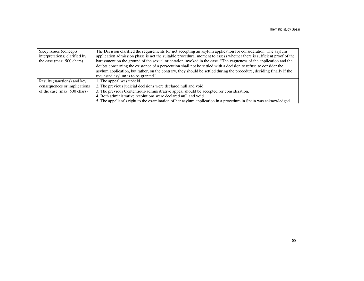| \$Key issues (concepts,       | The Decision clarified the requirements for not accepting an asylum application for consideration. The asylum         |
|-------------------------------|-----------------------------------------------------------------------------------------------------------------------|
| interpretations) clarified by | application admission phase is not the suitable procedural moment to assess whether there is sufficient proof of the  |
| the case (max. 500 chars)     | harassment on the ground of the sexual orientation invoked in the case. "The vagueness of the application and the     |
|                               | doubts concerning the existence of a persecution shall not be settled with a decision to refuse to consider the       |
|                               | asylum application, but rather, on the contrary, they should be settled during the procedure, deciding finally if the |
|                               | requested asylum is to be granted".                                                                                   |
| Results (sanctions) and key   | 1. The appeal was upheld.                                                                                             |
| consequences or implications  | 2. The previous judicial decisions were declared null and void.                                                       |
| of the case (max. 500 chars)  | 3. The previous Contentious-administrative appeal should be accepted for consideration.                               |
|                               | 4. Both administrative resolutions were declared null and void.                                                       |
|                               | 5. The appellant's right to the examination of her asylum application in a procedure in Spain was acknowledged.       |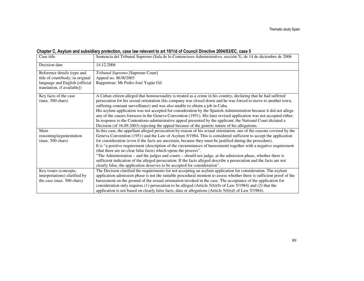### Chapter C, Asylum and subsidiary protection, case law relevant to art 10/1/d of Council Directive 2004/83/EC, case 5

| Case title                                                    | Sentencia del Tribunal Supremo (Sala de lo Contencioso-Administrativo, sección 5), de 14 de diciembre de 2006                                                                                   |
|---------------------------------------------------------------|-------------------------------------------------------------------------------------------------------------------------------------------------------------------------------------------------|
| Decision date                                                 | 14.12.2006                                                                                                                                                                                      |
| Reference details (type and                                   | Tribunal Supremo [Supreme Court]                                                                                                                                                                |
| title of court/body; in original                              | Appeal no. 8638/2003                                                                                                                                                                            |
| language and English [official<br>translation, if available]) | Rapporteur: Mr Pedro José Yagüe Gil                                                                                                                                                             |
| Key facts of the case                                         | A Cuban citizen alleged that homosexuality is treated as a crime in his country, declaring that he had suffered                                                                                 |
| $(max. 500 \text{ chars})$                                    | persecution for his sexual orientation (his company was closed down and he was forced to move to another town,<br>suffering constant surveillance) and was also unable to obtain a job in Cuba. |
|                                                               | His asylum application was not accepted for consideration by the Spanish Administration because it did not allege                                                                               |
|                                                               | any of the causes foreseen in the Geneva Convention (1951). His later revised application was not accepted either.                                                                              |
|                                                               | In response to the Contentious-administrative appeal presented by the applicant, the National Court dictated a                                                                                  |
|                                                               | Decision (of 16.09.2003) rejecting the appeal because of the generic nature of his allegations.                                                                                                 |
| Main                                                          | In this case, the appellant alleged persecution by reason of his sexual orientation, one of the reasons covered by the                                                                          |
| reasoning/argumentation                                       | Geneva Convention (1951) and the Law of Asylum 5/1984. This is considered sufficient to accept the application                                                                                  |
| $(max. 500 \text{ chars})$                                    | for consideration (even if the facts are uncertain, because they must be justified during the procedure).                                                                                       |
|                                                               | It is "a positive requirement (description of the circumstances of harassment) together with a negative requirement                                                                             |
|                                                               | (that there are no clear false facts) which opens the process".                                                                                                                                 |
|                                                               | "The Administration – and the judges and courts – should not judge, at the admission phase, whether there is                                                                                    |
|                                                               | sufficient indication of the alleged persecution. If the facts alleged describe a persecution and the facts are not                                                                             |
|                                                               | clearly false, the application deserves to be accepted for consideration".                                                                                                                      |
| Key issues (concepts,                                         | The Decision clarified the requirements for not accepting an asylum application for consideration. The asylum                                                                                   |
| interpretations) clarified by                                 | application admission phase is not the suitable procedural moment to assess whether there is sufficient proof of the                                                                            |
| the case (max. 500 chars)                                     | harassment on the ground of the sexual orientation invoked in the case. The acceptance of the application for                                                                                   |
|                                                               | consideration only requires (1) persecution to be alleged (Article $5(6)(b)$ of Law $5/1984$ ) and (2) that the                                                                                 |
|                                                               | application is not based on clearly false facts, data or allegations (Article $5(6)(d)$ of Law $5/1984$ ).                                                                                      |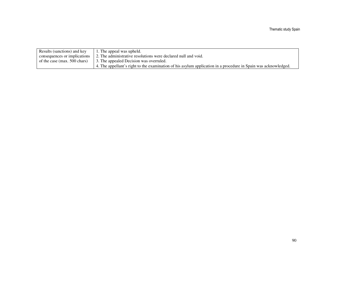| Results (sanctions) and key  | 1. The appeal was upheld.                                                                                       |
|------------------------------|-----------------------------------------------------------------------------------------------------------------|
| consequences or implications | 2. The administrative resolutions were declared null and void.                                                  |
| of the case (max. 500 chars) | 3. The appealed Decision was overruled.                                                                         |
|                              | 4. The appellant's right to the examination of his asylum application in a procedure in Spain was acknowledged. |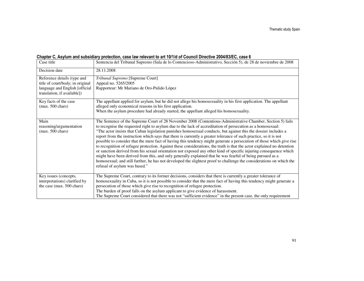#### Chapter C, Asylum and subsidiary protection, case law relevant to art 10/1/d of Council Directive 2004/83/EC, case 6

| Case title                                                                                                                       | Sentencia del Tribunal Supremo (Sala de lo Contencioso-Administrativo, Sección 5), de 28 de noviembre de 2008                                                                                                                                                                                                                                                                                                                                                                                                                                                                                                                                                                                                                                                                                                                                                                                                                                                                                                                                                                                                    |
|----------------------------------------------------------------------------------------------------------------------------------|------------------------------------------------------------------------------------------------------------------------------------------------------------------------------------------------------------------------------------------------------------------------------------------------------------------------------------------------------------------------------------------------------------------------------------------------------------------------------------------------------------------------------------------------------------------------------------------------------------------------------------------------------------------------------------------------------------------------------------------------------------------------------------------------------------------------------------------------------------------------------------------------------------------------------------------------------------------------------------------------------------------------------------------------------------------------------------------------------------------|
| Decision date                                                                                                                    | 28.11.2008                                                                                                                                                                                                                                                                                                                                                                                                                                                                                                                                                                                                                                                                                                                                                                                                                                                                                                                                                                                                                                                                                                       |
| Reference details (type and<br>title of court/body; in original<br>language and English [official<br>translation, if available]) | Tribunal Supremo [Supreme Court]<br>Appeal no. 5265/2005<br>Rapporteur: Mr Mariano de Oro-Pulido López                                                                                                                                                                                                                                                                                                                                                                                                                                                                                                                                                                                                                                                                                                                                                                                                                                                                                                                                                                                                           |
| Key facts of the case<br>$(max. 500 \text{ chars})$                                                                              | The appellant applied for asylum, but he did not allege his homosexuality in his first application. The appellant<br>alleged only economical reasons in his first application.<br>When the asylum procedure had already started, the appellant alleged his homosexuality.                                                                                                                                                                                                                                                                                                                                                                                                                                                                                                                                                                                                                                                                                                                                                                                                                                        |
| Main<br>reasoning/argumentation<br>$(max. 500 \text{ chars})$                                                                    | The Sentence of the Supreme Court of 28 November 2008 (Contentious-Administrative Chamber, Section 5) fails<br>to recognise the requested right to asylum due to the lack of accreditation of persecution as a homosexual:<br>"The actor insists that Cuban legislation punishes homosexual conducts, but against this the dossier includes a<br>report from the instruction which says that there is currently a greater tolerance of such practice, so it is not<br>possible to consider that the mere fact of having this tendency might generate a persecution of those which give rise<br>to recognition of refugee protection. Against these considerations, the truth is that the actor explained no detention<br>or sanction derived from his sexual orientation nor exposed any other kind of specific injuring consequence which<br>might have been derived from this, and only generally explained that he was fearful of being pursued as a<br>homosexual; and still further, he has not developed the slightest proof to challenge the considerations on which the<br>refusal of asylum was based." |
| Key issues (concepts,<br>interpretations) clarified by<br>the case (max. 500 chars)                                              | The Supreme Court, contrary to its former decisions, considers that there is currently a greater tolerance of<br>homosexuality in Cuba, so it is not possible to consider that the mere fact of having this tendency might generate a<br>persecution of those which give rise to recognition of refugee protection.<br>The burden of proof falls on the asylum applicant to give evidence of harassment.<br>The Supreme Court considered that there was not "sufficient evidence" in the present case, the only requirement                                                                                                                                                                                                                                                                                                                                                                                                                                                                                                                                                                                      |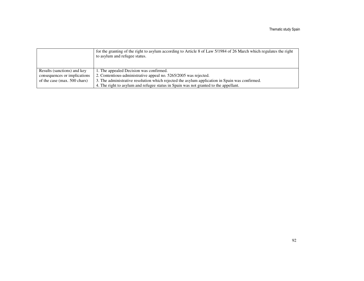|                              | for the granting of the right to asylum according to Article 8 of Law 5/1984 of 26 March which regulates the right<br>to asylum and refugee status. |
|------------------------------|-----------------------------------------------------------------------------------------------------------------------------------------------------|
| Results (sanctions) and key  | 1. The appealed Decision was confirmed.                                                                                                             |
| consequences or implications | 2. Contentious-administrative appeal no. 5265/2005 was rejected.                                                                                    |
| of the case (max. 500 chars) | 3. The administrative resolution which rejected the asylum application in Spain was confirmed.                                                      |
|                              | 4. The right to asylum and refugee status in Spain was not granted to the appellant.                                                                |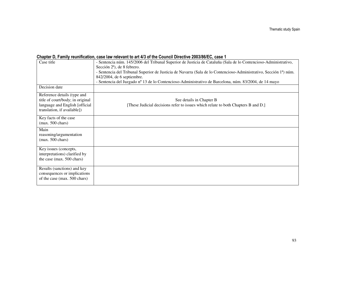### Chapter D, Family reunification, case law relevant to art 4/3 of the Council Directive 2003/86/EC, case 1

| Case title                                                                                        | - Sentencia núm. 145/2006 del Tribunal Superior de Justicia de Cataluña (Sala de lo Contencioso-Administrativo,<br>Sección 2 <sup>a</sup> ), de 8 febrero. |
|---------------------------------------------------------------------------------------------------|------------------------------------------------------------------------------------------------------------------------------------------------------------|
|                                                                                                   | - Sentencia del Tribunal Superior de Justicia de Navarra (Sala de lo Contencioso-Administrativo, Sección 1ª) núm.<br>842/2004, de 6 septiembre.            |
|                                                                                                   | - Sentencia del Juzgado nº 13 de lo Contencioso-Administrativo de Barcelona, núm. 83/2004, de 14 mayo                                                      |
| Decision date                                                                                     |                                                                                                                                                            |
| Reference details (type and<br>title of court/body; in original<br>language and English [official | See details in Chapter B<br>[These Judicial decisions refer to issues which relate to both Chapters B and D.]                                              |
| translation, if available])                                                                       |                                                                                                                                                            |
| Key facts of the case<br>$(max. 500 \text{ chars})$                                               |                                                                                                                                                            |
| Main<br>reasoning/argumentation<br>$(max. 500 \text{ chars})$                                     |                                                                                                                                                            |
| Key issues (concepts,                                                                             |                                                                                                                                                            |
| interpretations) clarified by                                                                     |                                                                                                                                                            |
| the case (max. 500 chars)                                                                         |                                                                                                                                                            |
| Results (sanctions) and key<br>consequences or implications<br>of the case (max. 500 chars)       |                                                                                                                                                            |
|                                                                                                   |                                                                                                                                                            |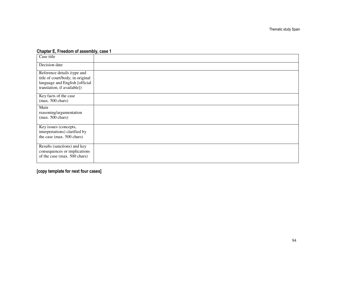### Chapter E, Freedom of assembly, case 1

| Case title                                                                                                                       |  |
|----------------------------------------------------------------------------------------------------------------------------------|--|
| Decision date                                                                                                                    |  |
| Reference details (type and<br>title of court/body; in original<br>language and English [official<br>translation, if available]) |  |
| Key facts of the case<br>$(max. 500 \text{ chars})$                                                                              |  |
| Main<br>reasoning/argumentation<br>$(max. 500 \text{ chars})$                                                                    |  |
| Key issues (concepts,<br>interpretations) clarified by<br>the case (max. 500 chars)                                              |  |
| Results (sanctions) and key<br>consequences or implications<br>of the case (max. 500 chars)                                      |  |

# [copy template for next four cases]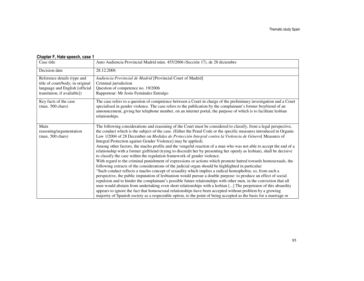| Case title                                                                                                                       | Auto Audiencia Provincial Madrid núm. 455/2006 (Sección 17), de 28 diciembre                                                                                                                                                                                                                                                                                                                                                                                                                                                                                                                                                                                                                                                                                                                                                                                                                                                                                                                                                                                                                                                                                                                                                                                                                                                                                                                                                                                                                                                                                                                                                                                                    |
|----------------------------------------------------------------------------------------------------------------------------------|---------------------------------------------------------------------------------------------------------------------------------------------------------------------------------------------------------------------------------------------------------------------------------------------------------------------------------------------------------------------------------------------------------------------------------------------------------------------------------------------------------------------------------------------------------------------------------------------------------------------------------------------------------------------------------------------------------------------------------------------------------------------------------------------------------------------------------------------------------------------------------------------------------------------------------------------------------------------------------------------------------------------------------------------------------------------------------------------------------------------------------------------------------------------------------------------------------------------------------------------------------------------------------------------------------------------------------------------------------------------------------------------------------------------------------------------------------------------------------------------------------------------------------------------------------------------------------------------------------------------------------------------------------------------------------|
| Decision date                                                                                                                    | 28.12.2006                                                                                                                                                                                                                                                                                                                                                                                                                                                                                                                                                                                                                                                                                                                                                                                                                                                                                                                                                                                                                                                                                                                                                                                                                                                                                                                                                                                                                                                                                                                                                                                                                                                                      |
| Reference details (type and<br>title of court/body; in original<br>language and English [official<br>translation, if available]) | Audiencia Provincial de Madrid [Provincial Court of Madrid]<br>Criminal jurisdiction<br>Question of competence no. 19/2006<br>Rapporteur: Mr Jesús Fernández Entralgo                                                                                                                                                                                                                                                                                                                                                                                                                                                                                                                                                                                                                                                                                                                                                                                                                                                                                                                                                                                                                                                                                                                                                                                                                                                                                                                                                                                                                                                                                                           |
| Key facts of the case<br>$(max. 500 \text{ chars})$                                                                              | The case refers to a question of competence between a Court in charge of the preliminary investigation and a Court<br>specialised in gender violence. The case refers to the publication by the complainant's former boyfriend of an<br>announcement, giving her telephone number, on an internet portal, the purpose of which is to facilitate lesbian<br>relationships.                                                                                                                                                                                                                                                                                                                                                                                                                                                                                                                                                                                                                                                                                                                                                                                                                                                                                                                                                                                                                                                                                                                                                                                                                                                                                                       |
| Main<br>reasoning/argumentation<br>$(max. 500 \text{ chars})$                                                                    | The following considerations and reasoning of the Court must be considered to classify, from a legal perspective,<br>the conduct which is the subject of the case. (Either the Penal Code or the specific measures introduced in Organic<br>Law 1/2004 of 28 December on Medidas de Protección Integral contra la Violencia de Género[ Measures of<br>Integral Protection against Gender Violence] may be applied).<br>Among other factors, the macho profile and the vengeful reaction of a man who was not able to accept the end of a<br>relationship with a former girlfriend (trying to discredit her by presenting her openly as lesbian), shall be decisive<br>to classify the case within the regulation framework of gender violence.<br>With regard to the criminal punishment of expressions or actions which promote hatred towards homosexuals, the<br>following extracts of the considerations of the judicial organ should be highlighted in particular:<br>"Such conduct reflects a macho concept of sexuality which implies a radical homophobia; so, from such a<br>perspective, the public imputation of lesbianism would pursue a double purpose: to produce an effect of social<br>repulsion and to hinder the complainant's possible future relationships with other men, in the conviction that all<br>men would abstain from undertaking even short relationships with a lesbian [] The perpetrator of this absurdity<br>appears to ignore the fact that homosexual relationships have been accepted without problem by a growing<br>majority of Spanish society as a respectable option, to the point of being accepted as the basis for a marriage or |

#### Chapter F, Hate speech, case 1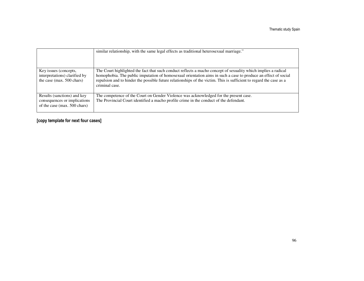|                                                                                             | similar relationship, with the same legal effects as traditional heterosexual marriage."                                                                                                                                                                                                                                                                                  |
|---------------------------------------------------------------------------------------------|---------------------------------------------------------------------------------------------------------------------------------------------------------------------------------------------------------------------------------------------------------------------------------------------------------------------------------------------------------------------------|
| Key issues (concepts,<br>interpretations) clarified by<br>the case (max. 500 chars)         | The Court highlighted the fact that such conduct reflects a macho concept of sexuality which implies a radical<br>homophobia. The public imputation of homosexual orientation aims in such a case to produce an effect of social<br>repulsion and to hinder the possible future relationships of the victim. This is sufficient to regard the case as a<br>criminal case. |
| Results (sanctions) and key<br>consequences or implications<br>of the case (max. 500 chars) | The competence of the Court on Gender Violence was acknowledged for the present case.<br>The Provincial Court identified a macho profile crime in the conduct of the defendant.                                                                                                                                                                                           |

### [copy template for next four cases]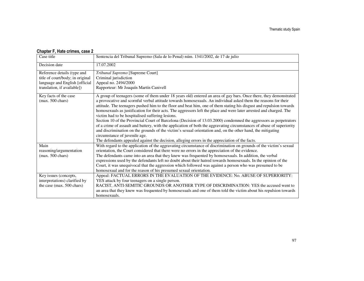| Case title                       | Sentencia del Tribunal Supremo (Sala de lo Penal) núm. 1341/2002, de 17 de julio                                                                                                                                         |
|----------------------------------|--------------------------------------------------------------------------------------------------------------------------------------------------------------------------------------------------------------------------|
| Decision date                    | 17.07.2002                                                                                                                                                                                                               |
| Reference details (type and      | Tribunal Supremo [Supreme Court]                                                                                                                                                                                         |
| title of court/body; in original | Criminal jurisdiction                                                                                                                                                                                                    |
| language and English [official   | Appeal no. 2494/2000                                                                                                                                                                                                     |
| translation, if available])      | Rapporteur: Mr Joaquín Martín Canivell                                                                                                                                                                                   |
| Key facts of the case            | A group of teenagers (some of them under 18 years old) entered an area of gay bars. Once there, they demonstrated                                                                                                        |
| $(max. 500 \text{ chars})$       | a provocative and scornful verbal attitude towards homosexuals. An individual asked them the reasons for their                                                                                                           |
|                                  | attitude. The teenagers pushed him to the floor and beat him, one of them stating his disgust and repulsion towards                                                                                                      |
|                                  | homosexuals as justification for their acts. The aggressors left the place and were later arrested and charged. The                                                                                                      |
|                                  | victim had to be hospitalised suffering lesions.                                                                                                                                                                         |
|                                  | Section 10 of the Provincial Court of Barcelona (Decision of 13.03.2000) condemned the aggressors as perpetrators                                                                                                        |
|                                  | of a crime of assault and battery, with the application of both the aggravating circumstances of abuse of superiority                                                                                                    |
|                                  | and discrimination on the grounds of the victim's sexual orientation and, on the other hand, the mitigating<br>circumstance of juvenile age.                                                                             |
|                                  |                                                                                                                                                                                                                          |
| Main                             | The defendants appealed against the decision, alleging errors in the appreciation of the facts.                                                                                                                          |
|                                  | With regard to the application of the aggravating circumstance of discrimination on grounds of the victim's sexual                                                                                                       |
| reasoning/argumentation          | orientation, the Court considered that there were no errors in the appreciation of the evidence.                                                                                                                         |
| $(max. 500 \text{ chars})$       | The defendants came into an area that they knew was frequented by homosexuals. In addition, the verbal<br>expressions used by the defendants left no doubt about their hatred towards homosexuals. In the opinion of the |
|                                  | Court, it was unequivocal that the aggression which followed was against a person who was presumed to be                                                                                                                 |
|                                  | homosexual and for the reason of his presumed sexual orientation.                                                                                                                                                        |
| Key issues (concepts,            | Appeal: FACTUAL ERRORS IN THE EVALUATION OF THE EVIDENCE: No. ABUSE OF SUPERIORITY:                                                                                                                                      |
| interpretations) clarified by    | YES attack by four teenagers on a single person.                                                                                                                                                                         |
| the case (max. 500 chars)        | RACIST, ANTI-SEMITIC GROUNDS OR ANOTHER TYPE OF DISCRIMINATION: YES the accused went to                                                                                                                                  |
|                                  | an area that they knew was frequented by homosexuals and one of them told the victim about his repulsion towards                                                                                                         |
|                                  | homosexuals.                                                                                                                                                                                                             |
|                                  |                                                                                                                                                                                                                          |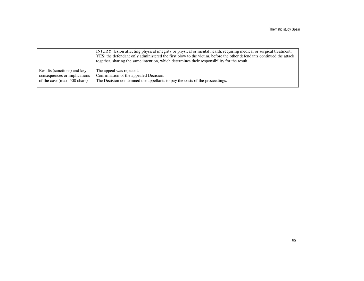|                              | INJURY: lesion affecting physical integrity or physical or mental health, requiring medical or surgical treatment:<br>YES: the defendant only administered the first blow to the victim, before the other defendants continued the attack<br>together, sharing the same intention, which determines their responsibility for the result. |
|------------------------------|------------------------------------------------------------------------------------------------------------------------------------------------------------------------------------------------------------------------------------------------------------------------------------------------------------------------------------------|
| Results (sanctions) and key  | The appeal was rejected.                                                                                                                                                                                                                                                                                                                 |
| consequences or implications | Confirmation of the appealed Decision.                                                                                                                                                                                                                                                                                                   |
| of the case (max. 500 chars) | The Decision condemned the appellants to pay the costs of the proceedings.                                                                                                                                                                                                                                                               |
|                              |                                                                                                                                                                                                                                                                                                                                          |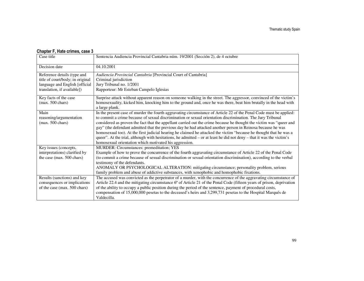| Case title                       | Sentencia Audiencia Provincial Cantabria núm. 19/2001 (Sección 2), de 4 octubre                                                                                                                                                  |
|----------------------------------|----------------------------------------------------------------------------------------------------------------------------------------------------------------------------------------------------------------------------------|
| Decision date                    | 04.10.2001                                                                                                                                                                                                                       |
| Reference details (type and      | Audiencia Provincial Cantabria [Provincial Court of Cantabria]                                                                                                                                                                   |
| title of court/body; in original | Criminal jurisdiction                                                                                                                                                                                                            |
| language and English [official   | Jury Tribunal no. 1/2001                                                                                                                                                                                                         |
| translation, if available])      | Rapporteur: Mr Esteban Campelo Iglesias                                                                                                                                                                                          |
| Key facts of the case            | Surprise attack without apparent reason on someone walking in the street. The aggressor, convinced of the victim's                                                                                                               |
| $(max. 500 \text{ chars})$       | homosexuality, kicked him, knocking him to the ground and, once he was there, beat him brutally in the head with                                                                                                                 |
| Main                             | a large plank.                                                                                                                                                                                                                   |
| reasoning/argumentation          | In the present case of murder the fourth aggravating circumstance of Article 22 of the Penal Code must be applied:<br>to commit a crime because of sexual discrimination or sexual orientation discrimination. The Jury Tribunal |
| $(max. 500 \text{ chars})$       | considered as proven the fact that the appellant carried out the crime because he thought the victim was "queer and                                                                                                              |
|                                  | gay" (the defendant admitted that the previous day he had attacked another person in Reinosa because he was                                                                                                                      |
|                                  | homosexual too). At the first judicial hearing he claimed he attacked the victim "because he thought that he was a                                                                                                               |
|                                  | queer". At the trial, although with hesitations, he admitted – or at least he did not deny – that it was the victim's                                                                                                            |
|                                  | homosexual orientation which motivated his aggression.                                                                                                                                                                           |
| Key issues (concepts,            | MURDER: Circumstances: premeditation; YES                                                                                                                                                                                        |
| interpretations) clarified by    | Example of how to prove the concurrence of the fourth aggravating circumstance of Article 22 of the Penal Code                                                                                                                   |
| the case (max. 500 chars)        | (to commit a crime because of sexual discrimination or sexual orientation discrimination), according to the verbal                                                                                                               |
|                                  | testimony of the defendants.                                                                                                                                                                                                     |
|                                  | ANOMALY OR PSYCHOLOGICAL ALTERATION: mitigating circumstance; personality problem, serious                                                                                                                                       |
|                                  | family problem and abuse of addictive substances, with xenophobic and homophobic fixations.                                                                                                                                      |
| Results (sanctions) and key      | The accused was convicted as the perpetrator of a murder, with the concurrence of the aggravating circumstance of                                                                                                                |
| consequences or implications     | Article 22.4 and the mitigating circumstance $6a$ of Article 21 of the Penal Code (fifteen years of prison, deprivation                                                                                                          |
| of the case (max. 500 chars)     | of the ability to occupy a public position during the period of the sentence, payment of procedural costs,                                                                                                                       |
|                                  | compensation of 15,000,000 pesetas to the deceased's heirs and 3,299,731 pesetas to the Hospital Marqués de                                                                                                                      |
|                                  | Valdecilla.                                                                                                                                                                                                                      |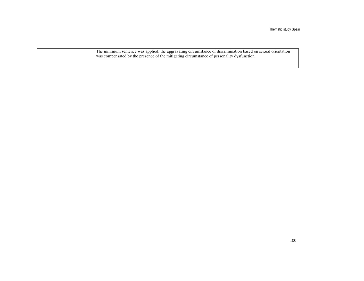| The minimum sentence was applied: the aggravating circumstance of discrimination based on sexual orientation |  |
|--------------------------------------------------------------------------------------------------------------|--|
|                                                                                                              |  |
|                                                                                                              |  |
| was compensated by the presence of the mitigating circumstance of personality dysfunction.                   |  |
|                                                                                                              |  |
|                                                                                                              |  |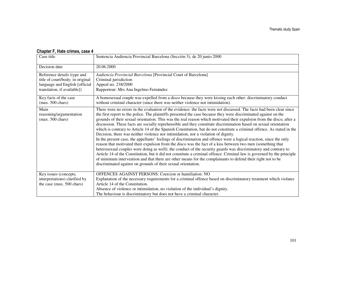| Case title                                                    | Sentencia Audiencia Provincial Barcelona (Sección 3), de 20 junio 2000                                                                                                                                                                     |
|---------------------------------------------------------------|--------------------------------------------------------------------------------------------------------------------------------------------------------------------------------------------------------------------------------------------|
| Decision date                                                 | 20.06.2000                                                                                                                                                                                                                                 |
| Reference details (type and                                   | Audiencia Provincial Barcelona [Provincial Court of Barcelona]                                                                                                                                                                             |
| title of court/body; in original                              | Criminal jurisdiction                                                                                                                                                                                                                      |
| language and English [official<br>translation, if available]) | Appeal no. 238/2000<br>Rapporteur: Mrs Ana Ingelmo Fernández                                                                                                                                                                               |
|                                                               |                                                                                                                                                                                                                                            |
| Key facts of the case                                         | A homosexual couple was expelled from a disco because they were kissing each other: discriminatory conduct                                                                                                                                 |
| $(max. 500 \text{ chars})$                                    | without criminal character (since there was neither violence nor intimidation).                                                                                                                                                            |
| Main                                                          | There were no errors in the evaluation of the evidence: the facts were not discussed. The facts had been clear since                                                                                                                       |
| reasoning/argumentation                                       | the first report to the police. The plaintiffs presented the case because they were discriminated against on the                                                                                                                           |
| $(max. 500 \text{ chars})$                                    | grounds of their sexual orientation. This was the real reason which motivated their expulsion from the disco, after a<br>discussion. These facts are socially reprehensible and they constitute discrimination based on sexual orientation |
|                                                               | which is contrary to Article 14 of the Spanish Constitution, but do not constitute a criminal offence. As stated in the                                                                                                                    |
|                                                               | Decision, there was neither violence nor intimidation, nor a violation of dignity.                                                                                                                                                         |
|                                                               | In the present case, the appellants' feelings of discrimination and offence were a logical reaction, since the only                                                                                                                        |
|                                                               | reason that motivated their expulsion from the disco was the fact of a kiss between two men (something that                                                                                                                                |
|                                                               | heterosexual couples were doing as well); the conduct of the security guards was discriminatory and contrary to                                                                                                                            |
|                                                               | Article 14 of the Constitution, but it did not constitute a criminal offence. Criminal law is governed by the principle                                                                                                                    |
|                                                               | of minimum intervention and that there are other means for the complainants to defend their right not to be                                                                                                                                |
|                                                               | discriminated against on grounds of their sexual orientation.                                                                                                                                                                              |
| Key issues (concepts,                                         | OFFENCES AGAINST PERSONS: Coercion or humiliation: NO                                                                                                                                                                                      |
| interpretations) clarified by                                 | Explanation of the necessary requirements for a criminal offence based on discriminatory treatment which violates                                                                                                                          |
| the case (max. 500 chars)                                     | Article 14 of the Constitution.                                                                                                                                                                                                            |
|                                                               | Absence of violence or intimidation, no violation of the individual's dignity.                                                                                                                                                             |
|                                                               | The behaviour is discriminatory but does not have a criminal character.                                                                                                                                                                    |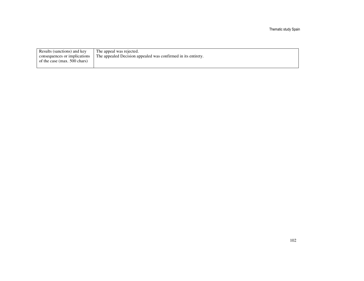| Results (sanctions) and key    | The appeal was rejected.                                      |
|--------------------------------|---------------------------------------------------------------|
| consequences or implications   | The appealed Decision appealed was confirmed in its entirety. |
| of the case (max. $500$ chars) |                                                               |
|                                |                                                               |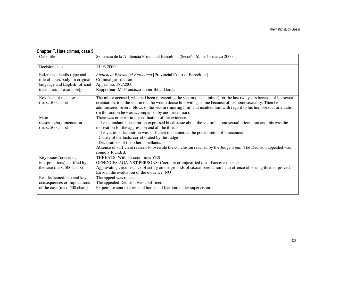| Case title                       | Sentencia de la Audiencia Provincial Barcelona (Sección 6), de 14 marzo 2000                                                       |
|----------------------------------|------------------------------------------------------------------------------------------------------------------------------------|
| Decision date                    | 14.03.2000                                                                                                                         |
| Reference details (type and      | Audiencia Provincial Barcelona [Provincial Court of Barcelona]                                                                     |
| title of court/body; in original | Criminal jurisdiction                                                                                                              |
| language and English [official   | Appeal no. 187/2000                                                                                                                |
| translation, if available])      | Rapporteur: Mr Francisco Javier Béjar García                                                                                       |
| Key facts of the case            | The minor accused, who had been threatening the victim (also a minor) for the last two years because of his sexual                 |
| $(max. 500 \text{ chars})$       | orientation, told the victim that he would douse him with gasoline because of his homosexuality. Then he                           |
|                                  | administered several blows to the victim (injuring him) and insulted him with regard to his homosexual orientation                 |
|                                  | (in this action he was accompanied by another minor).                                                                              |
| Main                             | There was no error in the evaluation of the evidence.                                                                              |
| reasoning/argumentation          | - The defendant's declaration expressed his distaste about the victim's homosexual orientation and this was the                    |
| $(max. 500 \text{ chars})$       | motivation for the aggression and all the threats;                                                                                 |
|                                  | - The victim's declaration was sufficient to counteract the presumption of innocence;                                              |
|                                  | - Clarity of the facts, corroborated by the Judge                                                                                  |
|                                  | - Declarations of the other appellants.                                                                                            |
|                                  | Absence of sufficient reasons to overrule the conclusion reached by the Judge a quo. The Decision appealed was<br>soundly founded. |
| Key issues (concepts,            | <b>THREATS: Without conditions YES</b>                                                                                             |
| interpretations) clarified by    | OFFENCES AGAINST PERSONS: Coercion or unjustified disturbance: existence                                                           |
| the case (max. 500 chars)        | Aggravating circumstance of acting on the grounds of sexual orientation in an offence of issuing threats: proved.                  |
|                                  | Error in the evaluation of the evidence: NO                                                                                        |
| Results (sanctions) and key      | The appeal was rejected.                                                                                                           |
| consequences or implications     | The appealed Decision was confirmed.                                                                                               |
| of the case (max. 500 chars)     | Perpetrator sent to a remand home and freedom under supervision.                                                                   |
|                                  |                                                                                                                                    |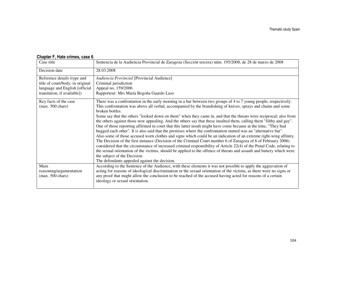#### Case title Sentencia de la Audiencia Provincial de Zaragoza (Sección tercera) núm. 195/2008, de 28 de marzo de 2008 Decision date 28.03.2008 Reference details (type and title of court/body; in original language and English [official translation, if available]) *Audiencia Provincial* [Provincial Audience] Criminal jurisdiction Appeal no. 159/2006 Rapporteur: Mrs María Begoña Guardo Laso Key facts of the case (max. 500 chars) There was a confrontation in the early morning in a bar between two groups of 4 to 7 young people, respectively. This confrontation was above all verbal, accompanied by the brandishing of knives, sprays and chains and some broken bottles. Some say that the others "looked down on them" when they came in, and that the threats were reciprocal; also from the others against those now appealing. And the others say that these insulted them, calling them "filthy and gay". One of those reporting affirmed in court that this latter insult might have come because at the time, "They had hugged each other". It is also said that the premises where the confrontation started was an "alternative bar". Also some of those accused worn clothes and signs which could be an indication of an extreme right-wing affinity. The Decision of the first instance (Decision of the Criminal Court number 6 of Zaragoza of 6 of February 2006) considered that the circumstance of increased criminal responsibility of Article 22(4) of the Penal Code, relating to the sexual orientation of the victims, should be applied to the offence of threats and assault and battery which were the subject of the Decision. The defendants appealed against the decision. According to the Sentence of the Audience, with these elements it was not possible to apply the aggravation of Main reasoning/argumentation (max. 500 chars) acting for reasons of ideological discrimination or the sexual orientation of the victims, as there were no signs or any proof that might allow the conclusion to be reached of the accused having acted for reasons of a certain ideology or sexual orientation.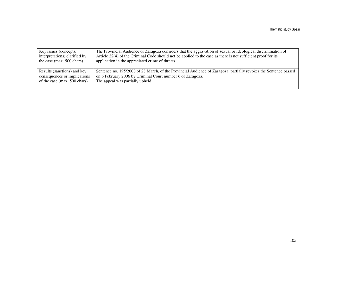| Key issues (concepts,         | The Provincial Audience of Zaragoza considers that the aggravation of sexual or ideological discrimination of    |
|-------------------------------|------------------------------------------------------------------------------------------------------------------|
| interpretations) clarified by | Article 22(4) of the Criminal Code should not be applied to the case as there is not sufficient proof for its    |
| the case (max. $500$ chars)   | application in the appreciated crime of threats.                                                                 |
| Results (sanctions) and key   | Sentence no. 195/2008 of 28 March, of the Provincial Audience of Zaragoza, partially revokes the Sentence passed |
| consequences or implications  | on 6 February 2006 by Criminal Court number 6 of Zaragoza.                                                       |
| of the case (max. 500 chars)  | The appeal was partially upheld.                                                                                 |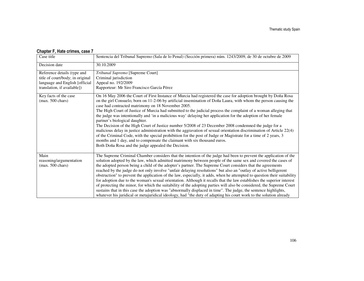| Case title                                                                                        | Sentencia del Tribunal Supremo (Sala de lo Penal) (Sección primera) núm. 1243/2009, de 30 de octubre de 2009                                                                                                                                                                                                                                                                                                                                                                                                                                                                                                                                                                                                                                                                                                                                                                                                                                                                                                                                                                                 |
|---------------------------------------------------------------------------------------------------|----------------------------------------------------------------------------------------------------------------------------------------------------------------------------------------------------------------------------------------------------------------------------------------------------------------------------------------------------------------------------------------------------------------------------------------------------------------------------------------------------------------------------------------------------------------------------------------------------------------------------------------------------------------------------------------------------------------------------------------------------------------------------------------------------------------------------------------------------------------------------------------------------------------------------------------------------------------------------------------------------------------------------------------------------------------------------------------------|
| Decision date                                                                                     | 30.10.2009                                                                                                                                                                                                                                                                                                                                                                                                                                                                                                                                                                                                                                                                                                                                                                                                                                                                                                                                                                                                                                                                                   |
| Reference details (type and<br>title of court/body; in original<br>language and English [official | Tribunal Supremo [Supreme Court]<br>Criminal jurisdiction<br>Appeal no. 192/2009                                                                                                                                                                                                                                                                                                                                                                                                                                                                                                                                                                                                                                                                                                                                                                                                                                                                                                                                                                                                             |
| translation, if available])                                                                       | Rapporteur: Mr Siro Francisco García Pérez                                                                                                                                                                                                                                                                                                                                                                                                                                                                                                                                                                                                                                                                                                                                                                                                                                                                                                                                                                                                                                                   |
| Key facts of the case<br>$(max. 500 \text{ chars})$                                               | On 16 May 2006 the Court of First Instance of Murcia had registered the case for adoption brought by Doña Rosa<br>on the girl Consuelo, born on 11-2-06 by artificial insemination of Doña Laura, with whom the person causing the<br>case had contracted matrimony on 18 November 2005.<br>The High Court of Justice of Murcia had submitted to the judicial process the complaint of a woman alleging that<br>the judge was intentionally and 'in a malicious way' delaying her application for the adoption of her female<br>partner's biological daughter.<br>The Decision of the High Court of Justice number 5/2008 of 23 December 2008 condemned the judge for a<br>malicious delay in justice administration with the aggravation of sexual orientation discrimination of Article 22(4)<br>of the Criminal Code, with the special prohibition for the post of Judge or Magistrate for a time of 2 years, 3<br>months and 1 day, and to compensate the claimant with six thousand euros.<br>Both Doña Rosa and the judge appealed the Decision.                                       |
| Main<br>reasoning/argumentation<br>$(max. 500 \text{ chars})$                                     | The Supreme Criminal Chamber considers that the intention of the judge had been to prevent the application of the<br>solution adopted by the law, which admitted matrimony between people of the same sex and covered the cases of<br>the adopted person being a child of the adopter's partner. The Supreme Court considers that the agreements<br>reached by the judge do not only involve "unfair delaying resolutions" but also an "outlay of active belligerent<br>obstruction" to prevent the application of the law, especially, it adds, when he attempted to question their suitability<br>for adoption due to the woman's sexual orientation. Although it recalls that the law establishes the superior interest<br>of protecting the minor, for which the suitability of the adopting parties will also be considered, the Supreme Court<br>sustains that in this case the adoption was "abnormally displaced in time". The judge, the sentence highlights,<br>whatever his juridical or metajuridical ideology, had "the duty of adapting his court work to the solution already |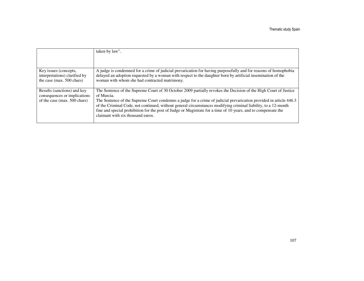|                                                                                             | taken by law".                                                                                                                                                                                                                                                                                                                                                                                                                                                                                                                |
|---------------------------------------------------------------------------------------------|-------------------------------------------------------------------------------------------------------------------------------------------------------------------------------------------------------------------------------------------------------------------------------------------------------------------------------------------------------------------------------------------------------------------------------------------------------------------------------------------------------------------------------|
|                                                                                             |                                                                                                                                                                                                                                                                                                                                                                                                                                                                                                                               |
| Key issues (concepts,<br>interpretations) clarified by<br>the case (max. 500 chars)         | A judge is condemned for a crime of judicial prevarication for having purposefully and for reasons of homophobia<br>delayed an adoption requested by a woman with respect to the daughter born by artificial insemination of the<br>woman with whom she had contracted matrimony.                                                                                                                                                                                                                                             |
| Results (sanctions) and key<br>consequences or implications<br>of the case (max. 500 chars) | The Sentence of the Supreme Court of 30 October 2009 partially revokes the Decision of the High Court of Justice<br>of Murcia.<br>The Sentence of the Supreme Court condemns a judge for a crime of judicial prevarication provided in article 446.3<br>of the Criminal Code, not continued, without general circumstances modifying criminal liability, to a 12-month<br>fine and special prohibition for the post of Judge or Magistrate for a time of 10 years, and to compensate the<br>claimant with six thousand euros. |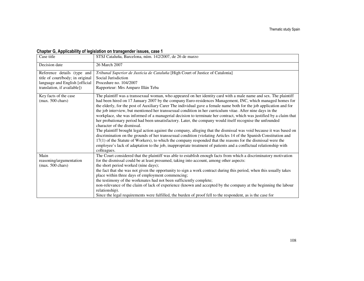### Chapter G, Applicability of legislation on transgender issues, case 1

| Case title                                          | STSJ Cataluña, Barcelona, núm. 142/2007, de 26 de marzo                                                                                                                                                                                                                                                                                                                                                                                                                                                                                                                                                                                                                                                                                                                                                                                                                                                                                                                                                                                                                                                                                                                                                                               |
|-----------------------------------------------------|---------------------------------------------------------------------------------------------------------------------------------------------------------------------------------------------------------------------------------------------------------------------------------------------------------------------------------------------------------------------------------------------------------------------------------------------------------------------------------------------------------------------------------------------------------------------------------------------------------------------------------------------------------------------------------------------------------------------------------------------------------------------------------------------------------------------------------------------------------------------------------------------------------------------------------------------------------------------------------------------------------------------------------------------------------------------------------------------------------------------------------------------------------------------------------------------------------------------------------------|
| Decision date                                       | 26 March 2007                                                                                                                                                                                                                                                                                                                                                                                                                                                                                                                                                                                                                                                                                                                                                                                                                                                                                                                                                                                                                                                                                                                                                                                                                         |
| Reference details (type and                         | Tribunal Superior de Justicia de Cataluña [High Court of Justice of Catalonia]                                                                                                                                                                                                                                                                                                                                                                                                                                                                                                                                                                                                                                                                                                                                                                                                                                                                                                                                                                                                                                                                                                                                                        |
| title of court/body; in original                    | Social Jurisdiction                                                                                                                                                                                                                                                                                                                                                                                                                                                                                                                                                                                                                                                                                                                                                                                                                                                                                                                                                                                                                                                                                                                                                                                                                   |
| language and English [official                      | Procedure no. 104/2007                                                                                                                                                                                                                                                                                                                                                                                                                                                                                                                                                                                                                                                                                                                                                                                                                                                                                                                                                                                                                                                                                                                                                                                                                |
| translation, if available])                         | Rapporteur: Mrs Amparo Illán Teba                                                                                                                                                                                                                                                                                                                                                                                                                                                                                                                                                                                                                                                                                                                                                                                                                                                                                                                                                                                                                                                                                                                                                                                                     |
| Key facts of the case<br>$(max. 500 \text{ chars})$ | The plaintiff was a transsexual woman, who appeared on her identity card with a male name and sex. The plaintiff<br>had been hired on 17 January 2007 by the company Euro-residences Management, INC, which managed homes for<br>the elderly, for the post of Auxiliary Carer The individual gave a female name both for the job application and for<br>the job interview, but mentioned her transsexual condition in her curriculum vitae. After nine days in the<br>workplace, she was informed of a managerial decision to terminate her contract, which was justified by a claim that<br>her probationary period had been unsatisfactory. Later, the company would itself recognise the unfounded<br>character of the dismissal.<br>The plaintiff brought legal action against the company, alleging that the dismissal was void because it was based on<br>discrimination on the grounds of her transsexual condition (violating Articles 14 of the Spanish Constitution and<br>17(1) of the Statute of Workers), to which the company responded that the reasons for the dismissal were the<br>employee's lack of adaptation to the job, inappropriate treatment of patients and a conflictual relationship with<br>colleagues. |
| Main                                                | The Court considered that the plaintiff was able to establish enough facts from which a discriminatory motivation                                                                                                                                                                                                                                                                                                                                                                                                                                                                                                                                                                                                                                                                                                                                                                                                                                                                                                                                                                                                                                                                                                                     |
| reasoning/argumentation                             | for the dismissal could be at least presumed, taking into account, among other aspects:                                                                                                                                                                                                                                                                                                                                                                                                                                                                                                                                                                                                                                                                                                                                                                                                                                                                                                                                                                                                                                                                                                                                               |
| $(max. 500 \text{ chars})$                          | the short period worked (nine days);                                                                                                                                                                                                                                                                                                                                                                                                                                                                                                                                                                                                                                                                                                                                                                                                                                                                                                                                                                                                                                                                                                                                                                                                  |
|                                                     | the fact that she was not given the opportunity to sign a work contract during this period, when this usually takes                                                                                                                                                                                                                                                                                                                                                                                                                                                                                                                                                                                                                                                                                                                                                                                                                                                                                                                                                                                                                                                                                                                   |
|                                                     | place within three days of employment commencing;                                                                                                                                                                                                                                                                                                                                                                                                                                                                                                                                                                                                                                                                                                                                                                                                                                                                                                                                                                                                                                                                                                                                                                                     |
|                                                     | the testimony of the workmates had not been sufficiently complete;                                                                                                                                                                                                                                                                                                                                                                                                                                                                                                                                                                                                                                                                                                                                                                                                                                                                                                                                                                                                                                                                                                                                                                    |
|                                                     | non-relevance of the claim of lack of experience (known and accepted by the company at the beginning the labour                                                                                                                                                                                                                                                                                                                                                                                                                                                                                                                                                                                                                                                                                                                                                                                                                                                                                                                                                                                                                                                                                                                       |
|                                                     | relationship).                                                                                                                                                                                                                                                                                                                                                                                                                                                                                                                                                                                                                                                                                                                                                                                                                                                                                                                                                                                                                                                                                                                                                                                                                        |
|                                                     | Since the legal requirements were fulfilled, the burden of proof fell to the respondent, as is the case for                                                                                                                                                                                                                                                                                                                                                                                                                                                                                                                                                                                                                                                                                                                                                                                                                                                                                                                                                                                                                                                                                                                           |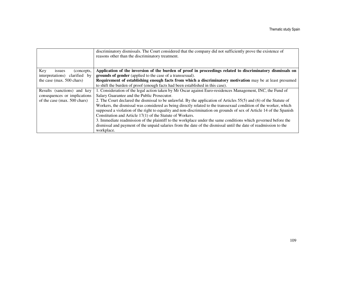|                               | discriminatory dismissals. The Court considered that the company did not sufficiently prove the existence of<br>reasons other than the discriminatory treatment. |  |  |  |  |  |
|-------------------------------|------------------------------------------------------------------------------------------------------------------------------------------------------------------|--|--|--|--|--|
| Key<br>(concepts,<br>issues   | Application of the inversion of the burden of proof in proceedings related to discriminatory dismissals on                                                       |  |  |  |  |  |
| interpretations) clarified by | grounds of gender (applied to the case of a transsexual).                                                                                                        |  |  |  |  |  |
| the case (max. 500 chars)     | Requirement of establishing enough facts from which a discriminatory motivation may be at least presumed                                                         |  |  |  |  |  |
|                               | to shift the burden of proof (enough facts had been established in this case).                                                                                   |  |  |  |  |  |
| Results (sanctions) and key   | 1. Consideration of the legal action taken by Mr Oscar against Euro-residences Management, INC, the Fund of                                                      |  |  |  |  |  |
| consequences or implications  | Salary Guarantee and the Public Prosecutor.                                                                                                                      |  |  |  |  |  |
| of the case (max. 500 chars)  | 2. The Court declared the dismissal to be unlawful. By the application of Articles 55(5) and (6) of the Statute of                                               |  |  |  |  |  |
|                               | Workers, the dismissal was considered as being directly related to the transsexual condition of the worker, which                                                |  |  |  |  |  |
|                               | supposed a violation of the right to equality and non-discrimination on grounds of sex of Article 14 of the Spanish                                              |  |  |  |  |  |
|                               | Constitution and Article 17(1) of the Statute of Workers.                                                                                                        |  |  |  |  |  |
|                               | 3. Immediate readmission of the plaintiff to the workplace under the same conditions which governed before the                                                   |  |  |  |  |  |
|                               | dismissal and payment of the unpaid salaries from the date of the dismissal until the date of readmission to the                                                 |  |  |  |  |  |
|                               | workplace.                                                                                                                                                       |  |  |  |  |  |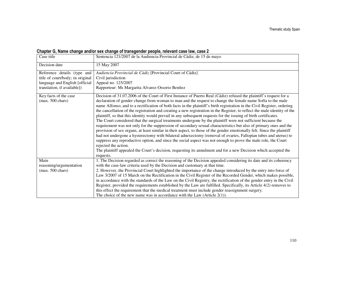### Chapter G, Name change and/or sex change of transgender people, relevant case law, case 2

| Case title                                          | Sentencia 121/2007 de la Audiencia Provincial de Cádiz, de 15 de mayo                                                                                                                                                                                                                                                                                                                                                                                                                                                                                                                                                                                                                                                                                                                                                                                                                                                                                                                                                                                                                                                                                                                                                                                                                                                                                                      |  |  |  |  |  |
|-----------------------------------------------------|----------------------------------------------------------------------------------------------------------------------------------------------------------------------------------------------------------------------------------------------------------------------------------------------------------------------------------------------------------------------------------------------------------------------------------------------------------------------------------------------------------------------------------------------------------------------------------------------------------------------------------------------------------------------------------------------------------------------------------------------------------------------------------------------------------------------------------------------------------------------------------------------------------------------------------------------------------------------------------------------------------------------------------------------------------------------------------------------------------------------------------------------------------------------------------------------------------------------------------------------------------------------------------------------------------------------------------------------------------------------------|--|--|--|--|--|
| Decision date                                       | 15 May 2007                                                                                                                                                                                                                                                                                                                                                                                                                                                                                                                                                                                                                                                                                                                                                                                                                                                                                                                                                                                                                                                                                                                                                                                                                                                                                                                                                                |  |  |  |  |  |
| Reference details (type and                         | Audiencia Provincial de Cádiz [Provincial Court of Cádiz]                                                                                                                                                                                                                                                                                                                                                                                                                                                                                                                                                                                                                                                                                                                                                                                                                                                                                                                                                                                                                                                                                                                                                                                                                                                                                                                  |  |  |  |  |  |
| title of court/body; in original                    | Civil jurisdiction                                                                                                                                                                                                                                                                                                                                                                                                                                                                                                                                                                                                                                                                                                                                                                                                                                                                                                                                                                                                                                                                                                                                                                                                                                                                                                                                                         |  |  |  |  |  |
| language and English [official                      | Appeal no. 125/2007                                                                                                                                                                                                                                                                                                                                                                                                                                                                                                                                                                                                                                                                                                                                                                                                                                                                                                                                                                                                                                                                                                                                                                                                                                                                                                                                                        |  |  |  |  |  |
| translation, if available])                         | Rapporteur: Ms Margarita Alvarez-Ossorio Benítez                                                                                                                                                                                                                                                                                                                                                                                                                                                                                                                                                                                                                                                                                                                                                                                                                                                                                                                                                                                                                                                                                                                                                                                                                                                                                                                           |  |  |  |  |  |
| Key facts of the case<br>$(max. 500 \text{ chars})$ | Decision of 31.07.2006 of the Court of First Instance of Puerto Real (Cádiz) refused the plaintiff's request for a<br>declaration of gender change from woman to man and the request to change the female name Sofía to the male<br>name Alfonso, and to a rectification of both facts in the plaintiff's birth registration in the Civil Register, ordering<br>the cancellation of the registration and creating a new registration in the Register, to reflect the male identity of the<br>plaintiff, so that this identity would prevail in any subsequent requests for the issuing of birth certificates.<br>The Court considered that the surgical treatments undergone by the plaintiff were not sufficient because the<br>requirement was not only for the suppression of secondary sexual characteristics but also of primary ones and the<br>provision of sex organs, at least similar in their aspect, to those of the gender emotionally felt. Since the plaintiff<br>had not undergone a hysterectomy with bilateral adnexectomy (removal of ovaries, Fallopian tubes and uterus) to<br>suppress any reproductive option, and since the social aspect was not enough to prove the male role, the Court<br>rejected the action.<br>The plaintiff appealed the Court's decision, requesting its annulment and for a new Decision which accepted the<br>requests. |  |  |  |  |  |
| Main                                                | 1. The Decision regarded as correct the reasoning of the Decision appealed considering its date and its coherency                                                                                                                                                                                                                                                                                                                                                                                                                                                                                                                                                                                                                                                                                                                                                                                                                                                                                                                                                                                                                                                                                                                                                                                                                                                          |  |  |  |  |  |
| reasoning/argumentation                             | with the case-law criteria used by the Decision and customary at that time.                                                                                                                                                                                                                                                                                                                                                                                                                                                                                                                                                                                                                                                                                                                                                                                                                                                                                                                                                                                                                                                                                                                                                                                                                                                                                                |  |  |  |  |  |
| $(max. 500 \text{ chars})$                          | 2. However, the Provincial Court highlighted the importance of the change introduced by the entry into force of                                                                                                                                                                                                                                                                                                                                                                                                                                                                                                                                                                                                                                                                                                                                                                                                                                                                                                                                                                                                                                                                                                                                                                                                                                                            |  |  |  |  |  |
|                                                     | Law 3/2007 of 15 March on the Rectification in the Civil Register of the Recorded Gender, which makes possible,                                                                                                                                                                                                                                                                                                                                                                                                                                                                                                                                                                                                                                                                                                                                                                                                                                                                                                                                                                                                                                                                                                                                                                                                                                                            |  |  |  |  |  |
|                                                     | in accordance with the standards of the Law on the Civil Registry, the rectification of the gender entry in the Civil                                                                                                                                                                                                                                                                                                                                                                                                                                                                                                                                                                                                                                                                                                                                                                                                                                                                                                                                                                                                                                                                                                                                                                                                                                                      |  |  |  |  |  |
|                                                     | Register, provided the requirements established by the Law are fulfilled. Specifically, its Article 4(2) removes to                                                                                                                                                                                                                                                                                                                                                                                                                                                                                                                                                                                                                                                                                                                                                                                                                                                                                                                                                                                                                                                                                                                                                                                                                                                        |  |  |  |  |  |
|                                                     | this effect the requirement that the medical treatment must include gender reassignment surgery.                                                                                                                                                                                                                                                                                                                                                                                                                                                                                                                                                                                                                                                                                                                                                                                                                                                                                                                                                                                                                                                                                                                                                                                                                                                                           |  |  |  |  |  |
|                                                     | The choice of the new name was in accordance with the Law (Article $2(1)$ ).                                                                                                                                                                                                                                                                                                                                                                                                                                                                                                                                                                                                                                                                                                                                                                                                                                                                                                                                                                                                                                                                                                                                                                                                                                                                                               |  |  |  |  |  |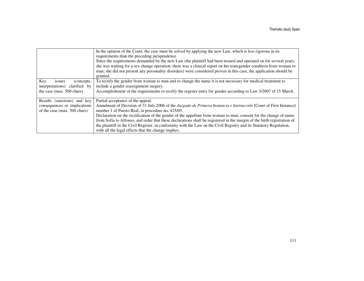|                                  | In the opinion of the Court, the case must be solved by applying the new Law, which is less rigorous in its             |
|----------------------------------|-------------------------------------------------------------------------------------------------------------------------|
|                                  | requirements than the preceding jurisprudence.                                                                          |
|                                  | Since the requirements demanded by the new Law (the plaintiff had been treated and operated on for several years;       |
|                                  | she was waiting for a sex change operation; there was a clinical report on her transgender condition from woman to      |
|                                  | man; she did not present any personality disorders) were considered proven in this case, the application should be      |
|                                  | granted.                                                                                                                |
| Key<br>(concepts,<br>issues      | To rectify the gender from woman to man and to change the name it is not necessary for medical treatment to             |
| clarified by<br>interpretations) | include a gender reassignment surgery.                                                                                  |
| the case (max. $500$ chars)      | Accomplishment of the requirements to rectify the register entry for gender according to Law 3/2007 of 15 March.        |
|                                  |                                                                                                                         |
| Results (sanctions) and key      | Partial acceptance of the appeal.                                                                                       |
| consequences or implications     | Annulment of Decision of 31 July 2006 of the Juzgado de Primera Instancia e Instrucción [Court of First Instance]       |
| of the case (max. 500 chars)     | number 1 of Puerto Real, in procedure no. 425/05.                                                                       |
|                                  | Declaration on the rectification of the gender of the appellant from woman to man, consent for the change of name       |
|                                  | from Sofía to Alfonso, and order that these declarations shall be registered in the margin of the birth registration of |
|                                  | the plaintiff in the Civil Register, in conformity with the Law on the Civil Registry and its Statutory Regulation,     |
|                                  | with all the legal effects that the change implies.                                                                     |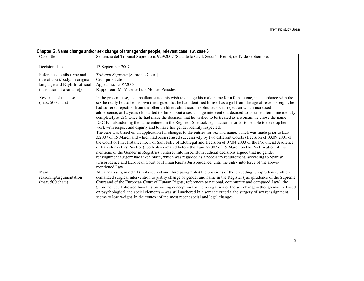### Chapter G, Name change and/or sex change of transgender people, relevant case law, case 3

| Case title                                                                                                                       | Sentencia del Tribunal Supremo n. 929/2007 (Sala de lo Civil, Sección Pleno), de 17 de septiembre.                                                                                                                                                                                                                                                                                                                                                                                                                                                                                                                                                                                                                                                                                                                                                                                                                                                                                                                                                                                                                                                                                                                                                                                                                                                                                                                                                                                                                                                                                                                                |  |  |  |  |  |
|----------------------------------------------------------------------------------------------------------------------------------|-----------------------------------------------------------------------------------------------------------------------------------------------------------------------------------------------------------------------------------------------------------------------------------------------------------------------------------------------------------------------------------------------------------------------------------------------------------------------------------------------------------------------------------------------------------------------------------------------------------------------------------------------------------------------------------------------------------------------------------------------------------------------------------------------------------------------------------------------------------------------------------------------------------------------------------------------------------------------------------------------------------------------------------------------------------------------------------------------------------------------------------------------------------------------------------------------------------------------------------------------------------------------------------------------------------------------------------------------------------------------------------------------------------------------------------------------------------------------------------------------------------------------------------------------------------------------------------------------------------------------------------|--|--|--|--|--|
| Decision date                                                                                                                    | 17 September 2007                                                                                                                                                                                                                                                                                                                                                                                                                                                                                                                                                                                                                                                                                                                                                                                                                                                                                                                                                                                                                                                                                                                                                                                                                                                                                                                                                                                                                                                                                                                                                                                                                 |  |  |  |  |  |
| Reference details (type and<br>title of court/body; in original<br>language and English [official<br>translation, if available]) | Tribunal Supremo [Supreme Court]<br>Civil jurisdiction<br>Appeal no. 1506/2003.<br>Rapporteur: Mr Vicente Luis Montes Penades                                                                                                                                                                                                                                                                                                                                                                                                                                                                                                                                                                                                                                                                                                                                                                                                                                                                                                                                                                                                                                                                                                                                                                                                                                                                                                                                                                                                                                                                                                     |  |  |  |  |  |
| Key facts of the case<br>$(max. 500 \text{ chars})$                                                                              | In the present case, the appellant stated his wish to change his male name for a female one, in accordance with the<br>sex he really felt to be his own (he argued that he had identified himself as a girl from the age of seven or eight; he<br>had suffered rejection from the other children; childhood in solitude; social rejection which increased in<br>adolescence; at 12 years old started to think about a sex-change intervention, decided to assume a feminine identity<br>completely at 28). Once he had made the decision that he wished to be treated as a woman, he chose the name<br>O.C.F.', abandoning the name entered in the Register. She took legal action in order to be able to develop her<br>work with respect and dignity and to have her gender identity respected.<br>The case was based on an application for changes to the entries for sex and name, which was made prior to Law<br>3/2007 of 15 March and which had been refused successively by two different Courts (Decision of 03.09.2001 of<br>the Court of First Instance no. 1 of Sant Feliu of Llobregat and Decision of 07.04.2003 of the Provincial Audience<br>of Barcelona (First Section), both also dictated before the Law 3/2007 of 15 March on the Rectification of the<br>mentions of the Gender in Registries, entered into force. Both Judicial decisions argued that no gender<br>reassignment surgery had taken place, which was regarded as a necessary requirement, according to Spanish<br>jurisprudence and European Court of Human Rights Jurisprudence, until the entry into force of the above-<br>mentioned Law. |  |  |  |  |  |
| Main<br>reasoning/argumentation<br>$(max. 500 \text{ chars})$                                                                    | After analysing in detail (in its second and third paragraphs) the positions of the preceding jurisprudence, which<br>demanded surgical intervention to justify change of gender and name in the Register (jurisprudence of the Supreme<br>Court and of the European Court of Human Rights; references to national, community and compared Law), the                                                                                                                                                                                                                                                                                                                                                                                                                                                                                                                                                                                                                                                                                                                                                                                                                                                                                                                                                                                                                                                                                                                                                                                                                                                                              |  |  |  |  |  |
|                                                                                                                                  | Supreme Court showed how this prevailing conception for the recognition of the sex change – though mainly based<br>on psychological and social elements - was still anchored in a somatic criteria, the surgery of sex reassignment,<br>seems to lose weight in the context of the most recent social and legal changes.                                                                                                                                                                                                                                                                                                                                                                                                                                                                                                                                                                                                                                                                                                                                                                                                                                                                                                                                                                                                                                                                                                                                                                                                                                                                                                          |  |  |  |  |  |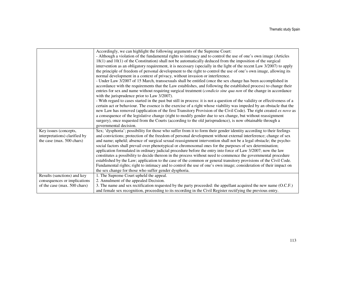|                               | Accordingly, we can highlight the following arguments of the Supreme Court:                                                 |
|-------------------------------|-----------------------------------------------------------------------------------------------------------------------------|
|                               | - Although a violation of the fundamental rights to intimacy and to control the use of one's own image (Articles            |
|                               | $18(1)$ and $10(1)$ of the Constitution) shall not be automatically deduced from the imposition of the surgical             |
|                               | intervention as an obligatory requirement, it is necessary (specially in the light of the recent Law 3/2007) to apply       |
|                               | the principle of freedom of personal development to the right to control the use of one's own image, allowing its           |
|                               | normal development in a context of privacy, without invasion or interference.                                               |
|                               | - Under Law 3/2007 of 15 March, transsexuals shall be entitled (once the sex change has been accomplished in                |
|                               | accordance with the requirements that the Law establishes, and following the established process) to change their           |
|                               | entries for sex and name without requiring surgical treatment (condicio sine qua non of the change in accordance            |
|                               | with the jurisprudence prior to Law 3/2007).                                                                                |
|                               | - With regard to cases started in the past but still in process: it is not a question of the validity or effectiveness of a |
|                               | certain act or behaviour. The essence is the exercise of a right whose viability was impeded by an obstacle that the        |
|                               | new Law has removed (application of the first Transitory Provision of the Civil Code). The right created ex novo as         |
|                               | a consequence of the legislative change (right to modify gender due to sex change, but without reassignment                 |
|                               | surgery), once requested from the Courts (according to the old jurisprudence), is now obtainable through a                  |
|                               | governmental decision.                                                                                                      |
| Key issues (concepts,         | Sex; 'dysphoria'; possibility for those who suffer from it to form their gender identity according to their feelings        |
| interpretations) clarified by | and convictions; protection of the freedom of personal development without external interference; change of sex             |
| the case (max. 500 chars)     | and name; upheld; absence of surgical sexual reassignment intervention shall not be a legal obstacle; the psycho-           |
|                               | social factors shall prevail over phenotypical or chromosomal ones for the purposes of sex determination;                   |
|                               | application formulated in ordinary judicial procedure before the entry into force of Law 3/2007; now the law                |
|                               | constitutes a possibility to decide thereon in the process without need to commence the governmental procedure              |
|                               | established by the Law; application to the case of the common or general transitory provisions of the Civil Code.           |
|                               | Fundamental rights; right to intimacy and to control the use of one's own image; consideration of their impact on           |
|                               | the sex change for those who suffer gender dysphoria.                                                                       |
| Results (sanctions) and key   | 1. The Supreme Court upheld the appeal.                                                                                     |
| consequences or implications  | 2. Annulment of the appealed Decision.                                                                                      |
| of the case (max. 500 chars)  | 3. The name and sex rectification requested by the party proceeded: the appellant acquired the new name (O.C.F.)            |
|                               | and female sex recognition, proceeding to its recording in the Civil Register rectifying the previous entry.                |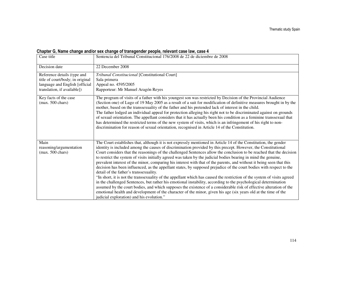# Chapter G, Name change and/or sex change of transgender people, relevant case law, case 4

| Case title                                                                                                                       | Sentencia del Tribunal Constitucional 176/2008 de 22 de diciembre de 2008                                                                                                                                                                                                                                                                                                                                                                                                                                                                                                                                                                                                                                                                                                                                                                                                                                                                                                                                                                                                                                                                                                                                                                                                                                     |
|----------------------------------------------------------------------------------------------------------------------------------|---------------------------------------------------------------------------------------------------------------------------------------------------------------------------------------------------------------------------------------------------------------------------------------------------------------------------------------------------------------------------------------------------------------------------------------------------------------------------------------------------------------------------------------------------------------------------------------------------------------------------------------------------------------------------------------------------------------------------------------------------------------------------------------------------------------------------------------------------------------------------------------------------------------------------------------------------------------------------------------------------------------------------------------------------------------------------------------------------------------------------------------------------------------------------------------------------------------------------------------------------------------------------------------------------------------|
| Decision date                                                                                                                    | 22 December 2008                                                                                                                                                                                                                                                                                                                                                                                                                                                                                                                                                                                                                                                                                                                                                                                                                                                                                                                                                                                                                                                                                                                                                                                                                                                                                              |
| Reference details (type and<br>title of court/body; in original<br>language and English [official<br>translation, if available]) | Tribunal Constitucional [Constitutional Court]<br>Sala primera<br>Appeal no. 4595/2005<br>Rapporteur: Mr Manuel Aragón Reyes                                                                                                                                                                                                                                                                                                                                                                                                                                                                                                                                                                                                                                                                                                                                                                                                                                                                                                                                                                                                                                                                                                                                                                                  |
| Key facts of the case<br>$(max. 500 \text{ chars})$                                                                              | The program of visits of a father with his youngest son was restricted by Decision of the Provincial Audience<br>(Section one) of Lugo of 19 May 2005 as a result of a suit for modification of definitive measures brought in by the<br>mother, based on the transsexuality of the father and his pretended lack of interest in the child.<br>The father lodged an individual appeal for protection alleging his right not to be discriminated against on grounds<br>of sexual orientation. The appellant considers that it has actually been his condition as a feminine transsexual that<br>has determined the restricted terms of the new system of visits, which is an infringement of his right to non-<br>discrimination for reason of sexual orientation, recognised in Article 14 of the Constitution.                                                                                                                                                                                                                                                                                                                                                                                                                                                                                               |
| Main<br>reasoning/argumentation<br>$(max. 500 \text{ chars})$                                                                    | The Court establishes that, although it is not expressly mentioned in Article 14 of the Constitution, the gender<br>identity is included among the causes of discrimination provided by this precept. However, the Constitutional<br>Court considers that the reasonings of the challenged Sentences allow the conclusion to be reached that the decision<br>to restrict the system of visits initially agreed was taken by the judicial bodies bearing in mind the genuine,<br>prevalent interest of the minor, comparing his interest with that of the parents, and without it being seen that this<br>decision has been influenced, as the appellant states, by supposed prejudice of the court bodies with respect to the<br>detail of the father's transsexuality.<br>"In short, it is not the transsexuality of the appellant which has caused the restriction of the system of visits agreed<br>in the challenged Sentences, but rather his emotional instability, according to the psychological determination<br>assumed by the court bodies, and which supposes the existence of a considerable risk of effective alteration of the<br>emotional health and development of the character of the minor, given his age (six years old at the time of the<br>judicial exploration) and his evolution." |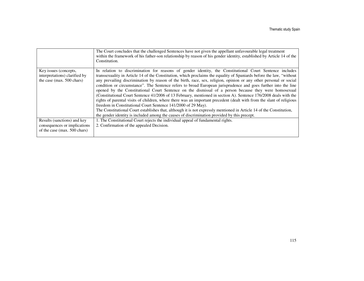|                               | The Court concludes that the challenged Sentences have not given the appellant unfavourable legal treatment<br>within the framework of his father-son relationship by reason of his gender identity, established by Article 14 of the<br>Constitution. |
|-------------------------------|--------------------------------------------------------------------------------------------------------------------------------------------------------------------------------------------------------------------------------------------------------|
| Key issues (concepts,         | In relation to discrimination for reasons of gender identity, the Constitutional Court Sentence includes                                                                                                                                               |
| interpretations) clarified by | transsexuality in Article 14 of the Constitution, which proclaims the equality of Spaniards before the law, "without                                                                                                                                   |
| the case (max. 500 chars)     | any prevailing discrimination by reason of the birth, race, sex, religion, opinion or any other personal or social                                                                                                                                     |
|                               | condition or circumstance". The Sentence refers to broad European jurisprudence and goes further into the line                                                                                                                                         |
|                               | opened by the Constitutional Court Sentence on the dismissal of a person because they were homosexual                                                                                                                                                  |
|                               | (Constitutional Court Sentence 41/2006 of 13 February, mentioned in section A). Sentence 176/2008 deals with the                                                                                                                                       |
|                               | rights of parental visits of children, where there was an important precedent (dealt with from the slant of religious                                                                                                                                  |
|                               | freedom in Constitutional Court Sentence 141/2000 of 29 May).                                                                                                                                                                                          |
|                               | The Constitutional Court establishes that, although it is not expressly mentioned in Article 14 of the Constitution,                                                                                                                                   |
|                               | the gender identity is included among the causes of discrimination provided by this precept.                                                                                                                                                           |
| Results (sanctions) and key   | 1. The Constitutional Court rejects the individual appeal of fundamental rights.                                                                                                                                                                       |
| consequences or implications  | 2. Confirmation of the appealed Decision.                                                                                                                                                                                                              |
| of the case (max. 500 chars)  |                                                                                                                                                                                                                                                        |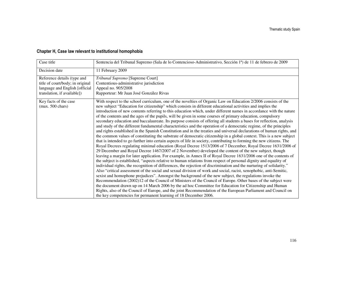# Chapter H, Case law relevant to institutional homophobia

| Case title                                                                                                                       | Sentencia del Tribunal Supremo (Sala de lo Contencioso-Administrativo, Sección 1ª) de 11 de febrero de 2009                                                                                                                                                                                                                                                                                                                                                                                                                                                                                                                                                                                                                                                                                                                                                                                                                                                                                                                                                                                                                                                                                                                                                                                                                                                                                                                                                                                                                                                                                                                                                                                                                                                                                                                                                                                                                                                                                                                                                                                                                                                                                                                                                                                                                            |  |  |  |  |
|----------------------------------------------------------------------------------------------------------------------------------|----------------------------------------------------------------------------------------------------------------------------------------------------------------------------------------------------------------------------------------------------------------------------------------------------------------------------------------------------------------------------------------------------------------------------------------------------------------------------------------------------------------------------------------------------------------------------------------------------------------------------------------------------------------------------------------------------------------------------------------------------------------------------------------------------------------------------------------------------------------------------------------------------------------------------------------------------------------------------------------------------------------------------------------------------------------------------------------------------------------------------------------------------------------------------------------------------------------------------------------------------------------------------------------------------------------------------------------------------------------------------------------------------------------------------------------------------------------------------------------------------------------------------------------------------------------------------------------------------------------------------------------------------------------------------------------------------------------------------------------------------------------------------------------------------------------------------------------------------------------------------------------------------------------------------------------------------------------------------------------------------------------------------------------------------------------------------------------------------------------------------------------------------------------------------------------------------------------------------------------------------------------------------------------------------------------------------------------|--|--|--|--|
| Decision date                                                                                                                    | 11 February 2009                                                                                                                                                                                                                                                                                                                                                                                                                                                                                                                                                                                                                                                                                                                                                                                                                                                                                                                                                                                                                                                                                                                                                                                                                                                                                                                                                                                                                                                                                                                                                                                                                                                                                                                                                                                                                                                                                                                                                                                                                                                                                                                                                                                                                                                                                                                       |  |  |  |  |
| Reference details (type and<br>title of court/body; in original<br>language and English [official<br>translation, if available]) | Tribunal Supremo [Supreme Court]<br>Contentious-administrative jurisdiction<br>Appeal no. 905/2008<br>Rapporteur: Mr Juan José González Rivas                                                                                                                                                                                                                                                                                                                                                                                                                                                                                                                                                                                                                                                                                                                                                                                                                                                                                                                                                                                                                                                                                                                                                                                                                                                                                                                                                                                                                                                                                                                                                                                                                                                                                                                                                                                                                                                                                                                                                                                                                                                                                                                                                                                          |  |  |  |  |
| Key facts of the case<br>$(max. 500 \text{ chars})$                                                                              | With respect to the school curriculum, one of the novelties of Organic Law on Education 2/2006 consists of the<br>new subject "Education for citizenship" which consists in different educational activities and implies the<br>introduction of new contents referring to this education which, under different names in accordance with the nature<br>of the contents and the ages of the pupils, will be given in some courses of primary education, compulsory<br>secondary education and baccalaureate. Its purpose consists of offering all students a bases for reflection, analysis<br>and study of the different fundamental characteristics and the operation of a democratic regime, of the principles<br>and rights established in the Spanish Constitution and in the treaties and universal declarations of human rights, and<br>the common values of constituting the substrate of democratic citizenship in a global context. This is a new subject<br>that is intended to go further into certain aspects of life in society, contributing to forming the new citizens. The<br>Royal Decrees regulating minimal education (Royal Decree 1513/2006 of 7 December, Royal Decree 1631/2006 of<br>29 December and Royal Decree 1467/2007 of 2 November) developed the content of the new subject, though<br>leaving a margin for later application. For example, in Annex II of Royal Decree 1631/2006 one of the contents of<br>the subject is established, "aspects relative to human relations from respect of personal dignity and equality of<br>individual rights, the recognition of differences, the rejection of discrimination and the nurturing of solidarity."<br>Also "critical assessment of the social and sexual division of work and social, racist, xenophobic, anti-Semitic,<br>sexist and homophone prejudices". Amongst the background of the new subject, the regulations invoke the<br>Recommendation (2002)12 of the Council of Ministers of the Council of Europe. Other bases of the subject were<br>the document drawn up on 14 March 2006 by the ad hoc Committee for Education for Citizenship and Human<br>Rights, also of the Council of Europe, and the joint Recommendation of the European Parliament and Council on<br>the key competencies for permanent learning of 18 December 2006. |  |  |  |  |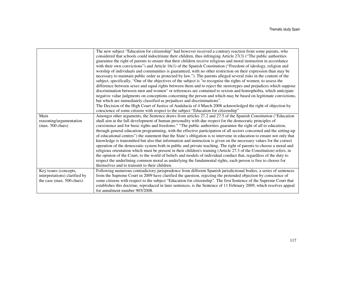|                                                                                     | The new subject "Education for citizenship" had however received a contrary reaction from some parents, who<br>considered that schools could indoctrinate their children, thus infringing Article 27(3) ("The public authorities<br>guarantee the right of parents to ensure that their children receive religious and moral instruction in accordance<br>with their own convictions") and Article 16(1) of the Spanish Constitution ("Freedom of ideology, religion and<br>worship of individuals and communities is guaranteed, with no other restriction on their expression than may be<br>necessary to maintain public order as protected by law."). The parents alleged several risks in the content of the<br>subject, specifically, "One of the objectives of the subject is "to recognise the rights of women, to assess the<br>difference between sexes and equal rights between them and to reject the stereotypes and prejudices which suppose<br>discrimination between men and women" or references are contained to sexism and homophobia, which anticipate<br>negative value judgments on conceptions concerning the person and which may be based on legitimate convictions,<br>but which are immediately classified as prejudices and discriminations". |
|-------------------------------------------------------------------------------------|---------------------------------------------------------------------------------------------------------------------------------------------------------------------------------------------------------------------------------------------------------------------------------------------------------------------------------------------------------------------------------------------------------------------------------------------------------------------------------------------------------------------------------------------------------------------------------------------------------------------------------------------------------------------------------------------------------------------------------------------------------------------------------------------------------------------------------------------------------------------------------------------------------------------------------------------------------------------------------------------------------------------------------------------------------------------------------------------------------------------------------------------------------------------------------------------------------------------------------------------------------------------------|
|                                                                                     | The Decision of the High Court of Justice of Andalucía of 4 March 2008 acknowledged the right of objection by<br>conscience of some citizens with respect to the subject "Education for citizenship"                                                                                                                                                                                                                                                                                                                                                                                                                                                                                                                                                                                                                                                                                                                                                                                                                                                                                                                                                                                                                                                                      |
| Main<br>reasoning/argumentation<br>$(max. 500 \text{ chars})$                       | Amongst other arguments, the Sentence draws from articles 27.2 and 27.5 of the Spanish Constitution ("Education<br>shall aim at the full development of human personality with due respect for the democratic principles of<br>coexistence and for basic rights and freedoms." "The public authorities guarantee the right of all to education,<br>through general education programming, with the effective participation of all sectors concerned and the setting-up<br>of educational centres") the statement that the State's obligation is to intervene in education to ensure not only that<br>knowledge is transmitted but also that information and instruction is given on the necessary values for the correct<br>operation of the democratic system both in public and private teaching. The right of parents to choose a moral and<br>religious orientation which must be present in their children's training (Article 27.3 of the Constitution) refers, in<br>the opinion of the Court, to the world of beliefs and models of individual conduct that, regardless of the duty to<br>respect the underlining common moral as underlying the fundamental rights, each person is free to choose for<br>themselves and to transmit to their children.           |
| Key issues (concepts,<br>interpretations) clarified by<br>the case (max. 500 chars) | Following numerous contradictory jurisprudence from different Spanish jurisdictional bodies, a series of sentences<br>from the Supreme Court in 2009 have clarified the question, rejecting the pretended objection by conscience of<br>some citizens with respect to the subject "Education for citizenship". The first Sentence of the Supreme Court that<br>establishes this doctrine, reproduced in later sentences, is the Sentence of 11 February 2009, which resolves appeal<br>for annulment number 905/2008.                                                                                                                                                                                                                                                                                                                                                                                                                                                                                                                                                                                                                                                                                                                                                     |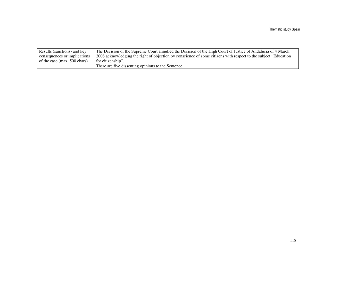| Results (sanctions) and key  | The Decision of the Supreme Court annulled the Decision of the High Court of Justice of Andalucía of 4 March     |
|------------------------------|------------------------------------------------------------------------------------------------------------------|
| consequences or implications | 2008 acknowledging the right of objection by conscience of some citizens with respect to the subject "Education" |
| of the case (max. 500 chars) | for citizenship".                                                                                                |
|                              | There are five dissenting opinions to the Sentence.                                                              |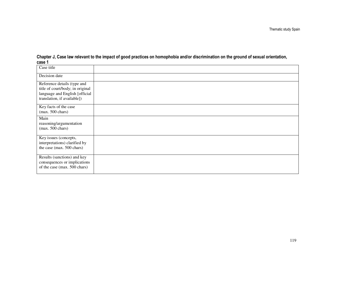| Case title                                                                                                                       |  |
|----------------------------------------------------------------------------------------------------------------------------------|--|
| Decision date                                                                                                                    |  |
| Reference details (type and<br>title of court/body; in original<br>language and English [official<br>translation, if available]) |  |
| Key facts of the case<br>$(max. 500 \text{ chars})$                                                                              |  |
| Main<br>reasoning/argumentation<br>$(max. 500 \text{ chars})$                                                                    |  |
| Key issues (concepts,<br>interpretations) clarified by<br>the case (max. 500 chars)                                              |  |
| Results (sanctions) and key<br>consequences or implications<br>of the case (max. 500 chars)                                      |  |

Chapter J, Case law relevant to the impact of good practices on homophobia and/or discrimination on the ground of sexual orientation, case 1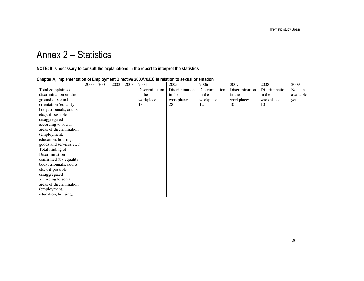# Annex 2 – Statistics

NOTE: It is necessary to consult the explanations in the report to interpret the statistics.

|                          | 2000 | 2001 | 2002 | 2003 | 2004           | 2005           | 2006           | 2007           | 2008           | 2009      |
|--------------------------|------|------|------|------|----------------|----------------|----------------|----------------|----------------|-----------|
| Total complaints of      |      |      |      |      | Discrimination | Discrimination | Discrimination | Discrimination | Discrimination | No data   |
| discrimination on the    |      |      |      |      | in the         | in the         | in the         | in the         | in the         | available |
| ground of sexual         |      |      |      |      | workplace:     | workplace:     | workplace:     | workplace:     | workplace:     | yet.      |
| orientation (equality    |      |      |      |      | 13             | 28             | 12             | 10             | 10             |           |
| body, tribunals, courts  |      |      |      |      |                |                |                |                |                |           |
| etc.): if possible       |      |      |      |      |                |                |                |                |                |           |
| disaggregated            |      |      |      |      |                |                |                |                |                |           |
| according to social      |      |      |      |      |                |                |                |                |                |           |
| areas of discrimination  |      |      |      |      |                |                |                |                |                |           |
| (employment,             |      |      |      |      |                |                |                |                |                |           |
| education, housing,      |      |      |      |      |                |                |                |                |                |           |
| goods and services etc.) |      |      |      |      |                |                |                |                |                |           |
| Total finding of         |      |      |      |      |                |                |                |                |                |           |
| Discrimination           |      |      |      |      |                |                |                |                |                |           |
| confirmed (by equality   |      |      |      |      |                |                |                |                |                |           |
| body, tribunals, courts  |      |      |      |      |                |                |                |                |                |           |
| etc.): if possible       |      |      |      |      |                |                |                |                |                |           |
| disaggregated            |      |      |      |      |                |                |                |                |                |           |
| according to social      |      |      |      |      |                |                |                |                |                |           |
| areas of discrimination  |      |      |      |      |                |                |                |                |                |           |
| (employment,             |      |      |      |      |                |                |                |                |                |           |
| education, housing,      |      |      |      |      |                |                |                |                |                |           |

## Chapter A, Implementation of Employment Directive 2000/78/EC in relation to sexual orientation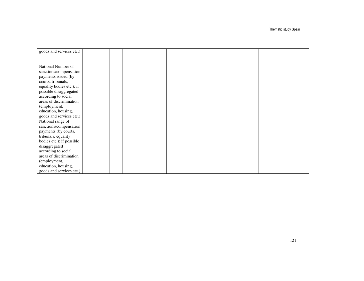Thematic study Spain

| goods and services etc.)  |  |  |  |  |  |
|---------------------------|--|--|--|--|--|
|                           |  |  |  |  |  |
|                           |  |  |  |  |  |
| National Number of        |  |  |  |  |  |
| sanctions/compensation    |  |  |  |  |  |
| payments issued (by       |  |  |  |  |  |
| courts, tribunals,        |  |  |  |  |  |
| equality bodies etc.): if |  |  |  |  |  |
| possible disaggregated    |  |  |  |  |  |
| according to social       |  |  |  |  |  |
| areas of discrimination   |  |  |  |  |  |
| (employment,              |  |  |  |  |  |
| education, housing,       |  |  |  |  |  |
| goods and services etc.)  |  |  |  |  |  |
| National range of         |  |  |  |  |  |
| sanctions/compensation    |  |  |  |  |  |
| payments (by courts,      |  |  |  |  |  |
| tribunals, equality       |  |  |  |  |  |
| bodies etc.): if possible |  |  |  |  |  |
| disaggregated             |  |  |  |  |  |
| according to social       |  |  |  |  |  |
| areas of discrimination   |  |  |  |  |  |
| (employment,              |  |  |  |  |  |
| education, housing,       |  |  |  |  |  |
| goods and services etc.)  |  |  |  |  |  |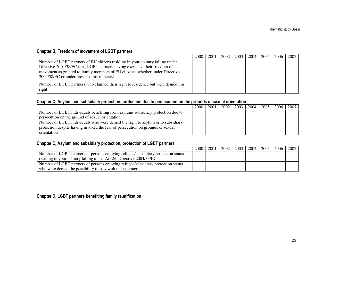### Chapter B, Freedom of movement of LGBT partners

|                                                                                                                                                                                                                                                                                            | 2000 | 2001 | 2002 | 2003 | 2004 | 2005 | 2006 | 2007 |
|--------------------------------------------------------------------------------------------------------------------------------------------------------------------------------------------------------------------------------------------------------------------------------------------|------|------|------|------|------|------|------|------|
| Number of LGBT partners of EU citizens residing in your country falling under<br>Directive 2004/38/EC (i.e., LGBT partners having exercised their freedom of<br>movement as granted to family members of EU citizens, whether under Directive<br>2004/38/EC or under previous instruments) |      |      |      |      |      |      |      |      |
| Number of LGBT partners who claimed their right to residence but were denied this<br>right                                                                                                                                                                                                 |      |      |      |      |      |      |      |      |

### Chapter C, Asylum and subsidiary protection, protection due to persecution on the grounds of sexual orientation

|                                                                                 | 2000 | 2001 |  | 2002   2003   2004 | 2005 l | 2006 | 2007 |
|---------------------------------------------------------------------------------|------|------|--|--------------------|--------|------|------|
| Number of LGBT individuals benefiting from asylum/subsidiary protection due to  |      |      |  |                    |        |      |      |
| persecution on the ground of sexual orientation.                                |      |      |  |                    |        |      |      |
| Number of LGBT individuals who were denied the right to asylum or to subsidiary |      |      |  |                    |        |      |      |
| protection despite having invoked the fear of persecution on grounds of sexual  |      |      |  |                    |        |      |      |
| orientation                                                                     |      |      |  |                    |        |      |      |

#### Chapter C, Asylum and subsidiary protection, protection of LGBT partners

|                                                                                   | 2000 | 2001 | 2002 | 2003 2004 | 2005 | 2006   2007 |  |
|-----------------------------------------------------------------------------------|------|------|------|-----------|------|-------------|--|
| Number of LGBT partners of persons enjoying refugee/ subsidiary protection status |      |      |      |           |      |             |  |
| residing in your country falling under Art 2/h Directive 2004/83/EC               |      |      |      |           |      |             |  |
| Number of LGBT partners of persons enjoying refugee/subsidiary protection status  |      |      |      |           |      |             |  |
| who were denied the possibility to stay with their partner                        |      |      |      |           |      |             |  |

### Chapter D, LGBT partners benefiting family reunification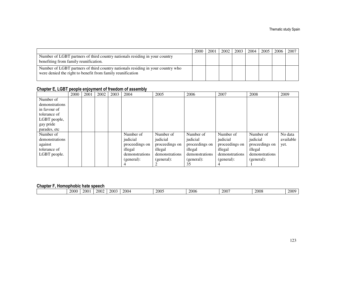|                                                                                                                                               | 2000 | 2001 | 2002 | 2003 | 2004 | 2005 | 2006 | 2007 |
|-----------------------------------------------------------------------------------------------------------------------------------------------|------|------|------|------|------|------|------|------|
| Number of LGBT partners of third country nationals residing in your country<br>benefiting from family reunification.                          |      |      |      |      |      |      |      |      |
| Number of LGBT partners of third country nationals residing in your country who<br>were denied the right to benefit from family reunification |      |      |      |      |      |      |      |      |

#### Chapter E, LGBT people enjoyment of freedom of assembly

|                | 2000 | 2001 | 2002 | 2003 | 2004           | 2005           | 2006           | 2007           | 2008           | 2009      |
|----------------|------|------|------|------|----------------|----------------|----------------|----------------|----------------|-----------|
| Number of      |      |      |      |      |                |                |                |                |                |           |
| demonstrations |      |      |      |      |                |                |                |                |                |           |
| in favour of   |      |      |      |      |                |                |                |                |                |           |
| tolerance of   |      |      |      |      |                |                |                |                |                |           |
| LGBT people,   |      |      |      |      |                |                |                |                |                |           |
| gay pride      |      |      |      |      |                |                |                |                |                |           |
| parades, etc   |      |      |      |      |                |                |                |                |                |           |
| Number of      |      |      |      |      | Number of      | Number of      | Number of      | Number of      | Number of      | No data   |
| demonstrations |      |      |      |      | judicial       | judicial       | judicial       | judicial       | judicial       | available |
| against        |      |      |      |      | proceedings on | proceedings on | proceedings on | proceedings on | proceedings on | yet.      |
| tolerance of   |      |      |      |      | illegal        | illegal        | illegal        | illegal        | illegal        |           |
| LGBT people.   |      |      |      |      | demonstrations | demonstrations | demonstrations | demonstrations | demonstrations |           |
|                |      |      |      |      | (general):     | (general):     | (general):     | (general):     | (general):     |           |
|                |      |      |      |      |                |                | 35             |                |                |           |

#### Chapter F, Homophobic hate speech

| --------- |      |     |      |                     |      |      |                                 |      |      |                                |
|-----------|------|-----|------|---------------------|------|------|---------------------------------|------|------|--------------------------------|
|           | 2000 | 200 | 2002 | 2003<br>$\sim$ 2000 | 2004 | 2005 | 200 <sup>2</sup><br><b>2006</b> | 2007 | 2008 | 0000<br>21 M<br>$\triangle$ VV |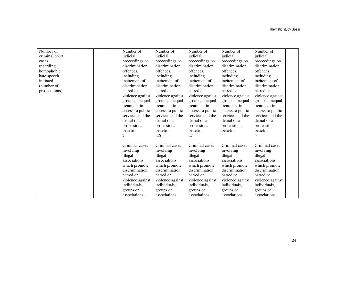| Number of      | Number of        | Number of        | Number of        | Number of        | Number of        |  |
|----------------|------------------|------------------|------------------|------------------|------------------|--|
| criminal court | judicial         | judicial         | judicial         | judicial         | judicial         |  |
| cases          | proceedings on   | proceedings on   | proceedings on   | proceedings on   | proceedings on   |  |
| regarding      | discrimination   | discrimination   | discrimination   | discrimination   | discrimination   |  |
| homophobic     | offences,        | offences,        | offences,        | offences,        | offences,        |  |
| hate speech    | including        | including        | including        | including        | including        |  |
| initiated      | incitement of    | incitement of    | incitement of    | incitement of    | incitement of    |  |
| (number of     | discrimination.  | discrimination.  | discrimination.  | discrimination.  | discrimination,  |  |
| prosecutions)  | hatred or        | hatred or        | hatred or        | hatred or        | hatred or        |  |
|                | violence against | violence against | violence against | violence against | violence against |  |
|                | groups, unequal  | groups, unequal  | groups, unequal  | groups, unequal  | groups, unequal  |  |
|                | treatment in     | treatment in     | treatment in     | treatment in     | treatment in     |  |
|                | access to public | access to public | access to public | access to public | access to public |  |
|                | services and the | services and the | services and the | services and the | services and the |  |
|                | denial of a      | denial of a      | denial of a      | denial of a      | denial of a      |  |
|                | professional     | professional     | professional     | professional     | professional     |  |
|                | benefit:         | benefit:         | benefit:         | benefit:         | benefit:         |  |
|                |                  | 26               | 27               | 4                | 5                |  |
|                |                  |                  |                  |                  |                  |  |
|                | Criminal cases   | Criminal cases   | Criminal cases   | Criminal cases   | Criminal cases   |  |
|                | involving        | involving        | involving        | involving        | involving        |  |
|                | illegal          | illegal          | illegal          | illegal          | illegal          |  |
|                | associations     | associations     | associations     | associations     | associations     |  |
|                | which promote    | which promote    | which promote    | which promote    | which promote    |  |
|                | discrimination.  | discrimination.  | discrimination,  | discrimination.  | discrimination.  |  |
|                | hatred or        | hatred or        | hatred or        | hatred or        | hatred or        |  |
|                | violence against | violence against | violence against | violence against | violence against |  |
|                | individuals,     | individuals,     | individuals,     | individuals,     | individuals,     |  |
|                | groups or        | groups or        | groups or        | groups or        | groups or        |  |
|                | associations:    | associations:    | associations:    | associations:    | associations:    |  |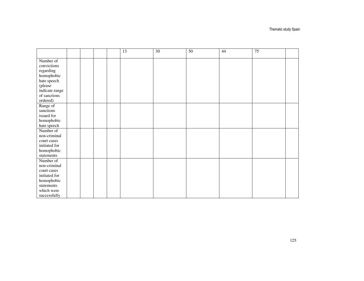|                              |  |  | $\overline{13}$ | $\overline{30}$ | $\overline{50}$ | 44 | $\overline{75}$ |  |
|------------------------------|--|--|-----------------|-----------------|-----------------|----|-----------------|--|
| Number of                    |  |  |                 |                 |                 |    |                 |  |
| convictions                  |  |  |                 |                 |                 |    |                 |  |
| regarding                    |  |  |                 |                 |                 |    |                 |  |
| homophobic                   |  |  |                 |                 |                 |    |                 |  |
| hate speech                  |  |  |                 |                 |                 |    |                 |  |
| (please                      |  |  |                 |                 |                 |    |                 |  |
| indicate range               |  |  |                 |                 |                 |    |                 |  |
| of sanctions                 |  |  |                 |                 |                 |    |                 |  |
| ordered)                     |  |  |                 |                 |                 |    |                 |  |
| Range of                     |  |  |                 |                 |                 |    |                 |  |
| sanctions                    |  |  |                 |                 |                 |    |                 |  |
| issued for                   |  |  |                 |                 |                 |    |                 |  |
| homophobic                   |  |  |                 |                 |                 |    |                 |  |
| hate speech                  |  |  |                 |                 |                 |    |                 |  |
| Number of                    |  |  |                 |                 |                 |    |                 |  |
| non-criminal                 |  |  |                 |                 |                 |    |                 |  |
| court cases<br>initiated for |  |  |                 |                 |                 |    |                 |  |
| homophobic                   |  |  |                 |                 |                 |    |                 |  |
| statements                   |  |  |                 |                 |                 |    |                 |  |
| Number of                    |  |  |                 |                 |                 |    |                 |  |
| non-criminal                 |  |  |                 |                 |                 |    |                 |  |
| court cases                  |  |  |                 |                 |                 |    |                 |  |
| initiated for                |  |  |                 |                 |                 |    |                 |  |
| homophobic                   |  |  |                 |                 |                 |    |                 |  |
| statements                   |  |  |                 |                 |                 |    |                 |  |
| which were                   |  |  |                 |                 |                 |    |                 |  |
| successfully                 |  |  |                 |                 |                 |    |                 |  |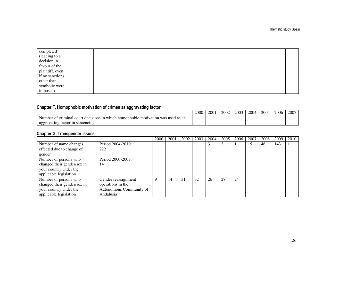| completed       |  |  |  |  |  |
|-----------------|--|--|--|--|--|
| (leading to a   |  |  |  |  |  |
| decision in     |  |  |  |  |  |
| favour of the   |  |  |  |  |  |
| plaintiff, even |  |  |  |  |  |
| if no sanctions |  |  |  |  |  |
| other than      |  |  |  |  |  |
| symbolic were   |  |  |  |  |  |
| imposed)        |  |  |  |  |  |

### Chapter F, Homophobic motivation of crimes as aggravating factor

|                                                                                                               | 2000 | 200 | 2002 | 2003 | 2004 | 2005 | 2006 | $200^{-}$ |
|---------------------------------------------------------------------------------------------------------------|------|-----|------|------|------|------|------|-----------|
| criminal.<br>court<br>1n<br>Number<br>⊦which homophobic<br>motivation<br>was<br>decisions<br>used as an<br>Ωt |      |     |      |      |      |      |      |           |
| ∠ravatıng factor<br>sentencing<br>aggrav<br>า ท                                                               |      |     |      |      |      |      |      |           |

# Chapter G, Transgender issues

|                             |                         | 2000 | 2001 | 2002 | 2003 | 2004 | 2005 | 2006 | 2007 | 2008 | 2009 | 2010 |
|-----------------------------|-------------------------|------|------|------|------|------|------|------|------|------|------|------|
| Number of name changes      | Period 2004-2010:       |      |      |      |      |      |      |      | 15   | 46   | 143  | 11   |
| effected due to change of   | 222                     |      |      |      |      |      |      |      |      |      |      |      |
| gender                      |                         |      |      |      |      |      |      |      |      |      |      |      |
| Number of persons who       | Period 2000-2007:       |      |      |      |      |      |      |      |      |      |      |      |
| changed their gender/sex in | 14                      |      |      |      |      |      |      |      |      |      |      |      |
| your country under the      |                         |      |      |      |      |      |      |      |      |      |      |      |
| applicable legislation      |                         |      |      |      |      |      |      |      |      |      |      |      |
| Number of persons who       | Gender reassignment     | Q    | 14   | 31   | 32   | 26   | 28   | 24   |      |      |      |      |
| changed their gender/sex in | operations in the       |      |      |      |      |      |      |      |      |      |      |      |
| your country under the      | Autonomous Community of |      |      |      |      |      |      |      |      |      |      |      |
| applicable legislation      | Andalusia               |      |      |      |      |      |      |      |      |      |      |      |